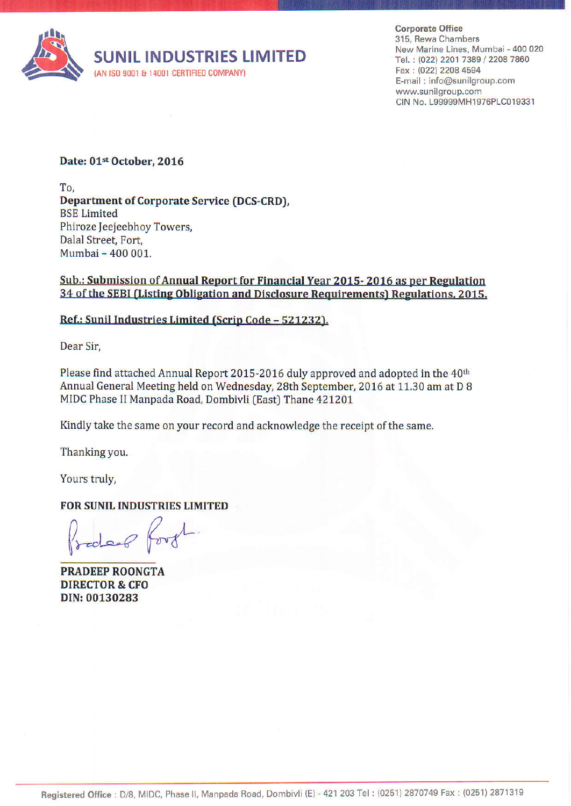

**Corporate Office** 315, Rewa Chambers New Marine Lines, Mumbai - 400 020 T€1. : (022) 2201 7389/ 2208 7860 Fax: (022) 2208 4594 E-mail : info@sunilgroup.com lwvw.sunilgroup.com CIN No. L99999MH1976PLC019331

# Date: 01st October, 2016

To, Department of Corporate Service (DCS-CRD), BSE Limited Phiroze Jeejeebhoy Towers, Dalal Street, Fort, Mumbai - 400 001.

# Sub.: Submission of Annual Report for Financial Year 2015-2016 as per Regulation 34 of the SEBI (Listing Obligation and Disclosure Requirements) Regulations, 2015.

# Ref.: Sunil Industries Limited (Scrip Code - 5212321.

Dear Sir,

Please find attached Annual Report 2015-2016 duly approved and adopted in the  $40<sup>th</sup>$ Annual General Meeting held on Wednesday, 28th September, 2016 at 11.30 am at D 8 MIDC Phase II Manpada Road, Dombivli (East) Thane 421201

Kindly take the same on your record and acknowledge the receipt of the same.

Thanking you.

Yours truly,

# FOR SUNIL INDUSTRIES LIMITED

Prodes fort

PRADEEP ROONGTA DIRECTOR & CFO DIN:00130283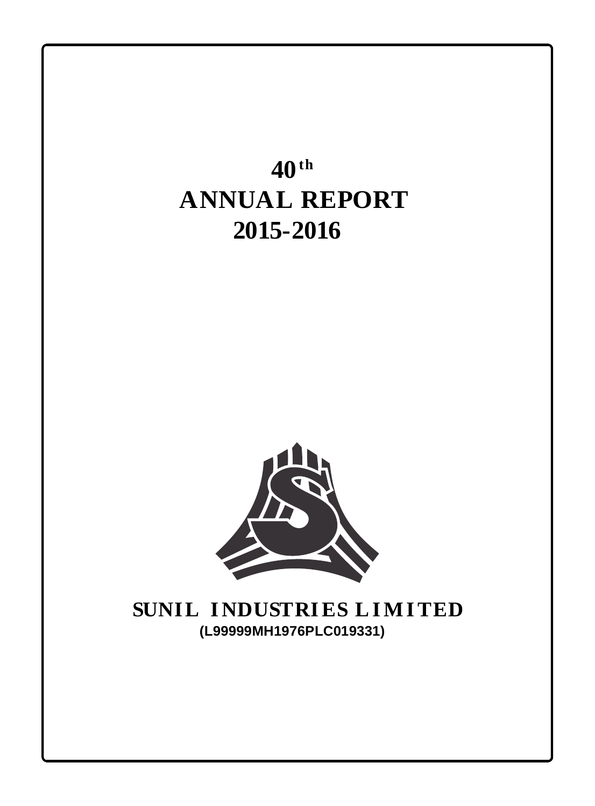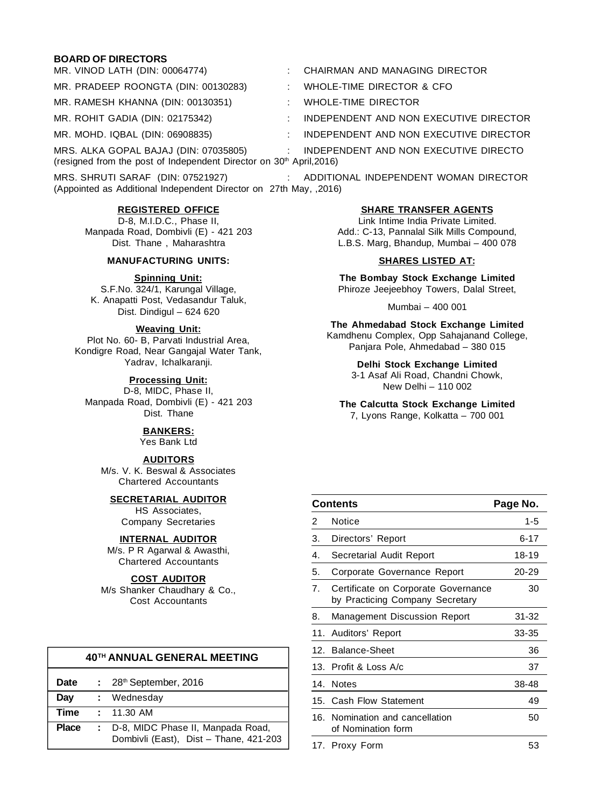#### **BOARD OF DIRECTORS**

| MR. VINOD LATH (DIN: 00064774)        | : CHAIRMAN AND MANAGING DIRECTOR       |
|---------------------------------------|----------------------------------------|
| MR. PRADEEP ROONGTA (DIN: 00130283)   | WHOLE-TIME DIRECTOR & CFO              |
| MR. RAMESH KHANNA (DIN: 00130351)     | WHOLE-TIME DIRECTOR                    |
| MR. ROHIT GADIA (DIN: 02175342)       | INDEPENDENT AND NON EXECUTIVE DIRECTOR |
| MR. MOHD. IQBAL (DIN: 06908835)       | INDEPENDENT AND NON EXECUTIVE DIRECTOR |
| MRS. ALKA GOPAL BAJAJ (DIN: 07035805) | INDEPENDENT AND NON EXECUTIVE DIRECTO  |

(resigned from the post of Independent Director on 30<sup>th</sup> April, 2016)

MRS. SHRUTI SARAF (DIN: 07521927) : ADDITIONAL INDEPENDENT WOMAN DIRECTOR (Appointed as Additional Independent Director on 27th May, ,2016)

#### **REGISTERED OFFICE**

D-8, M.I.D.C., Phase II, Manpada Road, Dombivli (E) - 421 203 Dist. Thane , Maharashtra

### **MANUFACTURING UNITS:**

#### **Spinning Unit:**

S.F.No. 324/1, Karungal Village, K. Anapatti Post, Vedasandur Taluk, Dist. Dindigul – 624 620

### **Weaving Unit:**

Plot No. 60- B, Parvati Industrial Area, Kondigre Road, Near Gangajal Water Tank, Yadrav, Ichalkaranii.

### **Processing Unit:**

D-8, MIDC, Phase II, Manpada Road, Dombivli (E) - 421 203 Dist. Thane

#### **BANKERS:**

Yes Bank Ltd

### **AUDITORS**

M/s. V. K. Beswal & Associates Chartered Accountants

## **SECRETARIAL AUDITOR**

HS Associates, Company Secretaries

## **INTERNAL AUDITOR**

M/s. P R Agarwal & Awasthi, Chartered Accountants

#### **COST AUDITOR**

M/s Shanker Chaudhary & Co., Cost Accountants

| 40TH ANNUAL GENERAL MEETING |                                                                             |  |
|-----------------------------|-----------------------------------------------------------------------------|--|
|                             | $: 28th$ September, 2016                                                    |  |
|                             | : Wednesday                                                                 |  |
|                             | $: 11.30$ AM                                                                |  |
|                             | D-8, MIDC Phase II, Manpada Road,<br>Dombivli (East), Dist - Thane, 421-203 |  |
|                             |                                                                             |  |

#### **SHARE TRANSFER AGENTS**

Link Intime India Private Limited. Add.: C-13, Pannalal Silk Mills Compound, L.B.S. Marg, Bhandup, Mumbai – 400 078

#### **SHARES LISTED AT:**

**The Bombay Stock Exchange Limited** Phiroze Jeejeebhoy Towers, Dalal Street,

Mumbai – 400 001

**The Ahmedabad Stock Exchange Limited** Kamdhenu Complex, Opp Sahajanand College, Panjara Pole, Ahmedabad – 380 015

#### **Delhi Stock Exchange Limited**

3-1 Asaf Ali Road, Chandni Chowk, New Delhi – 110 002

## **The Calcutta Stock Exchange Limited**

7, Lyons Range, Kolkatta – 700 001

|    | <b>Contents</b>                                                        | Page No. |
|----|------------------------------------------------------------------------|----------|
| 2  | Notice                                                                 | $1 - 5$  |
| 3. | Directors' Report                                                      | $6 - 17$ |
| 4. | Secretarial Audit Report                                               | 18-19    |
| 5. | Corporate Governance Report                                            | 20-29    |
| 7. | Certificate on Corporate Governance<br>by Practicing Company Secretary | 30       |
| 8. | Management Discussion Report                                           | 31-32    |
|    | 11. Auditors' Report                                                   | 33-35    |
|    | 12. Balance-Sheet                                                      | 36       |
|    | 13. Profit & Loss A/c                                                  | 37       |
|    | 14. Notes                                                              | 38-48    |
|    | 15. Cash Flow Statement                                                | 49       |
|    | 16. Nomination and cancellation<br>of Nomination form                  | 50       |
|    | 17. Proxy Form                                                         | 53       |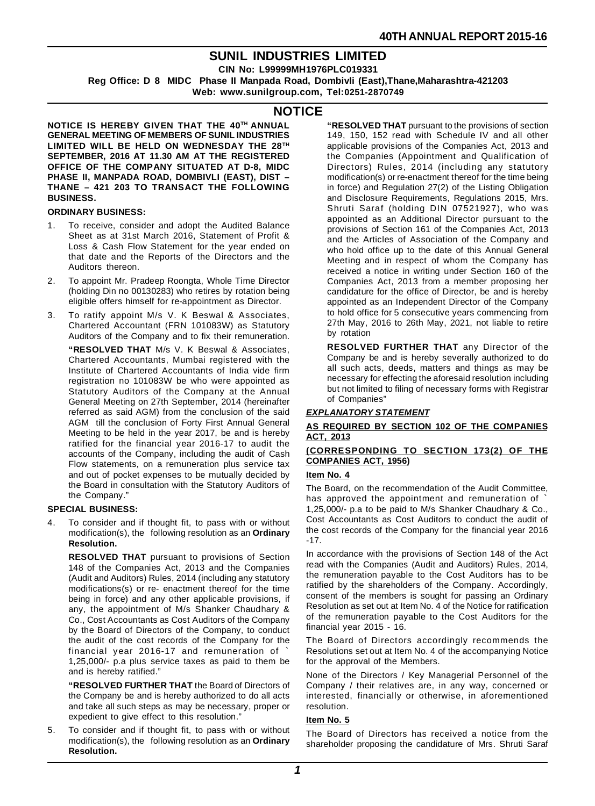**CIN No: L99999MH1976PLC019331**

**Reg Office: D 8 MIDC Phase II Manpada Road, Dombivli (East),Thane,Maharashtra-421203 Web: www.sunilgroup.com, Tel:0251-2870749**

## **NOTICE**

**NOTICE IS HEREBY GIVEN THAT THE 40 TH ANNUAL GENERAL MEETING OF MEMBERS OF SUNIL INDUSTRIES LIMITED WILL BE HELD ON WEDNESDAY THE 28 TH SEPTEMBER, 2016 AT 11.30 AM AT THE REGISTERED OFFICE OF THE COMPANY SITUATED AT D-8, MIDC PHASE II, MANPADA ROAD, DOMBIVLI (EAST), DIST – THANE – 421 203 TO TRANSACT THE FOLLOWING BUSINESS.**

#### **ORDINARY BUSINESS:**

- 1. To receive, consider and adopt the Audited Balance Sheet as at 31st March 2016, Statement of Profit & Loss & Cash Flow Statement for the year ended on that date and the Reports of the Directors and the Auditors thereon.
- 2. To appoint Mr. Pradeep Roongta, Whole Time Director (holding Din no 00130283) who retires by rotation being eligible offers himself for re-appointment as Director.
- 3. To ratify appoint M/s V. K Beswal & Associates, Chartered Accountant (FRN 101083W) as Statutory Auditors of the Company and to fix their remuneration.

**"RESOLVED THAT** M/s V. K Beswal & Associates, Chartered Accountants, Mumbai registered with the Institute of Chartered Accountants of India vide firm registration no 101083W be who were appointed as Statutory Auditors of the Company at the Annual General Meeting on 27th September, 2014 (hereinafter referred as said AGM) from the conclusion of the said AGM till the conclusion of Forty First Annual General Meeting to be held in the year 2017, be and is hereby ratified for the financial year 2016-17 to audit the accounts of the Company, including the audit of Cash Flow statements, on a remuneration plus service tax and out of pocket expenses to be mutually decided by the Board in consultation with the Statutory Auditors of the Company."

#### **SPECIAL BUSINESS:**

4. To consider and if thought fit, to pass with or without modification(s), the following resolution as an **Ordinary Resolution.**

**RESOLVED THAT** pursuant to provisions of Section 148 of the Companies Act, 2013 and the Companies (Audit and Auditors) Rules, 2014 (including any statutory modifications(s) or re- enactment thereof for the time being in force) and any other applicable provisions, if any, the appointment of M/s Shanker Chaudhary & Co., Cost Accountants as Cost Auditors of the Company by the Board of Directors of the Company, to conduct the audit of the cost records of the Company for the financial year 2016-17 and remuneration of ` 1,25,000/- p.a plus service taxes as paid to them be and is hereby ratified."

**"RESOLVED FURTHER THAT** the Board of Directors of the Company be and is hereby authorized to do all acts and take all such steps as may be necessary, proper or expedient to give effect to this resolution."

5. To consider and if thought fit, to pass with or without modification(s), the following resolution as an **Ordinary Resolution.**

**"RESOLVED THAT** pursuant to the provisions of section 149, 150, 152 read with Schedule IV and all other applicable provisions of the Companies Act, 2013 and the Companies (Appointment and Qualification of Directors) Rules, 2014 (including any statutory modification(s) or re-enactment thereof for the time being in force) and Regulation 27(2) of the Listing Obligation and Disclosure Requirements, Regulations 2015, Mrs. Shruti Saraf (holding DIN 07521927), who was appointed as an Additional Director pursuant to the provisions of Section 161 of the Companies Act, 2013 and the Articles of Association of the Company and who hold office up to the date of this Annual General Meeting and in respect of whom the Company has received a notice in writing under Section 160 of the Companies Act, 2013 from a member proposing her candidature for the office of Director, be and is hereby appointed as an Independent Director of the Company to hold office for 5 consecutive years commencing from 27th May, 2016 to 26th May, 2021, not liable to retire by rotation

**RESOLVED FURTHER THAT** any Director of the Company be and is hereby severally authorized to do all such acts, deeds, matters and things as may be necessary for effecting the aforesaid resolution including but not limited to filing of necessary forms with Registrar of Companies"

#### **EXPLANATORY STATEMENT**

#### **AS REQUIRED BY SECTION 102 OF THE COMPANIES ACT, 2013**

#### **(CORRESPONDING TO SECTION 173(2) OF THE COMPANIES ACT, 1956)**

#### **Item No. 4**

The Board, on the recommendation of the Audit Committee, has approved the appointment and remuneration of 1,25,000/- p.a to be paid to M/s Shanker Chaudhary & Co., Cost Accountants as Cost Auditors to conduct the audit of the cost records of the Company for the financial year 2016 -17.

In accordance with the provisions of Section 148 of the Act read with the Companies (Audit and Auditors) Rules, 2014, the remuneration payable to the Cost Auditors has to be ratified by the shareholders of the Company. Accordingly, consent of the members is sought for passing an Ordinary Resolution as set out at Item No. 4 of the Notice for ratification of the remuneration payable to the Cost Auditors for the financial year 2015 - 16.

The Board of Directors accordingly recommends the Resolutions set out at Item No. 4 of the accompanying Notice for the approval of the Members.

None of the Directors / Key Managerial Personnel of the Company / their relatives are, in any way, concerned or interested, financially or otherwise, in aforementioned resolution.

### **Item No. 5**

The Board of Directors has received a notice from the shareholder proposing the candidature of Mrs. Shruti Saraf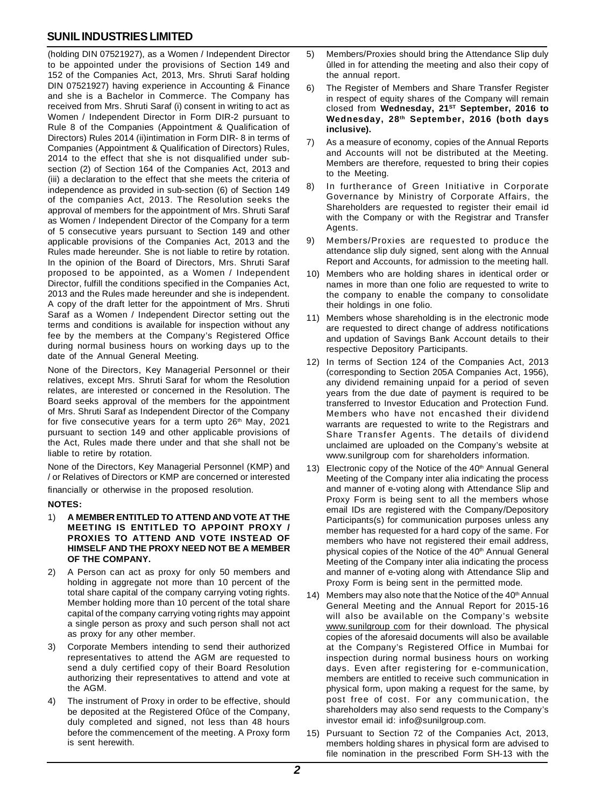(holding DIN 07521927), as a Women / Independent Director to be appointed under the provisions of Section 149 and 152 of the Companies Act, 2013, Mrs. Shruti Saraf holding DIN 07521927) having experience in Accounting & Finance and she is a Bachelor in Commerce. The Company has received from Mrs. Shruti Saraf (i) consent in writing to act as Women / Independent Director in Form DIR-2 pursuant to Rule 8 of the Companies (Appointment & Qualification of Directors) Rules 2014 (ii)intimation in Form DIR- 8 in terms of Companies (Appointment & Qualification of Directors) Rules, 2014 to the effect that she is not disqualified under subsection (2) of Section 164 of the Companies Act, 2013 and (iii) a declaration to the effect that she meets the criteria of independence as provided in sub-section (6) of Section 149 of the companies Act, 2013. The Resolution seeks the approval of members for the appointment of Mrs. Shruti Saraf as Women / Independent Director of the Company for a term of 5 consecutive years pursuant to Section 149 and other applicable provisions of the Companies Act, 2013 and the Rules made hereunder. She is not liable to retire by rotation. In the opinion of the Board of Directors, Mrs. Shruti Saraf proposed to be appointed, as a Women / Independent Director, fulfill the conditions specified in the Companies Act, 2013 and the Rules made hereunder and she is independent. A copy of the draft letter for the appointment of Mrs. Shruti Saraf as a Women / Independent Director setting out the terms and conditions is available for inspection without any fee by the members at the Company's Registered Office during normal business hours on working days up to the date of the Annual General Meeting.

None of the Directors, Key Managerial Personnel or their relatives, except Mrs. Shruti Saraf for whom the Resolution relates, are interested or concerned in the Resolution. The Board seeks approval of the members for the appointment of Mrs. Shruti Saraf as Independent Director of the Company for five consecutive years for a term upto  $26<sup>th</sup>$  May, 2021 pursuant to section 149 and other applicable provisions of the Act, Rules made there under and that she shall not be liable to retire by rotation.

None of the Directors, Key Managerial Personnel (KMP) and / or Relatives of Directors or KMP are concerned or interested

financially or otherwise in the proposed resolution.

**NOTES:**

- 1) **A MEMBER ENTITLED TO ATTEND AND VOTE AT THE MEETING IS ENTITLED TO APPOINT PROXY / PROXIES TO ATTEND AND VOTE INSTEAD OF HIMSELF AND THE PROXY NEED NOT BE A MEMBER OF THE COMPANY.**
- 2) A Person can act as proxy for only 50 members and holding in aggregate not more than 10 percent of the total share capital of the company carrying voting rights. Member holding more than 10 percent of the total share capital of the company carrying voting rights may appoint a single person as proxy and such person shall not act as proxy for any other member.
- 3) Corporate Members intending to send their authorized representatives to attend the AGM are requested to send a duly certified copy of their Board Resolution authorizing their representatives to attend and vote at the AGM.
- 4) The instrument of Proxy in order to be effective, should be deposited at the Registered Ofûce of the Company, duly completed and signed, not less than 48 hours before the commencement of the meeting. A Proxy form is sent herewith.
- 5) Members/Proxies should bring the Attendance Slip duly ûlled in for attending the meeting and also their copy of the annual report.
- 6) The Register of Members and Share Transfer Register in respect of equity shares of the Company will remain closed from **Wednesday, 21 ST September, 2016 to Wednesday, 28 th September, 2016 (both days inclusive).**
- 7) As a measure of economy, copies of the Annual Reports and Accounts will not be distributed at the Meeting. Members are therefore, requested to bring their copies to the Meeting.
- 8) In furtherance of Green Initiative in Corporate Governance by Ministry of Corporate Affairs, the Shareholders are requested to register their email id with the Company or with the Registrar and Transfer Agents.
- 9) Members/Proxies are requested to produce the attendance slip duly signed, sent along with the Annual Report and Accounts, for admission to the meeting hall.
- 10) Members who are holding shares in identical order or names in more than one folio are requested to write to the company to enable the company to consolidate their holdings in one folio.
- 11) Members whose shareholding is in the electronic mode are requested to direct change of address notifications and updation of Savings Bank Account details to their respective Depository Participants.
- 12) In terms of Section 124 of the Companies Act, 2013 (corresponding to Section 205A Companies Act, 1956), any dividend remaining unpaid for a period of seven years from the due date of payment is required to be transferred to Investor Education and Protection Fund. Members who have not encashed their dividend warrants are requested to write to the Registrars and Share Transfer Agents. The details of dividend unclaimed are uploaded on the Company's website at www.sunilgroup com for shareholders information.
- 13) Electronic copy of the Notice of the 40<sup>th</sup> Annual General Meeting of the Company inter alia indicating the process and manner of e-voting along with Attendance Slip and Proxy Form is being sent to all the members whose email IDs are registered with the Company/Depository Participants(s) for communication purposes unless any member has requested for a hard copy of the same. For members who have not registered their email address, physical copies of the Notice of the 40<sup>th</sup> Annual General Meeting of the Company inter alia indicating the process and manner of e-voting along with Attendance Slip and Proxy Form is being sent in the permitted mode.
- 14) Members may also note that the Notice of the 40<sup>th</sup> Annual General Meeting and the Annual Report for 2015-16 will also be available on the Company's website www.sunilgroup com for their download. The physical copies of the aforesaid documents will also be available at the Company's Registered Office in Mumbai for inspection during normal business hours on working days. Even after registering for e-communication, members are entitled to receive such communication in physical form, upon making a request for the same, by post free of cost. For any communication, the shareholders may also send requests to the Company's investor email id: info@sunilgroup.com.
- 15) Pursuant to Section 72 of the Companies Act, 2013, members holding shares in physical form are advised to file nomination in the prescribed Form SH-13 with the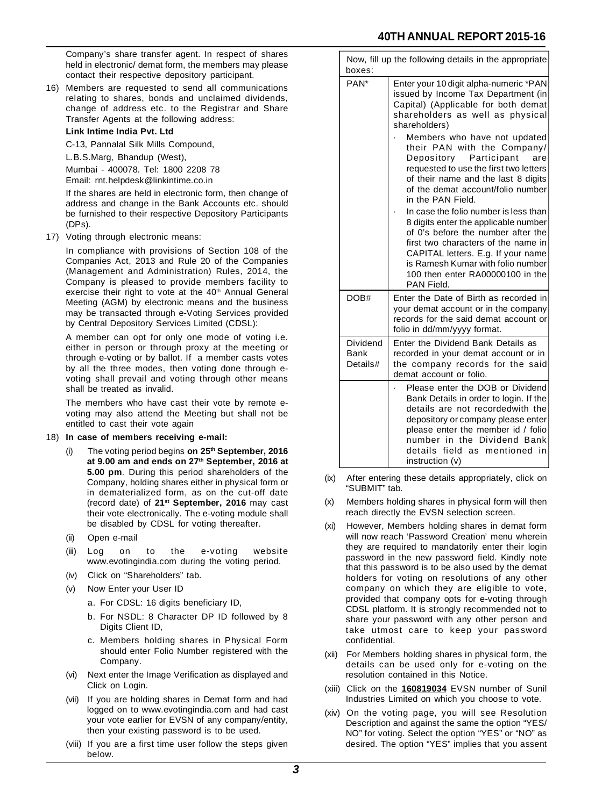Company's share transfer agent. In respect of shares held in electronic/ demat form, the members may please contact their respective depository participant.

16) Members are requested to send all communications relating to shares, bonds and unclaimed dividends, change of address etc. to the Registrar and Share Transfer Agents at the following address:

#### **Link Intime India Pvt. Ltd**

C-13, Pannalal Silk Mills Compound,

L.B.S.Marg, Bhandup (West),

Mumbai - 400078. Tel: 1800 2208 78 Email: rnt.helpdesk@linkintime.co.in

If the shares are held in electronic form, then change of address and change in the Bank Accounts etc. should be furnished to their respective Depository Participants (DPs).

17) Voting through electronic means:

In compliance with provisions of Section 108 of the Companies Act, 2013 and Rule 20 of the Companies (Management and Administration) Rules, 2014, the Company is pleased to provide members facility to exercise their right to vote at the 40<sup>th</sup> Annual General Meeting (AGM) by electronic means and the business may be transacted through e-Voting Services provided by Central Depository Services Limited (CDSL):

A member can opt for only one mode of voting i.e. either in person or through proxy at the meeting or through e-voting or by ballot. If a member casts votes by all the three modes, then voting done through evoting shall prevail and voting through other means shall be treated as invalid.

The members who have cast their vote by remote evoting may also attend the Meeting but shall not be entitled to cast their vote again

#### 18) **In case of members receiving e-mail:**

- (i) The voting period begins **on 25 th September, 2016 at 9.00 am and ends on 27 th September, 2016 at 5.00 pm**. During this period shareholders of the Company, holding shares either in physical form or in dematerialized form, as on the cut-off date (record date) of **21 st September, 2016** may cast their vote electronically. The e-voting module shall be disabled by CDSL for voting thereafter.
- (ii) Open e-mail
- (iii) Log on to the e-voting website www.evotingindia.com during the voting period.
- (iv) Click on "Shareholders" tab.
- (v) Now Enter your User ID
	- a. For CDSL: 16 digits beneficiary ID,
	- b. For NSDL: 8 Character DP ID followed by 8 Digits Client ID,
	- c. Members holding shares in Physical Form should enter Folio Number registered with the Company.
- (vi) Next enter the Image Verification as displayed and Click on Login.
- (vii) If you are holding shares in Demat form and had logged on to www.evotingindia.com and had cast your vote earlier for EVSN of any company/entity, then your existing password is to be used.
- (viii) If you are a first time user follow the steps given below.

| boxes:                       | Now, fill up the following details in the appropriate                                                                                                                                                                                                                                   |  |  |
|------------------------------|-----------------------------------------------------------------------------------------------------------------------------------------------------------------------------------------------------------------------------------------------------------------------------------------|--|--|
| PAN*                         | Enter your 10 digit alpha-numeric *PAN<br>issued by Income Tax Department (in<br>Capital) (Applicable for both demat<br>shareholders as well as physical<br>shareholders)                                                                                                               |  |  |
|                              | Members who have not updated<br>their PAN with the Company/<br>Depository Participant<br>are<br>requested to use the first two letters<br>of their name and the last 8 digits<br>of the demat account/folio number<br>in the PAN Field.                                                 |  |  |
|                              | In case the folio number is less than<br>8 digits enter the applicable number<br>of 0's before the number after the<br>first two characters of the name in<br>CAPITAL letters. E.g. If your name<br>is Ramesh Kumar with folio number<br>100 then enter RA00000100 in the<br>PAN Field. |  |  |
| DOB#                         | Enter the Date of Birth as recorded in<br>your demat account or in the company<br>records for the said demat account or<br>folio in dd/mm/yyyy format.                                                                                                                                  |  |  |
| Dividend<br>Bank<br>Details# | Enter the Dividend Bank Details as<br>recorded in your demat account or in<br>the company records for the said<br>demat account or folio.                                                                                                                                               |  |  |
|                              | Please enter the DOB or Dividend<br>Bank Details in order to login. If the<br>details are not recordedwith the<br>depository or company please enter<br>please enter the member id / folio<br>number in the Dividend Bank<br>details field as mentioned in<br>instruction (v)           |  |  |

- (ix) After entering these details appropriately, click on "SUBMIT" tab.
- (x) Members holding shares in physical form will then reach directly the EVSN selection screen.
- (xi) However, Members holding shares in demat form will now reach 'Password Creation' menu wherein they are required to mandatorily enter their login password in the new password field. Kindly note that this password is to be also used by the demat holders for voting on resolutions of any other company on which they are eligible to vote, provided that company opts for e-voting through CDSL platform. It is strongly recommended not to share your password with any other person and take utmost care to keep your password confidential.
- (xii) For Members holding shares in physical form, the details can be used only for e-voting on the resolution contained in this Notice.
- (xiii) Click on the **160819034** EVSN number of Sunil Industries Limited on which you choose to vote.
- (xiv) On the voting page, you will see Resolution Description and against the same the option "YES/ NO" for voting. Select the option "YES" or "NO" as desired. The option "YES" implies that you assent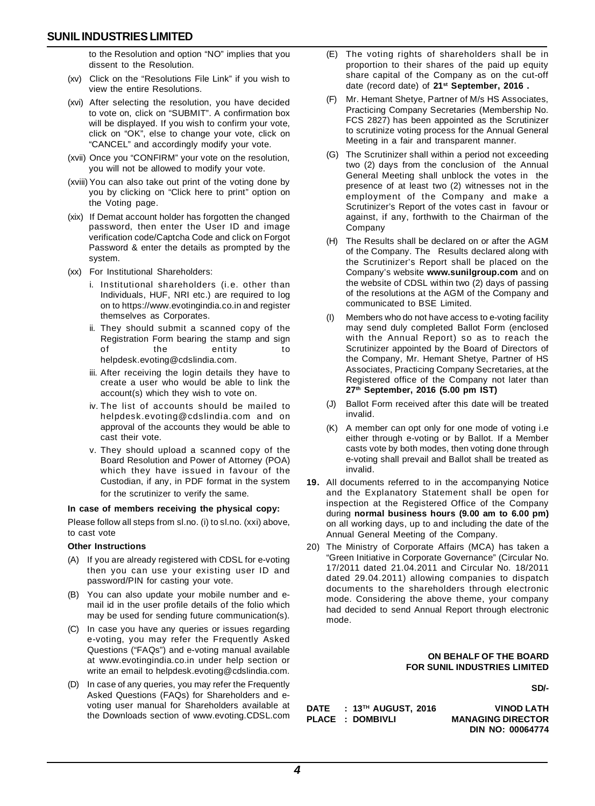to the Resolution and option "NO" implies that you dissent to the Resolution.

- (xv) Click on the "Resolutions File Link" if you wish to view the entire Resolutions.
- (xvi) After selecting the resolution, you have decided to vote on, click on "SUBMIT". A confirmation box will be displayed. If you wish to confirm your vote, click on "OK", else to change your vote, click on "CANCEL" and accordingly modify your vote.
- (xvii) Once you "CONFIRM" your vote on the resolution, you will not be allowed to modify your vote.
- (xviii) You can also take out print of the voting done by you by clicking on "Click here to print" option on the Voting page.
- (xix) If Demat account holder has forgotten the changed password, then enter the User ID and image verification code/Captcha Code and click on Forgot Password & enter the details as prompted by the system.
- (xx) For Institutional Shareholders:
	- i. Institutional shareholders (i.e. other than Individuals, HUF, NRI etc.) are required to log on to https://www.evotingindia.co.in and register themselves as Corporates.
	- ii. They should submit a scanned copy of the Registration Form bearing the stamp and sign of the entity to helpdesk.evoting@cdslindia.com.
	- iii. After receiving the login details they have to create a user who would be able to link the account(s) which they wish to vote on.
	- iv. The list of accounts should be mailed to helpdesk.evoting@cdslindia.com and on approval of the accounts they would be able to cast their vote.
	- v. They should upload a scanned copy of the Board Resolution and Power of Attorney (POA) which they have issued in favour of the Custodian, if any, in PDF format in the system for the scrutinizer to verify the same.

#### **In case of members receiving the physical copy:**

Please follow all steps from sl.no. (i) to sl.no. (xxi) above, to cast vote

#### **Other Instructions**

- (A) If you are already registered with CDSL for e-voting then you can use your existing user ID and password/PIN for casting your vote.
- (B) You can also update your mobile number and email id in the user profile details of the folio which may be used for sending future communication(s).
- (C) In case you have any queries or issues regarding e-voting, you may refer the Frequently Asked Questions ("FAQs") and e-voting manual available at www.evotingindia.co.in under help section or write an email to helpdesk.evoting@cdslindia.com.
- (D) In case of any queries, you may refer the Frequently Asked Questions (FAQs) for Shareholders and evoting user manual for Shareholders available at the Downloads section of www.evoting.CDSL.com
- (E) The voting rights of shareholders shall be in proportion to their shares of the paid up equity share capital of the Company as on the cut-off date (record date) of **21 st September, 2016 .**
- (F) Mr. Hemant Shetye, Partner of M/s HS Associates, Practicing Company Secretaries (Membership No. FCS 2827) has been appointed as the Scrutinizer to scrutinize voting process for the Annual General Meeting in a fair and transparent manner.
- (G) The Scrutinizer shall within a period not exceeding two (2) days from the conclusion of the Annual General Meeting shall unblock the votes in the presence of at least two (2) witnesses not in the employment of the Company and make a Scrutinizer's Report of the votes cast in favour or against, if any, forthwith to the Chairman of the Company
- (H) The Results shall be declared on or after the AGM of the Company. The Results declared along with the Scrutinizer's Report shall be placed on the Company's website **www.sunilgroup.com** and on the website of CDSL within two (2) days of passing of the resolutions at the AGM of the Company and communicated to BSE Limited.
- (I) Members who do not have access to e-voting facility may send duly completed Ballot Form (enclosed with the Annual Report) so as to reach the Scrutinizer appointed by the Board of Directors of the Company, Mr. Hemant Shetye, Partner of HS Associates, Practicing Company Secretaries, at the Registered office of the Company not later than **27 th September, 2016 (5.00 pm IST)**
- (J) Ballot Form received after this date will be treated invalid.
- (K) A member can opt only for one mode of voting i.e either through e-voting or by Ballot. If a Member casts vote by both modes, then voting done through e-voting shall prevail and Ballot shall be treated as invalid.
- **19.** All documents referred to in the accompanying Notice and the Explanatory Statement shall be open for inspection at the Registered Office of the Company during **normal business hours (9.00 am to 6.00 pm)** on all working days, up to and including the date of the Annual General Meeting of the Company.
- 20) The Ministry of Corporate Affairs (MCA) has taken a "Green Initiative in Corporate Governance" (Circular No. 17/2011 dated 21.04.2011 and Circular No. 18/2011 dated 29.04.2011) allowing companies to dispatch documents to the shareholders through electronic mode. Considering the above theme, your company had decided to send Annual Report through electronic mode.

#### **ON BEHALF OF THE BOARD FOR SUNIL INDUSTRIES LIMITED**

**SD/-**

**DATE : 13 THE AUGUST, 2016 WINOD LATH**<br>€ DOMBIVLI MANAGING DIRECTOR  $PLACE$  **:** DOMBIVLI **DIN NO: 00064774**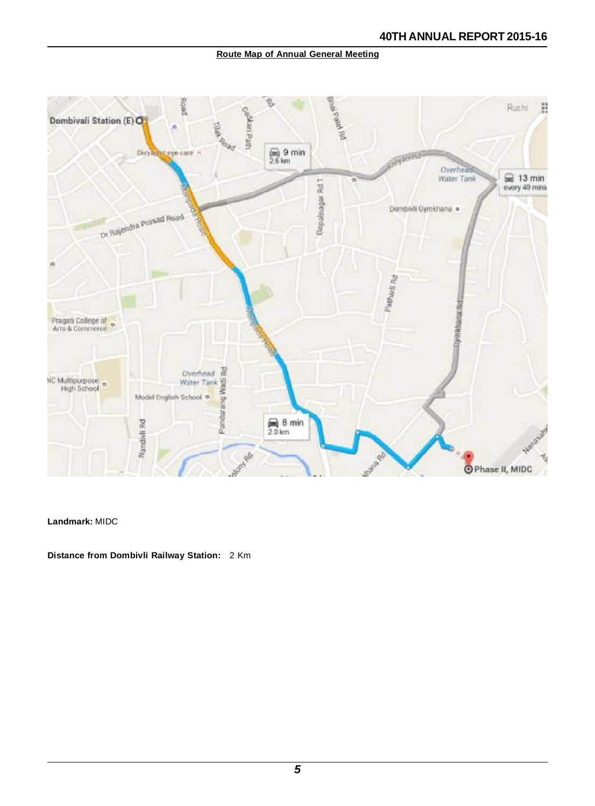## **Route Map of Annual General Meeting**



## **Landmark:** MIDC

**Distance from Dombivli Railway Station:** 2 Km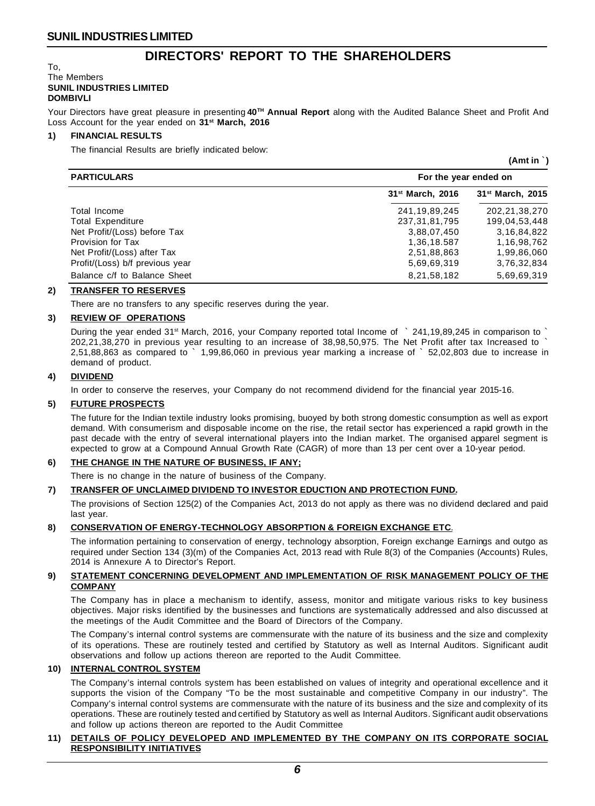## **DIRECTORS' REPORT TO THE SHAREHOLDERS**

#### To, The Members **SUNIL INDUSTRIES LIMITED DOMBIVLI**

Your Directors have great pleasure in presenting 40<sup>TH</sup> Annual Report along with the Audited Balance Sheet and Profit And Loss Account for the year ended on **31 st March, 2016**

### **1) FINANCIAL RESULTS**

The financial Results are briefly indicated below:

| <b>PARTICULARS</b>              | For the year ended on        |                              |
|---------------------------------|------------------------------|------------------------------|
|                                 | 31 <sup>st</sup> March, 2016 | 31 <sup>st</sup> March, 2015 |
| Total Income                    | 241, 19, 89, 245             | 202, 21, 38, 270             |
| <b>Total Expenditure</b>        | 237, 31, 81, 795             | 199,04,53,448                |
| Net Profit/(Loss) before Tax    | 3,88,07,450                  | 3, 16, 84, 822               |
| Provision for Tax               | 1,36,18.587                  | 1,16,98,762                  |
| Net Profit/(Loss) after Tax     | 2,51,88,863                  | 1,99,86,060                  |
| Profit/(Loss) b/f previous year | 5,69,69,319                  | 3,76,32,834                  |
| Balance c/f to Balance Sheet    | 8,21,58,182                  | 5,69,69,319                  |

**(Amt in** `**)**

### **2) TRANSFER TO RESERVES**

There are no transfers to any specific reserves during the year.

## **3) REVIEW OF OPERATIONS**

During the year ended 31<sup>st</sup> March, 2016, your Company reported total Income of ` 241,19,89,245 in comparison to ` 202,21,38,270 in previous year resulting to an increase of 38,98,50,975. The Net Profit after tax Increased to ` 2,51,88,863 as compared to ` 1,99,86,060 in previous year marking a increase of ` 52,02,803 due to increase in demand of product.

#### **4) DIVIDEND**

In order to conserve the reserves, your Company do not recommend dividend for the financial year 2015-16.

#### **5) FUTURE PROSPECTS**

The future for the Indian textile industry looks promising, buoyed by both strong domestic consumption as well as export demand. With consumerism and disposable income on the rise, the retail sector has experienced a rapid growth in the past decade with the entry of several international players into the Indian market. The organised apparel segment is expected to grow at a Compound Annual Growth Rate (CAGR) of more than 13 per cent over a 10-year period.

#### **6) THE CHANGE IN THE NATURE OF BUSINESS, IF ANY;**

There is no change in the nature of business of the Company.

### **7) TRANSFER OF UNCLAIMED DIVIDEND TO INVESTOR EDUCTION AND PROTECTION FUND.**

The provisions of Section 125(2) of the Companies Act, 2013 do not apply as there was no dividend declared and paid last year.

#### **8) CONSERVATION OF ENERGY-TECHNOLOGY ABSORPTION & FOREIGN EXCHANGE ETC**.

The information pertaining to conservation of energy, technology absorption, Foreign exchange Earnings and outgo as required under Section 134 (3)(m) of the Companies Act, 2013 read with Rule 8(3) of the Companies (Accounts) Rules, 2014 is Annexure A to Director's Report.

#### **9) STATEMENT CONCERNING DEVELOPMENT AND IMPLEMENTATION OF RISK MANAGEMENT POLICY OF THE COMPANY**

The Company has in place a mechanism to identify, assess, monitor and mitigate various risks to key business objectives. Major risks identified by the businesses and functions are systematically addressed and also discussed at the meetings of the Audit Committee and the Board of Directors of the Company.

The Company's internal control systems are commensurate with the nature of its business and the size and complexity of its operations. These are routinely tested and certified by Statutory as well as Internal Auditors. Significant audit observations and follow up actions thereon are reported to the Audit Committee.

#### **10) INTERNAL CONTROL SYSTEM**

The Company's internal controls system has been established on values of integrity and operational excellence and it supports the vision of the Company "To be the most sustainable and competitive Company in our industry". The Company's internal control systems are commensurate with the nature of its business and the size and complexity of its operations. These are routinely tested and certified by Statutory as well as Internal Auditors. Significant audit observations and follow up actions thereon are reported to the Audit Committee

#### **11) DETAILS OF POLICY DEVELOPED AND IMPLEMENTED BY THE COMPANY ON ITS CORPORATE SOCIAL RESPONSIBILITY INITIATIVES**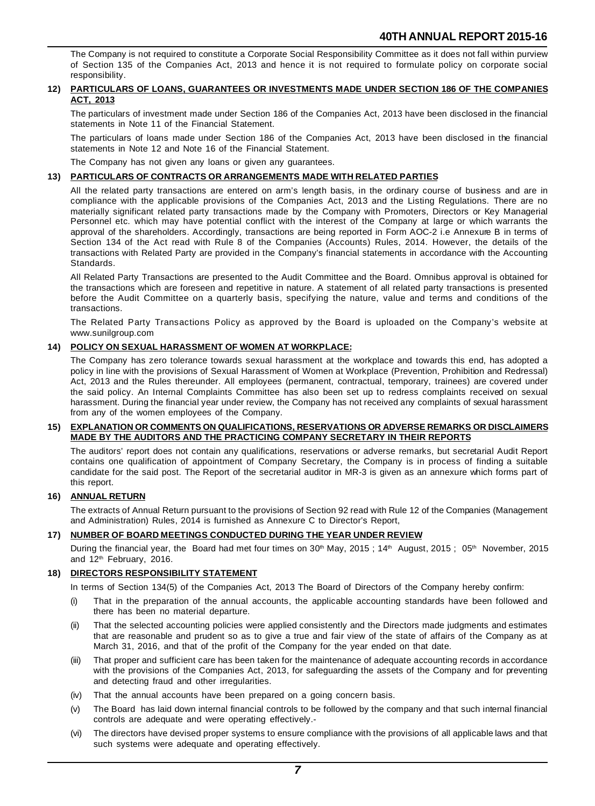The Company is not required to constitute a Corporate Social Responsibility Committee as it does not fall within purview of Section 135 of the Companies Act, 2013 and hence it is not required to formulate policy on corporate social responsibility.

#### **12) PARTICULARS OF LOANS, GUARANTEES OR INVESTMENTS MADE UNDER SECTION 186 OF THE COMPANIES ACT, 2013**

The particulars of investment made under Section 186 of the Companies Act, 2013 have been disclosed in the financial statements in Note 11 of the Financial Statement.

The particulars of loans made under Section 186 of the Companies Act, 2013 have been disclosed in the financial statements in Note 12 and Note 16 of the Financial Statement.

The Company has not given any loans or given any guarantees.

#### **13) PARTICULARS OF CONTRACTS OR ARRANGEMENTS MADE WITH RELATED PARTIES**

All the related party transactions are entered on arm's length basis, in the ordinary course of business and are in compliance with the applicable provisions of the Companies Act, 2013 and the Listing Regulations. There are no materially significant related party transactions made by the Company with Promoters, Directors or Key Managerial Personnel etc. which may have potential conflict with the interest of the Company at large or which warrants the approval of the shareholders. Accordingly, transactions are being reported in Form AOC-2 i.e Annexure B in terms of Section 134 of the Act read with Rule 8 of the Companies (Accounts) Rules, 2014. However, the details of the transactions with Related Party are provided in the Company's financial statements in accordance with the Accounting Standards.

All Related Party Transactions are presented to the Audit Committee and the Board. Omnibus approval is obtained for the transactions which are foreseen and repetitive in nature. A statement of all related party transactions is presented before the Audit Committee on a quarterly basis, specifying the nature, value and terms and conditions of the transactions.

The Related Party Transactions Policy as approved by the Board is uploaded on the Company's website at www.sunilgroup.com

#### **14) POLICY ON SEXUAL HARASSMENT OF WOMEN AT WORKPLACE:**

The Company has zero tolerance towards sexual harassment at the workplace and towards this end, has adopted a policy in line with the provisions of Sexual Harassment of Women at Workplace (Prevention, Prohibition and Redressal) Act, 2013 and the Rules thereunder. All employees (permanent, contractual, temporary, trainees) are covered under the said policy. An Internal Complaints Committee has also been set up to redress complaints received on sexual harassment. During the financial year under review, the Company has not received any complaints of sexual harassment from any of the women employees of the Company.

#### **15) EXPLANATION OR COMMENTS ON QUALIFICATIONS, RESERVATIONS OR ADVERSE REMARKS OR DISCLAIMERS MADE BY THE AUDITORS AND THE PRACTICING COMPANY SECRETARY IN THEIR REPORTS**

The auditors' report does not contain any qualifications, reservations or adverse remarks, but secretarial Audit Report contains one qualification of appointment of Company Secretary, the Company is in process of finding a suitable candidate for the said post. The Report of the secretarial auditor in MR-3 is given as an annexure which forms part of this report.

#### **16) ANNUAL RETURN**

The extracts of Annual Return pursuant to the provisions of Section 92 read with Rule 12 of the Companies (Management and Administration) Rules, 2014 is furnished as Annexure C to Director's Report,

#### **17) NUMBER OF BOARD MEETINGS CONDUCTED DURING THE YEAR UNDER REVIEW**

During the financial year, the Board had met four times on 30<sup>th</sup> May, 2015; 14<sup>th</sup> August, 2015; 05<sup>th</sup> November, 2015 and 12<sup>th</sup> February, 2016.

#### **18) DIRECTORS RESPONSIBILITY STATEMENT**

In terms of Section 134(5) of the Companies Act, 2013 The Board of Directors of the Company hereby confirm:

- (i) That in the preparation of the annual accounts, the applicable accounting standards have been followed and there has been no material departure.
- (ii) That the selected accounting policies were applied consistently and the Directors made judgments and estimates that are reasonable and prudent so as to give a true and fair view of the state of affairs of the Company as at March 31, 2016, and that of the profit of the Company for the year ended on that date.
- (iii) That proper and sufficient care has been taken for the maintenance of adequate accounting records in accordance with the provisions of the Companies Act, 2013, for safeguarding the assets of the Company and for preventing and detecting fraud and other irregularities.
- (iv) That the annual accounts have been prepared on a going concern basis.
- (v) The Board has laid down internal financial controls to be followed by the company and that such internal financial controls are adequate and were operating effectively.-
- (vi) The directors have devised proper systems to ensure compliance with the provisions of all applicable laws and that such systems were adequate and operating effectively.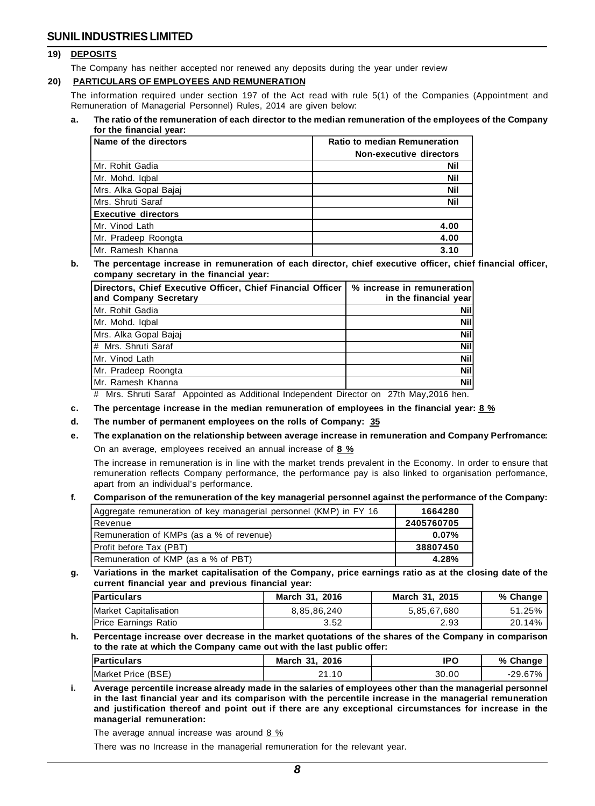## **19) DEPOSITS**

The Company has neither accepted nor renewed any deposits during the year under review

#### **20) PARTICULARS OF EMPLOYEES AND REMUNERATION**

The information required under section 197 of the Act read with rule 5(1) of the Companies (Appointment and Remuneration of Managerial Personnel) Rules, 2014 are given below:

#### **a. The ratio of the remuneration of each director to the median remuneration of the employees of the Company for the financial year:**

| Name of the directors      | <b>Ratio to median Remuneration</b> |
|----------------------------|-------------------------------------|
|                            | Non-executive directors             |
| Mr. Rohit Gadia            | Nil                                 |
| Mr. Mohd. Igbal            | Nil                                 |
| Mrs. Alka Gopal Bajaj      | Nil                                 |
| Mrs. Shruti Saraf          | Nil                                 |
| <b>Executive directors</b> |                                     |
| Mr. Vinod Lath             | 4.00                                |
| Mr. Pradeep Roongta        | 4.00                                |
| Mr. Ramesh Khanna          | 3.10                                |

**b. The percentage increase in remuneration of each director, chief executive officer, chief financial officer, company secretary in the financial year:**

| Directors, Chief Executive Officer, Chief Financial Officer<br>and Company Secretary | % increase in remuneration<br>in the financial year |
|--------------------------------------------------------------------------------------|-----------------------------------------------------|
| IMr. Rohit Gadia                                                                     | Nil                                                 |
| Mr. Mohd. Iqbal                                                                      | Nil                                                 |
| Mrs. Alka Gopal Bajaj                                                                | Nil                                                 |
| # Mrs. Shruti Saraf                                                                  | Nil                                                 |
| IMr. Vinod Lath                                                                      | Nil                                                 |
| Mr. Pradeep Roongta                                                                  | Nil                                                 |
| IMr. Ramesh Khanna                                                                   | Nil                                                 |

# Mrs. Shruti Saraf Appointed as Additional Independent Director on 27th May,2016 hen.

- **c. The percentage increase in the median remuneration of employees in the financial year: 8 %**
- **d. The number of permanent employees on the rolls of Company: 35**
- **e. The explanation on the relationship between average increase in remuneration and Company Perfromance:**

On an average, employees received an annual increase of **8 %**

The increase in remuneration is in line with the market trends prevalent in the Economy. In order to ensure that remuneration reflects Company performance, the performance pay is also linked to organisation performance, apart from an individual's performance.

#### **f. Comparison of the remuneration of the key managerial personnel against the performance of the Company:**

| Aggregate remuneration of key managerial personnel (KMP) in FY 16 | 1664280    |
|-------------------------------------------------------------------|------------|
| Revenue                                                           | 2405760705 |
| Remuneration of KMPs (as a % of revenue)                          | $0.07\%$   |
| Profit before Tax (PBT)                                           | 38807450   |
| Remuneration of KMP (as a % of PBT)                               | 4.28%      |

**g. Variations in the market capitalisation of the Company, price earnings ratio as at the closing date of the current financial year and previous financial year:**

| <b>Particulars</b>    | March 31, 2016 | March 31, 2015 | % Change |
|-----------------------|----------------|----------------|----------|
| Market Capitalisation | 8.85.86.240    | 5.85.67.680    | 51.25%   |
| Price Earnings Ratio  | 3.52           | 2.93           | 20.14%   |

**h. Percentage increase over decrease in the market quotations of the shares of the Company in comparison to the rate at which the Company came out with the last public offer:**

| Particulars        | March<br>2016<br>31 | IPC   | Change<br>%     |
|--------------------|---------------------|-------|-----------------|
| Market Price (BSE) | $\overline{1}$<br>ີ | 30.00 | 67%<br>ົ<br>- 1 |

**i. Average percentile increase already made in the salaries of employees other than the managerial personnel in the last financial year and its comparison with the percentile increase in the managerial remuneration and justification thereof and point out if there are any exceptional circumstances for increase in the managerial remuneration:**

The average annual increase was around  $8\%$ 

There was no Increase in the managerial remuneration for the relevant year.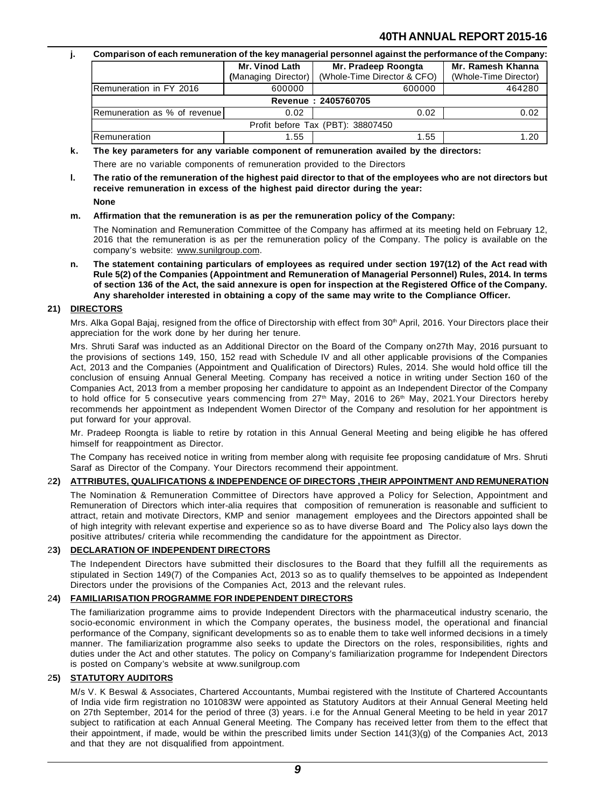## **40TH ANNUAL REPORT 2015-16**

| Comparison of each remuneration of the key managerial personnel against the performance of the Company: |                     |                             |                       |  |
|---------------------------------------------------------------------------------------------------------|---------------------|-----------------------------|-----------------------|--|
|                                                                                                         | Mr. Vinod Lath      | Mr. Pradeep Roongta         | Mr. Ramesh Khanna     |  |
|                                                                                                         | (Managing Director) | (Whole-Time Director & CFO) | (Whole-Time Director) |  |
| Remuneration in FY 2016                                                                                 | 600000              | 600000                      | 464280                |  |
| Revenue: 2405760705                                                                                     |                     |                             |                       |  |
| Remuneration as % of revenue                                                                            | 0.02                | 0.02                        | 0.02                  |  |
| Profit before Tax (PBT): 38807450                                                                       |                     |                             |                       |  |
| Remuneration                                                                                            | 1.55                | 1.55                        | 1.20                  |  |

**k. The key parameters for any variable component of remuneration availed by the directors:** There are no variable components of remuneration provided to the Directors

I. The ratio of the remuneration of the highest paid director to that of the employees who are not directors but **receive remuneration in excess of the highest paid director during the year:**

## **None**

### **m. Affirmation that the remuneration is as per the remuneration policy of the Company:**

The Nomination and Remuneration Committee of the Company has affirmed at its meeting held on February 12, 2016 that the remuneration is as per the remuneration policy of the Company. The policy is available on the company's website: www.sunilgroup.com.

**n. The statement containing particulars of employees as required under section 197(12) of the Act read with Rule 5(2) of the Companies (Appointment and Remuneration of Managerial Personnel) Rules, 2014. In terms of section 136 of the Act, the said annexure is open for inspection at the Registered Office of the Company. Any shareholder interested in obtaining a copy of the same may write to the Compliance Officer.**

### **21) DIRECTORS**

Mrs. Alka Gopal Bajaj, resigned from the office of Directorship with effect from 30 th April, 2016. Your Directors place their appreciation for the work done by her during her tenure.

Mrs. Shruti Saraf was inducted as an Additional Director on the Board of the Company on27th May, 2016 pursuant to the provisions of sections 149, 150, 152 read with Schedule IV and all other applicable provisions of the Companies Act, 2013 and the Companies (Appointment and Qualification of Directors) Rules, 2014. She would hold office till the conclusion of ensuing Annual General Meeting. Company has received a notice in writing under Section 160 of the Companies Act, 2013 from a member proposing her candidature to appoint as an Independent Director of the Company to hold office for 5 consecutive years commencing from 27<sup>th</sup> May, 2016 to 26<sup>th</sup> May, 2021.Your Directors hereby recommends her appointment as Independent Women Director of the Company and resolution for her appointment is put forward for your approval.

Mr. Pradeep Roongta is liable to retire by rotation in this Annual General Meeting and being eligible he has offered himself for reappointment as Director.

The Company has received notice in writing from member along with requisite fee proposing candidature of Mrs. Shruti Saraf as Director of the Company. Your Directors recommend their appointment.

#### 2**2) ATTRIBUTES, QUALIFICATIONS & INDEPENDENCE OF DIRECTORS ,THEIR APPOINTMENT AND REMUNERATION**

The Nomination & Remuneration Committee of Directors have approved a Policy for Selection, Appointment and Remuneration of Directors which inter-alia requires that composition of remuneration is reasonable and sufficient to attract, retain and motivate Directors, KMP and senior management employees and the Directors appointed shall be of high integrity with relevant expertise and experience so as to have diverse Board and The Policy also lays down the positive attributes/ criteria while recommending the candidature for the appointment as Director.

## 2**3) DECLARATION OF INDEPENDENT DIRECTORS**

The Independent Directors have submitted their disclosures to the Board that they fulfill all the requirements as stipulated in Section 149(7) of the Companies Act, 2013 so as to qualify themselves to be appointed as Independent Directors under the provisions of the Companies Act, 2013 and the relevant rules.

#### 2**4) FAMILIARISATION PROGRAMME FOR INDEPENDENT DIRECTORS**

The familiarization programme aims to provide Independent Directors with the pharmaceutical industry scenario, the socio-economic environment in which the Company operates, the business model, the operational and financial performance of the Company, significant developments so as to enable them to take well informed decisions in a timely manner. The familiarization programme also seeks to update the Directors on the roles, responsibilities, rights and duties under the Act and other statutes. The policy on Company's familiarization programme for Independent Directors is posted on Company's website at www.sunilgroup.com

#### 2**5) STATUTORY AUDITORS**

M/s V. K Beswal & Associates, Chartered Accountants, Mumbai registered with the Institute of Chartered Accountants of India vide firm registration no 101083W were appointed as Statutory Auditors at their Annual General Meeting held on 27th September, 2014 for the period of three (3) years. i.e for the Annual General Meeting to be held in year 2017 subject to ratification at each Annual General Meeting. The Company has received letter from them to the effect that their appointment, if made, would be within the prescribed limits under Section 141(3)(g) of the Companies Act, 2013 and that they are not disqualified from appointment.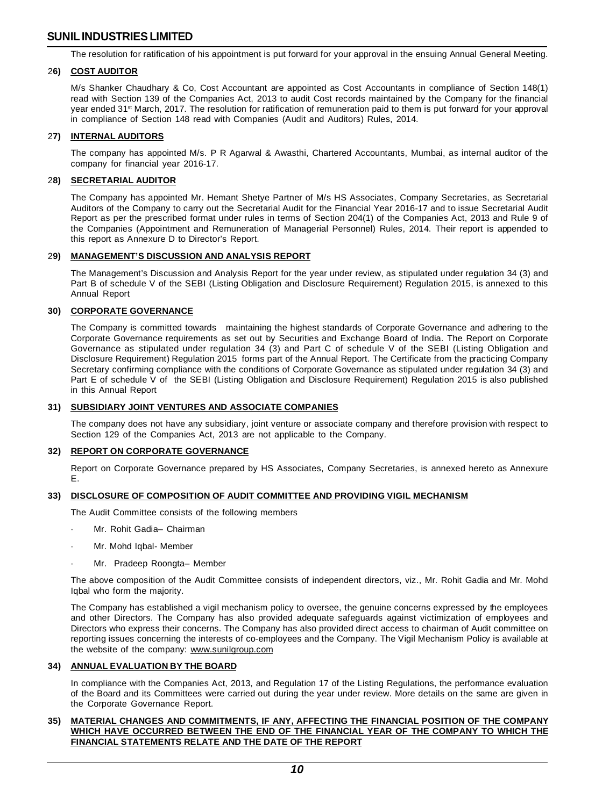The resolution for ratification of his appointment is put forward for your approval in the ensuing Annual General Meeting.

### 2**6) COST AUDITOR**

M/s Shanker Chaudhary & Co, Cost Accountant are appointed as Cost Accountants in compliance of Section 148(1) read with Section 139 of the Companies Act, 2013 to audit Cost records maintained by the Company for the financial year ended 31<sup>st</sup> March, 2017. The resolution for ratification of remuneration paid to them is put forward for your approval in compliance of Section 148 read with Companies (Audit and Auditors) Rules, 2014.

#### 2**7) INTERNAL AUDITORS**

The company has appointed M/s. P R Agarwal & Awasthi, Chartered Accountants, Mumbai, as internal auditor of the company for financial year 2016-17.

#### 2**8) SECRETARIAL AUDITOR**

The Company has appointed Mr. Hemant Shetye Partner of M/s HS Associates, Company Secretaries, as Secretarial Auditors of the Company to carry out the Secretarial Audit for the Financial Year 2016-17 and to issue Secretarial Audit Report as per the prescribed format under rules in terms of Section 204(1) of the Companies Act, 2013 and Rule 9 of the Companies (Appointment and Remuneration of Managerial Personnel) Rules, 2014. Their report is appended to this report as Annexure D to Director's Report.

#### 2**9) MANAGEMENT'S DISCUSSION AND ANALYSIS REPORT**

The Management's Discussion and Analysis Report for the year under review, as stipulated under regulation 34 (3) and Part B of schedule V of the SEBI (Listing Obligation and Disclosure Requirement) Regulation 2015, is annexed to this Annual Report

### **30) CORPORATE GOVERNANCE**

The Company is committed towards maintaining the highest standards of Corporate Governance and adhering to the Corporate Governance requirements as set out by Securities and Exchange Board of India. The Report on Corporate Governance as stipulated under regulation 34 (3) and Part C of schedule V of the SEBI (Listing Obligation and Disclosure Requirement) Regulation 2015 forms part of the Annual Report. The Certificate from the practicing Company Secretary confirming compliance with the conditions of Corporate Governance as stipulated under regulation 34 (3) and Part E of schedule V of the SEBI (Listing Obligation and Disclosure Requirement) Regulation 2015 is also published in this Annual Report

### **31) SUBSIDIARY JOINT VENTURES AND ASSOCIATE COMPANIES**

The company does not have any subsidiary, joint venture or associate company and therefore provision with respect to Section 129 of the Companies Act, 2013 are not applicable to the Company.

#### **32) REPORT ON CORPORATE GOVERNANCE**

Report on Corporate Governance prepared by HS Associates, Company Secretaries, is annexed hereto as Annexure E.

### **33) DISCLOSURE OF COMPOSITION OF AUDIT COMMITTEE AND PROVIDING VIGIL MECHANISM**

The Audit Committee consists of the following members

- Mr. Rohit Gadia- Chairman
- Mr. Mohd Iqbal- Member
- Mr. Pradeep Roongta- Member

The above composition of the Audit Committee consists of independent directors, viz., Mr. Rohit Gadia and Mr. Mohd Iqbal who form the majority.

The Company has established a vigil mechanism policy to oversee, the genuine concerns expressed by the employees and other Directors. The Company has also provided adequate safeguards against victimization of employees and Directors who express their concerns. The Company has also provided direct access to chairman of Audit committee on reporting issues concerning the interests of co-employees and the Company. The Vigil Mechanism Policy is available at the website of the company: www.sunilgroup.com

#### **34) ANNUAL EVALUATION BY THE BOARD**

In compliance with the Companies Act, 2013, and Regulation 17 of the Listing Regulations, the performance evaluation of the Board and its Committees were carried out during the year under review. More details on the same are given in the Corporate Governance Report.

#### **35) MATERIAL CHANGES AND COMMITMENTS, IF ANY, AFFECTING THE FINANCIAL POSITION OF THE COMPANY WHICH HAVE OCCURRED BETWEEN THE END OF THE FINANCIAL YEAR OF THE COMPANY TO WHICH THE FINANCIAL STATEMENTS RELATE AND THE DATE OF THE REPORT**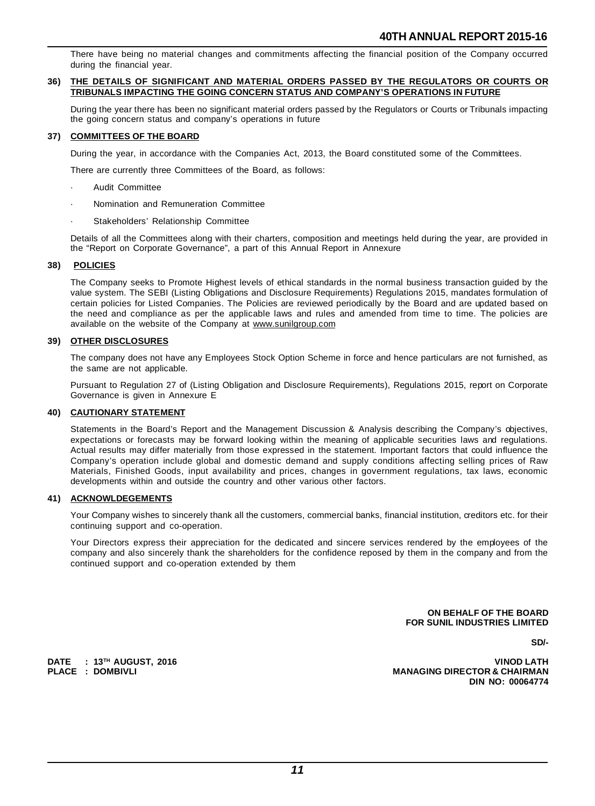There have being no material changes and commitments affecting the financial position of the Company occurred during the financial year.

#### **36) THE DETAILS OF SIGNIFICANT AND MATERIAL ORDERS PASSED BY THE REGULATORS OR COURTS OR TRIBUNALS IMPACTING THE GOING CONCERN STATUS AND COMPANY'S OPERATIONS IN FUTURE**

During the year there has been no significant material orders passed by the Regulators or Courts or Tribunals impacting the going concern status and company's operations in future

#### **37) COMMITTEES OF THE BOARD**

During the year, in accordance with the Companies Act, 2013, the Board constituted some of the Committees.

There are currently three Committees of the Board, as follows:

- · Audit Committee
- · Nomination and Remuneration Committee
- Stakeholders' Relationship Committee

Details of all the Committees along with their charters, composition and meetings held during the year, are provided in the "Report on Corporate Governance", a part of this Annual Report in Annexure

#### **38) POLICIES**

The Company seeks to Promote Highest levels of ethical standards in the normal business transaction guided by the value system. The SEBI (Listing Obligations and Disclosure Requirements) Regulations 2015, mandates formulation of certain policies for Listed Companies. The Policies are reviewed periodically by the Board and are updated based on the need and compliance as per the applicable laws and rules and amended from time to time. The policies are available on the website of the Company at www.sunilgroup.com

#### **39) OTHER DISCLOSURES**

The company does not have any Employees Stock Option Scheme in force and hence particulars are not furnished, as the same are not applicable.

Pursuant to Regulation 27 of (Listing Obligation and Disclosure Requirements), Regulations 2015, report on Corporate Governance is given in Annexure E

#### **40) CAUTIONARY STATEMENT**

Statements in the Board's Report and the Management Discussion & Analysis describing the Company's objectives, expectations or forecasts may be forward looking within the meaning of applicable securities laws and regulations. Actual results may differ materially from those expressed in the statement. Important factors that could influence the Company's operation include global and domestic demand and supply conditions affecting selling prices of Raw Materials, Finished Goods, input availability and prices, changes in government regulations, tax laws, economic developments within and outside the country and other various other factors.

#### **41) ACKNOWLDEGEMENTS**

Your Company wishes to sincerely thank all the customers, commercial banks, financial institution, creditors etc. for their continuing support and co-operation.

Your Directors express their appreciation for the dedicated and sincere services rendered by the employees of the company and also sincerely thank the shareholders for the confidence reposed by them in the company and from the continued support and co-operation extended by them

> **ON BEHALF OF THE BOARD FOR SUNIL INDUSTRIES LIMITED**

> > **SD/-**

**DATE : 13 TH AUGUST, 2016 VINOD LATH PLACE : DOMBIVLI MANAGING DIRECTOR & CHAIRMAN DIN NO: 00064774**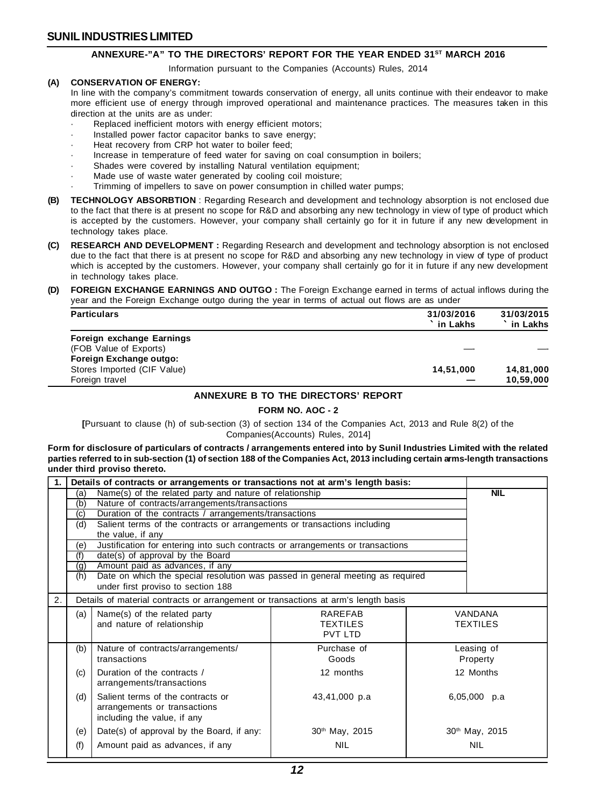### **ANNEXURE-"A" TO THE DIRECTORS' REPORT FOR THE YEAR ENDED 31 ST MARCH 2016**

Information pursuant to the Companies (Accounts) Rules, 2014

#### **(A) CONSERVATION OF ENERGY:**

In line with the company's commitment towards conservation of energy, all units continue with their endeavor to make more efficient use of energy through improved operational and maintenance practices. The measures taken in this direction at the units are as under:

- Replaced inefficient motors with energy efficient motors;
- Installed power factor capacitor banks to save energy;
- Heat recovery from CRP hot water to boiler feed;
- Increase in temperature of feed water for saving on coal consumption in boilers;
- Shades were covered by installing Natural ventilation equipment;
- Made use of waste water generated by cooling coil moisture;
- Trimming of impellers to save on power consumption in chilled water pumps;
- **(B) TECHNOLOGY ABSORBTION** : Regarding Research and development and technology absorption is not enclosed due to the fact that there is at present no scope for R&D and absorbing any new technology in view of type of product which is accepted by the customers. However, your company shall certainly go for it in future if any new development in technology takes place.
- **(C) RESEARCH AND DEVELOPMENT :** Regarding Research and development and technology absorption is not enclosed due to the fact that there is at present no scope for R&D and absorbing any new technology in view of type of product which is accepted by the customers. However, your company shall certainly go for it in future if any new development in technology takes place.
- **(D) FOREIGN EXCHANGE EARNINGS AND OUTGO :** The Foreign Exchange earned in terms of actual inflows during the year and the Foreign Exchange outgo during the year in terms of actual out flows are as under

| <b>Particulars</b>          | 31/03/2016 | 31/03/2015 |
|-----------------------------|------------|------------|
|                             | ` in Lakhs | in Lakhs   |
| Foreign exchange Earnings   |            |            |
| (FOB Value of Exports)      |            |            |
| Foreign Exchange outgo:     |            |            |
| Stores Imported (CIF Value) | 14,51,000  | 14.81.000  |
| Foreign travel              |            | 10,59,000  |

## **ANNEXURE B TO THE DIRECTORS' REPORT**

**FORM NO. AOC - 2**

**[**Pursuant to clause (h) of sub-section (3) of section 134 of the Companies Act, 2013 and Rule 8(2) of the Companies(Accounts) Rules, 2014]

#### **Form for disclosure of particulars of contracts / arrangements entered into by Sunil Industries Limited with the related parties referred to in sub-section (1) of section 188 of the Companies Act, 2013 including certain arms-length transactions under third proviso thereto.**

|    | Details of contracts or arrangements or transactions not at arm's length basis:                                             |                                                                                                                   |                            |                            |                        |  |  |  |
|----|-----------------------------------------------------------------------------------------------------------------------------|-------------------------------------------------------------------------------------------------------------------|----------------------------|----------------------------|------------------------|--|--|--|
|    | (a)                                                                                                                         | Name(s) of the related party and nature of relationship                                                           |                            |                            | <b>NIL</b>             |  |  |  |
|    | (b)                                                                                                                         | Nature of contracts/arrangements/transactions                                                                     |                            |                            |                        |  |  |  |
|    | (c)                                                                                                                         | Duration of the contracts / arrangements/transactions                                                             |                            |                            |                        |  |  |  |
|    | (d)                                                                                                                         | Salient terms of the contracts or arrangements or transactions including                                          |                            |                            |                        |  |  |  |
|    |                                                                                                                             | the value, if any<br>Justification for entering into such contracts or arrangements or transactions               |                            |                            |                        |  |  |  |
|    | (e)                                                                                                                         |                                                                                                                   |                            |                            |                        |  |  |  |
|    | (f)                                                                                                                         |                                                                                                                   |                            |                            |                        |  |  |  |
|    | (g)                                                                                                                         | Amount paid as advances, if any                                                                                   |                            |                            |                        |  |  |  |
|    | Date on which the special resolution was passed in general meeting as required<br>(h)<br>under first proviso to section 188 |                                                                                                                   |                            |                            |                        |  |  |  |
| 2. | Details of material contracts or arrangement or transactions at arm's length basis                                          |                                                                                                                   |                            |                            |                        |  |  |  |
|    | (a)                                                                                                                         | <b>RAREFAB</b><br>Name(s) of the related party<br>and nature of relationship<br><b>TEXTILES</b><br><b>PVT LTD</b> |                            | VANDANA<br><b>TEXTILES</b> |                        |  |  |  |
|    | (b)                                                                                                                         | Nature of contracts/arrangements/<br>transactions                                                                 | Purchase of<br>Goods       |                            | Leasing of<br>Property |  |  |  |
|    | (c)                                                                                                                         | Duration of the contracts /<br>arrangements/transactions                                                          | 12 months                  |                            | 12 Months              |  |  |  |
|    | (d)                                                                                                                         | Salient terms of the contracts or<br>arrangements or transactions<br>including the value, if any                  | 43,41,000 p.a              | 6,05,000 p.a               |                        |  |  |  |
|    | (e)                                                                                                                         | Date(s) of approval by the Board, if any:                                                                         | 30 <sup>th</sup> May, 2015 |                            | 30th May, 2015         |  |  |  |
|    | (f)                                                                                                                         | Amount paid as advances, if any                                                                                   | <b>NIL</b>                 |                            | <b>NIL</b>             |  |  |  |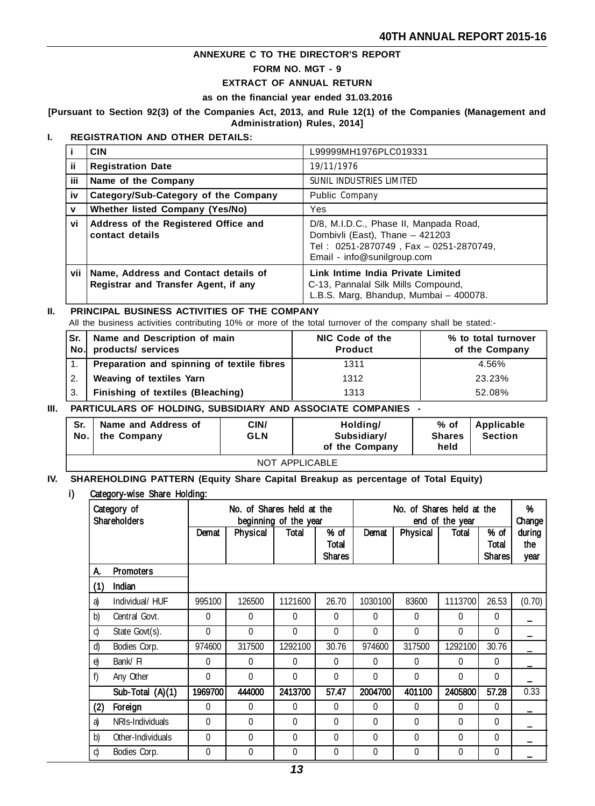## **ANNEXURE C TO THE DIRECTOR'S REPORT**

## **FORM NO. MGT - 9**

## **EXTRACT OF ANNUAL RETURN**

## **as on the financial year ended 31.03.2016**

## **[Pursuant to Section 92(3) of the Companies Act, 2013, and Rule 12(1) of the Companies (Management and Administration) Rules, 2014]**

### **I. REGISTRATION AND OTHER DETAILS:**

| l i          | <b>CIN</b>                                                                   | L99999MH1976PLC019331                                                                                                                              |
|--------------|------------------------------------------------------------------------------|----------------------------------------------------------------------------------------------------------------------------------------------------|
| ii.          | <b>Registration Date</b>                                                     | 19/11/1976                                                                                                                                         |
| iii          | Name of the Company                                                          | SUNIL INDUSTRIES LIMITED                                                                                                                           |
| iv           | Category/Sub-Category of the Company                                         | Public Company                                                                                                                                     |
| $\mathbf{v}$ | Whether listed Company (Yes/No)                                              | Yes                                                                                                                                                |
| vi           | Address of the Registered Office and<br>contact details                      | D/8, M.I.D.C., Phase II, Manpada Road,<br>Dombivli (East), Thane - 421203<br>Tel: 0251-2870749, Fax - 0251-2870749,<br>Email - info@sunilgroup.com |
| vii          | Name, Address and Contact details of<br>Registrar and Transfer Agent, if any | Link Intime India Private Limited<br>C-13, Pannalal Silk Mills Compound,<br>L.B.S. Marg, Bhandup, Mumbai - 400078.                                 |

## **II. PRINCIPAL BUSINESS ACTIVITIES OF THE COMPANY**

All the business activities contributing 10% or more of the total turnover of the company shall be stated:-

| l Sr. | Name and Description of main<br>No. products/ services | NIC Code of the<br>Product | % to total turnover<br>of the Company |
|-------|--------------------------------------------------------|----------------------------|---------------------------------------|
|       | Preparation and spinning of textile fibres             | 1311                       | 4.56%                                 |
| 2.    | Weaving of textiles Yarn                               | 1312                       | 23.23%                                |
| 3.    | Finishing of textiles (Bleaching)                      | 1313                       | 52.08%                                |

## **III. PARTICULARS OF HOLDING, SUBSIDIARY AND ASSOCIATE COMPANIES -**

| Sr.<br>No. l   | Name and Address of<br>the Company | CIN/<br>GLN | Holding/<br>Subsidiary/<br>of the Company | % of<br><b>Shares</b><br>held | Applicable<br><b>Section</b> |  |  |
|----------------|------------------------------------|-------------|-------------------------------------------|-------------------------------|------------------------------|--|--|
| NOT APPLICABLE |                                    |             |                                           |                               |                              |  |  |

## **IV. SHAREHOLDING PATTERN (Equity Share Capital Breakup as percentage of Total Equity)**

## i) Category-wise Share Holding:

|     | Category of<br><b>Shareholders</b> |          | No. of Shares held at the | beginning of the year |                                  | No. of Shares held at the<br>end of the year |              |              |                                | %<br>Change           |
|-----|------------------------------------|----------|---------------------------|-----------------------|----------------------------------|----------------------------------------------|--------------|--------------|--------------------------------|-----------------------|
|     |                                    | Demat    | Physical                  | Total                 | $%$ of<br>Total<br><b>Shares</b> | Demat                                        | Physical     | Total        | % of<br>Total<br><b>Shares</b> | during<br>the<br>year |
| Α.  | <b>Promoters</b>                   |          |                           |                       |                                  |                                              |              |              |                                |                       |
| (1) | Indian                             |          |                           |                       |                                  |                                              |              |              |                                |                       |
| a)  | Individual/ HUF                    | 995100   | 126500                    | 1121600               | 26.70                            | 1030100                                      | 83600        | 1113700      | 26.53                          | (0.70)                |
| b)  | Central Govt.                      | 0        | $\theta$                  | 0                     | $\Omega$                         | $\Omega$                                     | $\theta$     | $\Omega$     | $\Omega$                       |                       |
| c)  | State Govt(s).                     | 0        | $\Omega$                  | 0                     | $\Omega$                         | $\Omega$                                     | $\mathbf{0}$ | $\mathbf{0}$ | 0                              |                       |
| d)  | Bodies Corp.                       | 974600   | 317500                    | 1292100               | 30.76                            | 974600                                       | 317500       | 1292100      | 30.76                          |                       |
| e)  | Bank/FI                            | 0        | $\theta$                  | 0                     | $\Omega$                         | $\Omega$                                     | $\Omega$     | $\Omega$     | $\Omega$                       |                       |
| f)  | Any Other                          | $\theta$ | $\Omega$                  | 0                     | $\Omega$                         | $\Omega$                                     | $\theta$     | $\Omega$     | $\Omega$                       |                       |
|     | Sub-Total (A)(1)                   | 1969700  | 444000                    | 2413700               | 57.47                            | 2004700                                      | 401100       | 2405800      | 57.28                          | 0.33                  |
| (2) | Foreign                            | $\theta$ | $\Omega$                  | 0                     | $\theta$                         | $\Omega$                                     | $\theta$     | $\theta$     | 0                              |                       |
| a)  | NRIs-Individuals                   | $\theta$ | $\Omega$                  | $\Omega$              | $\Omega$                         | $\theta$                                     | $\mathbf{0}$ | $\theta$     | $\Omega$                       |                       |
| b)  | Other-Individuals                  | 0        | $\Omega$                  | 0                     | $\theta$                         | $\theta$                                     | $\theta$     | $\theta$     | $\Omega$                       |                       |
| c)  | Bodies Corp.                       | $\theta$ | $\Omega$                  | 0                     | $\Omega$                         | $\Omega$                                     | $\theta$     | $\theta$     | $\Omega$                       |                       |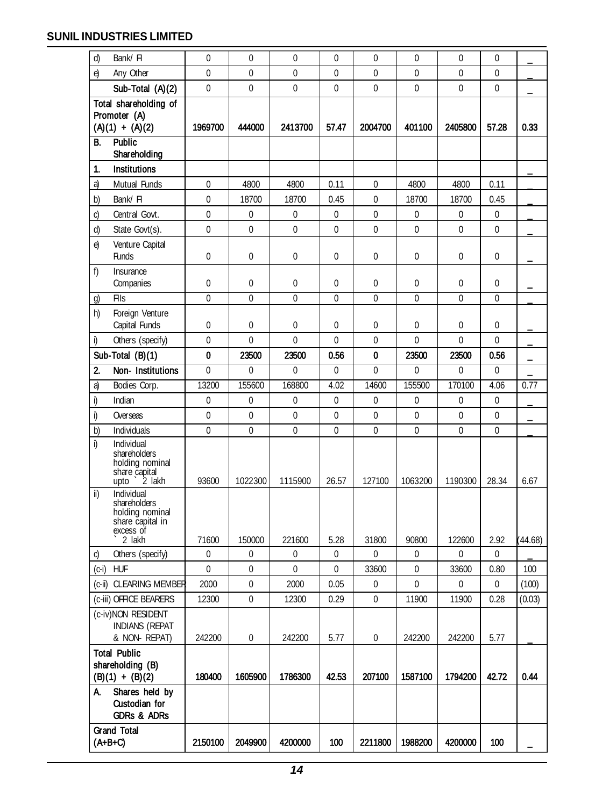| d)      | Bank/FI                                                                         | 0            | 0           | 0            | 0           | 0           | 0           | 0            | 0                |                          |
|---------|---------------------------------------------------------------------------------|--------------|-------------|--------------|-------------|-------------|-------------|--------------|------------------|--------------------------|
| e)      | Any Other                                                                       | 0            | 0           | $\mathbf 0$  | 0           | $\mathbf 0$ | $\mathbf 0$ | $\mathbf 0$  | 0                |                          |
|         | Sub-Total (A)(2)                                                                | $\mathbf 0$  | 0           | $\mathbf 0$  | $\mathbf 0$ | $\Omega$    | $\mathbf 0$ | $\mathbf{0}$ | 0                | $\overline{\phantom{0}}$ |
|         | Total shareholding of                                                           |              |             |              |             |             |             |              |                  |                          |
|         | Promoter (A)                                                                    |              |             |              |             |             |             |              |                  |                          |
|         | $(A)(1) + (A)(2)$                                                               | 1969700      | 444000      | 2413700      | 57.47       | 2004700     | 401100      | 2405800      | 57.28            | 0.33                     |
| В.      | <b>Public</b><br>Shareholding                                                   |              |             |              |             |             |             |              |                  |                          |
| 1.      | <b>Institutions</b>                                                             |              |             |              |             |             |             |              |                  |                          |
| a)      | Mutual Funds                                                                    | 0            | 4800        | 4800         | 0.11        | 0           | 4800        | 4800         | 0.11             |                          |
| b)      | Bank/FI                                                                         | $\mathbf{0}$ | 18700       | 18700        | 0.45        | 0           | 18700       | 18700        | 0.45             |                          |
| c)      | Central Govt.                                                                   | 0            | 0           | 0            | 0           | 0           | 0           | 0            | 0                |                          |
| d)      | State Govt(s).                                                                  | 0            | 0           | $\mathbf 0$  | 0           | $\mathbf 0$ | $\mathbf 0$ | $\mathbf 0$  | 0                |                          |
| e)      | Venture Capital<br>Funds                                                        | 0            | 0           | 0            | 0           | $\mathbf 0$ | 0           | 0            | 0                |                          |
| f)      | Insurance<br>Companies                                                          | 0            | 0           | 0            | 0           | 0           | 0           | 0            | 0                |                          |
| g)      | <b>FIIs</b>                                                                     | $\Omega$     | 0           | $\mathbf{0}$ | 0           | $\Omega$    | $\mathbf 0$ | $\mathbf 0$  | 0                |                          |
| h)      | Foreign Venture<br>Capital Funds                                                | 0            | 0           | 0            | 0           | 0           | 0           | 0            | 0                |                          |
| i)      | Others (specify)                                                                | 0            | $\mathbf 0$ | $\mathbf{0}$ | 0           | $\mathbf 0$ | $\mathbf 0$ | $\mathbf 0$  | $\boldsymbol{0}$ |                          |
|         | Sub-Total (B)(1)                                                                | $\mathbf 0$  | 23500       | 23500        | 0.56        | 0           | 23500       | 23500        | 0.56             |                          |
| 2.      | Non-Institutions                                                                | $\mathbf 0$  | 0           | $\mathbf{0}$ | 0           | $\Omega$    | 0           | $\mathbf 0$  | 0                |                          |
| a)      | Bodies Corp.                                                                    | 13200        | 155600      | 168800       | 4.02        | 14600       | 155500      | 170100       | 4.06             | 0.77                     |
| i)      | Indian                                                                          | 0            | 0           | $\mathbf{0}$ | 0           | 0           | 0           | 0            | 0                |                          |
| i)      | Overseas                                                                        | $\mathbf 0$  | $\mathbf 0$ | $\mathbf 0$  | 0           | $\mathbf 0$ | 0           | $\mathbf 0$  | 0                |                          |
| b)      | Individuals                                                                     | 0            | 0           | $\mathbf 0$  | 0           | $\mathbf 0$ | 0           | $\mathbf 0$  | 0                |                          |
| i)      | Individual<br>shareholders<br>holding nominal<br>share capital<br>upto ` 2 lakh | 93600        | 1022300     | 1115900      | 26.57       | 127100      | 1063200     | 1190300      | 28.34            | 6.67                     |
| ii)     | Individual<br>shareholders<br>holding nominal<br>share capital in<br>excess of  |              |             |              |             |             |             |              |                  |                          |
|         | 2 lakh                                                                          | 71600        | 150000      | 221600       | 5.28        | 31800       | 90800       | 122600       | 2.92             | (44.68)                  |
| C)      | Others (specify)                                                                | 0            | 0           | 0            | 0           | 0           | 0           | $\mathbf 0$  | 0                |                          |
| $(C-i)$ | <b>HUF</b>                                                                      | 0            | 0           | $\mathbf 0$  | $\mathbf 0$ | 33600       | $\mathbf 0$ | 33600        | 0.80             | 100                      |
|         | (c-ii) CLEARING MEMBER                                                          | 2000         | 0           | 2000         | 0.05        | 0           | $\pmb{0}$   | 0            | 0                | (100)                    |
|         | (c-iii) OFFICE BEARERS                                                          | 12300        | 0           | 12300        | 0.29        | $\mathbf 0$ | 11900       | 11900        | 0.28             | (0.03)                   |
|         | (c-iv)NON RESIDENT<br>INDIANS (REPAT<br>& NON-REPAT)                            | 242200       | $\pmb{0}$   | 242200       | 5.77        | 0           | 242200      | 242200       | 5.77             |                          |
|         | <b>Total Public</b>                                                             |              |             |              |             |             |             |              |                  |                          |
|         | shareholding (B)                                                                |              |             |              |             |             |             |              |                  |                          |
|         | $(B)(1) + (B)(2)$                                                               | 180400       | 1605900     | 1786300      | 42.53       | 207100      | 1587100     | 1794200      | 42.72            | 0.44                     |
| Α.      | Shares held by<br>Custodian for<br><b>GDRs &amp; ADRs</b>                       |              |             |              |             |             |             |              |                  |                          |
|         | <b>Grand Total</b><br>$(A+B+C)$                                                 | 2150100      | 2049900     | 4200000      | 100         | 2211800     | 1988200     | 4200000      | 100              |                          |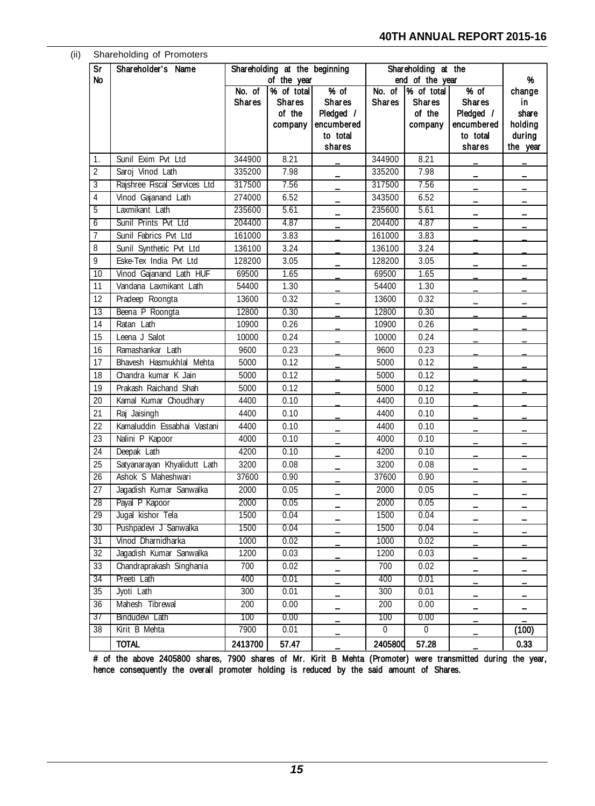| Sr              | Shareholder's Name           |                         | Shareholding at the beginning                    |                                                                          |                         | Shareholding at the                              |                                                                        |                                                         |
|-----------------|------------------------------|-------------------------|--------------------------------------------------|--------------------------------------------------------------------------|-------------------------|--------------------------------------------------|------------------------------------------------------------------------|---------------------------------------------------------|
| <b>No</b>       |                              |                         | of the year                                      |                                                                          |                         | end of the year                                  |                                                                        | %                                                       |
|                 |                              | No. of<br><b>Shares</b> | % of total<br><b>Shares</b><br>of the<br>company | $%$ of<br><b>Shares</b><br>Pledged /<br>encumbered<br>to total<br>shares | No. of<br><b>Shares</b> | % of total<br><b>Shares</b><br>of the<br>company | % of<br><b>Shares</b><br>Pledged /<br>encumbered<br>to total<br>shares | change<br>in.<br>share<br>holding<br>during<br>the year |
| 1.              | Sunil Exim Pvt Ltd           | 344900                  | 8.21                                             |                                                                          | 344900                  | 8.21                                             |                                                                        |                                                         |
| 2               | Saroj Vinod Lath             | 335200                  | 7.98                                             | ÷.                                                                       | 335200                  | 7.98                                             | $\equiv$                                                               | $\equiv$                                                |
| 3               | Rajshree Fiscal Services Ltd | 317500                  | 7.56                                             |                                                                          | 317500                  | 7.56                                             |                                                                        | $\qquad \qquad -$                                       |
| 4               | Vinod Gajanand Lath          | 274000                  | 6.52                                             |                                                                          | 343500                  | 6.52                                             |                                                                        | $\overline{a}$                                          |
| 5               | Laxmikant Lath               | 235600                  | 5.61                                             | -                                                                        | 235600                  | 5.61                                             | -                                                                      | -                                                       |
| 6               | Sunil Prints Pvt Ltd         | 204400                  | 4.87                                             | -                                                                        | 204400                  | 4.87                                             | $\overline{\phantom{0}}$                                               | $\qquad \qquad -$                                       |
| 7               | Sunil Fabrics Pvt Ltd        | 161000                  | 3.83                                             |                                                                          | 161000                  | 3.83                                             |                                                                        |                                                         |
| 8               | Sunil Synthetic Pvt Ltd      | 136100                  | 3.24                                             |                                                                          | 136100                  | 3.24                                             |                                                                        |                                                         |
| 9               | Eske-Tex India Pvt Ltd       | 128200                  | 3.05                                             | $\overline{a}$                                                           | 128200                  | 3.05                                             | $\overline{a}$                                                         | $\overline{\phantom{0}}$                                |
| 10              | Vinod Gajanand Lath HUF      | 69500                   | 1.65                                             |                                                                          | 69500                   | 1.65                                             |                                                                        |                                                         |
| 11              | Vandana Laxmikant Lath       | 54400                   | 1.30                                             |                                                                          | 54400                   | 1.30                                             |                                                                        |                                                         |
| 12              | Pradeep Roongta              | 13600                   | 0.32                                             | -                                                                        | 13600                   | 0.32                                             | -                                                                      | $\overline{\phantom{0}}$                                |
| 13              | Beena P Roongta              | 12800                   | 0.30                                             | -                                                                        | 12800                   | 0.30                                             | -                                                                      | -                                                       |
| 14              | Ratan Lath                   | 10900                   | 0.26                                             |                                                                          | 10900                   | 0.26                                             |                                                                        | $\overline{\phantom{0}}$                                |
| 15              | Leena J Salot                | 10000                   | 0.24                                             |                                                                          | 10000                   | 0.24                                             |                                                                        |                                                         |
| 16              | Ramashankar Lath             | 9600                    | 0.23                                             |                                                                          | 9600                    | 0.23                                             |                                                                        |                                                         |
| 17              | Bhavesh Hasmukhlal Mehta     | 5000                    | 0.12                                             |                                                                          | 5000                    | 0.12                                             |                                                                        |                                                         |
| 18              | Chandra kumar K Jain         | 5000                    | 0.12                                             |                                                                          | 5000                    | 0.12                                             |                                                                        |                                                         |
| 19              | Prakash Raichand Shah        | 5000                    | 0.12                                             |                                                                          | 5000                    | 0.12                                             |                                                                        |                                                         |
| 20              | Kamal Kumar Choudhary        | 4400                    | 0.10                                             |                                                                          | 4400                    | 0.10                                             |                                                                        |                                                         |
| 21              | Raj Jaisingh                 | 4400                    | 0.10                                             |                                                                          | 4400                    | 0.10                                             |                                                                        |                                                         |
| 22              | Kamaluddin Essabhai Vastani  | 4400                    | 0.10                                             |                                                                          | 4400                    | 0.10                                             |                                                                        |                                                         |
| $\overline{23}$ | Nalini P Kapoor              | 4000                    | 0.10                                             |                                                                          | 4000                    | 0.10                                             |                                                                        |                                                         |
| 24              | Deepak Lath                  | 4200                    | 0.10                                             |                                                                          | 4200                    | 0.10                                             |                                                                        | $\overline{\phantom{0}}$                                |
| 25              | Satyanarayan Khyalidutt Lath | 3200                    | 0.08                                             |                                                                          | 3200                    | 0.08                                             |                                                                        | $\overline{\phantom{0}}$                                |
| 26              | Ashok S Maheshwari           | 37600                   | 0.90                                             | -                                                                        | 37600                   | 0.90                                             | $\overline{\phantom{0}}$                                               | $\overline{\phantom{0}}$                                |
| 27              | Jagadish Kumar Sanwalka      | 2000                    | 0.05                                             | L,                                                                       | 2000                    | 0.05                                             | -                                                                      | $\overline{\phantom{0}}$                                |
| 28              | Payal P Kapoor               | 2000                    | 0.05                                             | $\equiv$                                                                 | 2000                    | 0.05                                             | $\overline{\phantom{0}}$                                               | $\overline{a}$                                          |
| 29              | Jugal kishor Tela            | 1500                    | 0.04                                             | $\overline{\phantom{0}}$                                                 | 1500                    | 0.04                                             | $\overline{\phantom{0}}$                                               | $\overline{\phantom{0}}$                                |
| 30              | Pushpadevi J Sanwalka        | 1500                    | 0.04                                             |                                                                          | 1500                    | 0.04                                             |                                                                        | $\overline{\phantom{0}}$                                |
| 31              | Vinod Dharnidharka           | 1000                    | 0.02                                             |                                                                          | 1000                    | 0.02                                             |                                                                        | $\overline{\phantom{0}}$                                |
| 32              | Jagadish Kumar Sanwalka      | 1200                    | 0.03                                             |                                                                          | 1200                    | 0.03                                             |                                                                        | -                                                       |
| 33              | Chandraprakash Singhania     | 700                     | 0.02                                             | -                                                                        | 700                     | 0.02                                             | -                                                                      | $\qquad \qquad -$                                       |
| 34              | Preeti Lath                  | 400                     | 0.01                                             | $\overline{\phantom{0}}$                                                 | 400                     | 0.01                                             | -                                                                      | $\overline{\phantom{0}}$                                |
| 35              | Jyoti Lath                   | 300                     | 0.01                                             | $\overline{a}$                                                           | 300                     | 0.01                                             | $\overline{a}$                                                         | $\overline{\phantom{0}}$                                |
| 36              | Mahesh Tibrewal              | 200<br>100              | 0.00<br>0.00                                     | -                                                                        | 200<br>100              | 0.00<br>0.00                                     | -                                                                      | -                                                       |
| 37              | Bindudevi Lath               |                         |                                                  |                                                                          | $\mathbf 0$             | $\mathbf 0$                                      |                                                                        |                                                         |
| 38              | Kirit B Mehta                | 7900                    | 0.01                                             |                                                                          |                         |                                                  | -                                                                      | (100)                                                   |
|                 | <b>TOTAL</b>                 | 2413700                 | 57.47                                            |                                                                          | 2405800                 | 57.28                                            |                                                                        | 0.33                                                    |

# of the above 2405800 shares, 7900 shares of Mr. Kirit B Mehta (Promoter) were transmitted during the year, hence consequently the overall promoter holding is reduced by the said amount of Shares.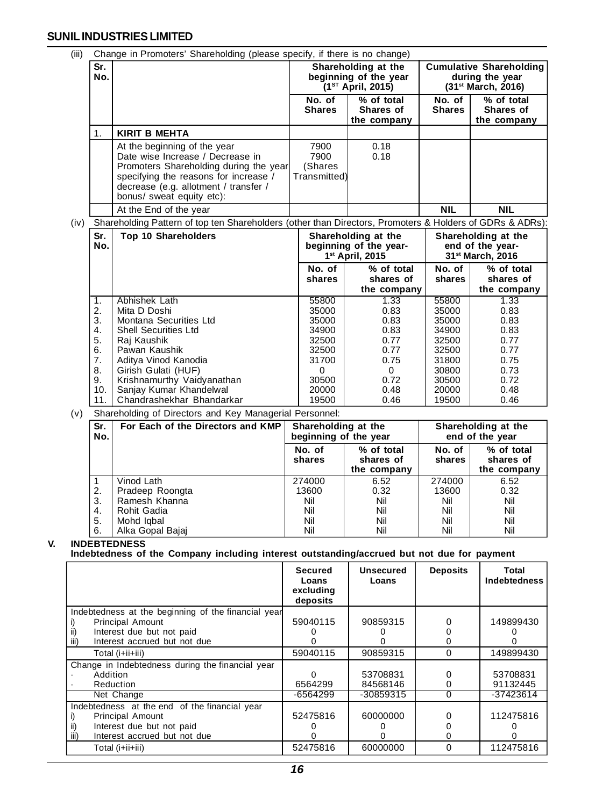| (iii) |            | Change in Promoters' Shareholding (please specify, if there is no change)                                                                                                                                                 |                                              |                                                                        |                         |                                                                                     |
|-------|------------|---------------------------------------------------------------------------------------------------------------------------------------------------------------------------------------------------------------------------|----------------------------------------------|------------------------------------------------------------------------|-------------------------|-------------------------------------------------------------------------------------|
|       | Sr.<br>No. |                                                                                                                                                                                                                           |                                              | Shareholding at the<br>beginning of the year<br>$(1^{ST}$ April, 2015) |                         | <b>Cumulative Shareholding</b><br>during the year<br>(31 <sup>st</sup> March, 2016) |
|       |            |                                                                                                                                                                                                                           | No. of<br><b>Shares</b>                      | % of total<br>Shares of<br>the company                                 | No. of<br><b>Shares</b> | % of total<br><b>Shares of</b><br>the company                                       |
|       | 1.         | <b>KIRIT B MEHTA</b>                                                                                                                                                                                                      |                                              |                                                                        |                         |                                                                                     |
|       |            | At the beginning of the year<br>Date wise Increase / Decrease in<br>Promoters Shareholding during the year<br>specifying the reasons for increase /<br>decrease (e.g. allotment / transfer /<br>bonus/ sweat equity etc): | 7900<br>7900<br>(Shares<br>Transmitted)      | 0.18<br>0.18                                                           |                         |                                                                                     |
|       |            | At the End of the year                                                                                                                                                                                                    |                                              |                                                                        | <b>NIL</b>              | <b>NIL</b>                                                                          |
| (iv)  |            | Shareholding Pattern of top ten Shareholders (other than Directors, Promoters & Holders of GDRs & ADRs):                                                                                                                  |                                              |                                                                        |                         |                                                                                     |
|       | Sr.<br>No. | <b>Top 10 Shareholders</b>                                                                                                                                                                                                |                                              | Shareholding at the<br>beginning of the year-<br>1st April, 2015       |                         | Shareholding at the<br>end of the year-<br>31 <sup>st</sup> March, 2016             |
|       |            |                                                                                                                                                                                                                           | No. of<br>shares                             | % of total<br>shares of<br>the company                                 | No. of<br>shares        | % of total<br>shares of<br>the company                                              |
|       | 1.         | Abhishek Lath                                                                                                                                                                                                             | 55800                                        | 1.33                                                                   | 55800                   | 1.33                                                                                |
|       | 2.         | Mita D Doshi                                                                                                                                                                                                              | 35000                                        | 0.83                                                                   | 35000                   | 0.83                                                                                |
|       | 3.<br>4.   | Montana Securities Ltd<br><b>Shell Securities Ltd</b>                                                                                                                                                                     | 35000<br>34900                               | 0.83<br>0.83                                                           | 35000<br>34900          | 0.83<br>0.83                                                                        |
|       | 5.         | Raj Kaushik                                                                                                                                                                                                               | 32500                                        | 0.77                                                                   | 32500                   | 0.77                                                                                |
|       | 6.         | Pawan Kaushik                                                                                                                                                                                                             | 32500                                        | 0.77                                                                   | 32500                   | 0.77                                                                                |
|       | 7.         | Aditya Vinod Kanodia                                                                                                                                                                                                      | 31700                                        | 0.75                                                                   | 31800                   | 0.75                                                                                |
|       | 8.         | Girish Gulati (HUF)                                                                                                                                                                                                       | 0                                            | 0                                                                      | 30800                   | 0.73                                                                                |
|       | 9.         | Krishnamurthy Vaidyanathan                                                                                                                                                                                                | 30500                                        | 0.72                                                                   | 30500                   | 0.72                                                                                |
|       | 10.        | Sanjay Kumar Khandelwal                                                                                                                                                                                                   | 20000                                        | 0.48                                                                   | 20000                   | 0.48                                                                                |
|       | 11.        | Chandrashekhar Bhandarkar                                                                                                                                                                                                 | 19500                                        | 0.46                                                                   | 19500                   | 0.46                                                                                |
| (v)   |            | Shareholding of Directors and Key Managerial Personnel:                                                                                                                                                                   |                                              |                                                                        |                         |                                                                                     |
|       | Sr.<br>No. | For Each of the Directors and KMP                                                                                                                                                                                         | Shareholding at the<br>beginning of the year |                                                                        |                         | Shareholding at the<br>end of the year                                              |
|       |            |                                                                                                                                                                                                                           | No. of                                       | % of total                                                             | No. of                  | % of total                                                                          |
|       |            |                                                                                                                                                                                                                           | shares                                       | shares of                                                              | shares                  | shares of                                                                           |
|       |            |                                                                                                                                                                                                                           |                                              | the company                                                            |                         | the company                                                                         |
|       | 1          | Vinod Lath                                                                                                                                                                                                                | 274000                                       | 6.52                                                                   | 274000                  | 6.52                                                                                |
|       | 2.         | Pradeep Roongta                                                                                                                                                                                                           | 13600                                        | 0.32                                                                   | 13600                   | 0.32                                                                                |
|       | 3.         | Ramesh Khanna                                                                                                                                                                                                             | Nil                                          | Nil                                                                    | Nil                     | Nil                                                                                 |
|       | 4.         | Rohit Gadia                                                                                                                                                                                                               | Nil                                          | Nil                                                                    | Nil                     | Nil                                                                                 |
|       | 5.         | Mohd Iqbal                                                                                                                                                                                                                | Nil<br>Nil                                   | Nil<br>Nil                                                             | Nil                     | Nil<br>Nil                                                                          |
|       | 6.         | Alka Gopal Bajaj                                                                                                                                                                                                          |                                              |                                                                        | Nil                     |                                                                                     |

**V. INDEBTEDNESS**

**Indebtedness of the Company including interest outstanding/accrued but not due for payment**

|                                                     | <b>Secured</b><br>Loans<br>excluding<br>deposits | <b>Unsecured</b><br>Loans | <b>Deposits</b> | Total<br><b>Indebtedness</b> |
|-----------------------------------------------------|--------------------------------------------------|---------------------------|-----------------|------------------------------|
| Indebtedness at the beginning of the financial year |                                                  |                           |                 |                              |
| <b>Principal Amount</b>                             | 59040115                                         | 90859315                  |                 | 149899430                    |
| ii)<br>Interest due but not paid                    |                                                  |                           |                 |                              |
| iii)<br>Interest accrued but not due                |                                                  |                           |                 |                              |
| Total (i+ii+iii)                                    | 59040115                                         | 90859315                  | 0               | 149899430                    |
| Change in Indebtedness during the financial year    |                                                  |                           |                 |                              |
| Addition                                            |                                                  | 53708831                  |                 | 53708831                     |
| Reduction                                           | 6564299                                          | 84568146                  |                 | 91132445                     |
| Net Change                                          | -6564299                                         | -30859315                 | 0               | -37423614                    |
| Indebtedness at the end of the financial year       |                                                  |                           |                 |                              |
| <b>Principal Amount</b>                             | 52475816                                         | 60000000                  |                 | 112475816                    |
| ii)<br>Interest due but not paid                    |                                                  |                           |                 |                              |
| iii)<br>Interest accrued but not due                |                                                  |                           |                 |                              |
| Total (i+ii+iii)                                    | 52475816                                         | 60000000                  | 0               | 112475816                    |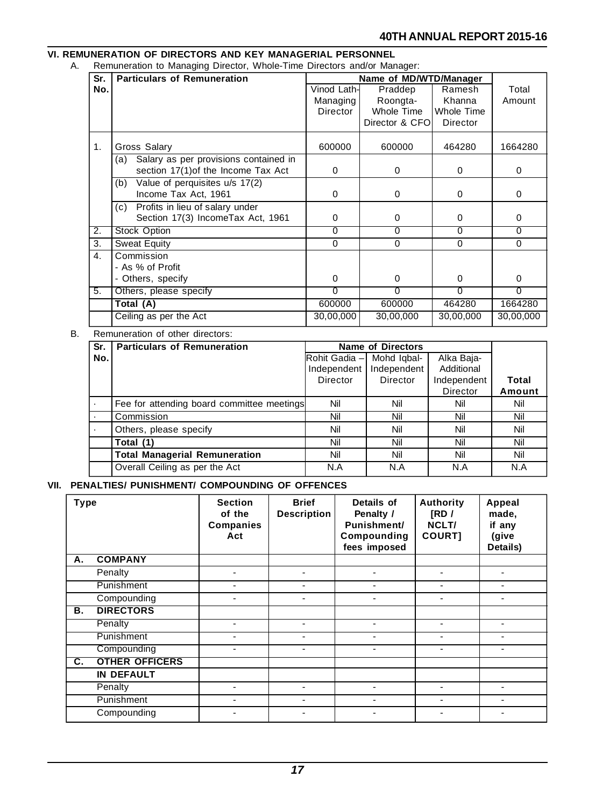## **VI. REMUNERATION OF DIRECTORS AND KEY MANAGERIAL PERSONNEL**

A. Remuneration to Managing Director, Whole-Time Directors and/or Manager:

| Sr.              | <b>Particulars of Remuneration</b>           |                 | Name of MD/WTD/Manager |                |                |
|------------------|----------------------------------------------|-----------------|------------------------|----------------|----------------|
| No.              |                                              | Vinod Lath-     | Praddep                | Ramesh         | Total          |
|                  |                                              | Managing        | Roongta-               | Khanna         | Amount         |
|                  |                                              | <b>Director</b> | Whole Time             | Whole Time     |                |
|                  |                                              |                 | Director & CFO         | Director       |                |
| 1.               | Gross Salary                                 | 600000          | 600000                 | 464280         | 1664280        |
|                  | Salary as per provisions contained in<br>(a) |                 |                        |                |                |
|                  | section 17(1) of the Income Tax Act          | 0               | 0                      | $\mathbf 0$    | 0              |
|                  | Value of perquisites u/s 17(2)<br>(b)        |                 |                        |                |                |
|                  | Income Tax Act, 1961                         | $\Omega$        | $\Omega$               | $\mathbf 0$    | $\Omega$       |
|                  | Profits in lieu of salary under<br>(c)       |                 |                        |                |                |
|                  | Section 17(3) IncomeTax Act, 1961            | 0               | 0                      | 0              | 0              |
| $\overline{2}$ . | Stock Option                                 | $\overline{0}$  | $\overline{0}$         | $\Omega$       | $\overline{0}$ |
| 3.               | <b>Sweat Equity</b>                          | $\mathbf 0$     | $\mathbf 0$            | $\Omega$       | $\mathbf 0$    |
| 4.               | Commission                                   |                 |                        |                |                |
|                  | - As % of Profit                             |                 |                        |                |                |
|                  | - Others, specify                            | $\Omega$        | $\Omega$               | $\Omega$       | $\Omega$       |
| 5.               | Others, please specify                       | $\overline{0}$  | $\Omega$               | $\overline{0}$ | $\overline{0}$ |
|                  | Total (A)                                    | 600000          | 600000                 | 464280         | 1664280        |
|                  | Ceiling as per the Act                       | 30,00,000       | 30,00,000              | 30,00,000      | 30,00,000      |

## B. Remuneration of other directors:

| Sr. | <b>Particulars of Remuneration</b>         | <b>Name of Directors</b> |             |             |        |
|-----|--------------------------------------------|--------------------------|-------------|-------------|--------|
| No. |                                            | Rohit Gadia -            | Mohd Igbal- | Alka Baja-  |        |
|     |                                            | Independent              | Independent | Additional  |        |
|     |                                            | Director                 | Director    | Independent | Total  |
|     |                                            |                          |             | Director    | Amount |
|     | Fee for attending board committee meetings | Nil                      | Nil         | Nil         | Nil    |
|     | Commission                                 | Nil                      | Nil         | Nil         | Nil    |
|     | Others, please specify                     | Nil                      | Nil         | Nil         | Nil    |
|     | Total (1)                                  | Nil                      | Nil         | Nil         | Nil    |
|     | <b>Total Managerial Remuneration</b>       | Nil                      | Nil         | Nil         | Nil    |
|     | Overall Ceiling as per the Act             | N.A                      | N.A         | N.A         | N.A    |

## **VII. PENALTIES/ PUNISHMENT/ COMPOUNDING OF OFFENCES**

| <b>Type</b> |                       | <b>Section</b><br>of the<br>Companies<br>Act | <b>Brief</b><br><b>Description</b> | Details of<br>Penalty /<br>Punishment/<br>Compounding<br>fees imposed | Authority<br>IRD/<br>NCLT/<br>COURT] | Appeal<br>made,<br>if any<br>(give<br>Details) |
|-------------|-----------------------|----------------------------------------------|------------------------------------|-----------------------------------------------------------------------|--------------------------------------|------------------------------------------------|
| А.          | <b>COMPANY</b>        |                                              |                                    |                                                                       |                                      |                                                |
|             | Penalty               |                                              |                                    |                                                                       |                                      |                                                |
|             | Punishment            |                                              |                                    |                                                                       | ٠                                    |                                                |
|             | Compounding           |                                              |                                    |                                                                       |                                      |                                                |
| В.          | <b>DIRECTORS</b>      |                                              |                                    |                                                                       |                                      |                                                |
|             | Penalty               | ۰                                            | $\blacksquare$                     | ۰                                                                     | $\overline{\phantom{a}}$             |                                                |
|             | Punishment            | ۰                                            | $\overline{\phantom{a}}$           | ۰                                                                     | $\blacksquare$                       | ٠                                              |
|             | Compounding           | ۰                                            | $\blacksquare$                     | ۰                                                                     | ٠                                    |                                                |
| C.          | <b>OTHER OFFICERS</b> |                                              |                                    |                                                                       |                                      |                                                |
|             | <b>IN DEFAULT</b>     |                                              |                                    |                                                                       |                                      |                                                |
|             | Penalty               |                                              |                                    |                                                                       |                                      |                                                |
|             | Punishment            |                                              |                                    |                                                                       |                                      |                                                |
|             | Compounding           |                                              |                                    |                                                                       |                                      |                                                |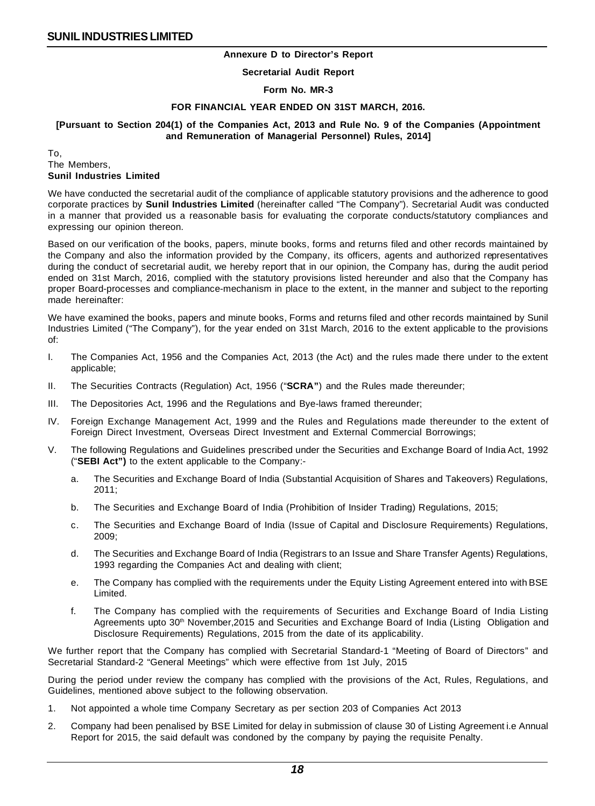## **Annexure D to Director's Report**

**Secretarial Audit Report**

**Form No. MR-3**

#### **FOR FINANCIAL YEAR ENDED ON 31ST MARCH, 2016.**

## **[Pursuant to Section 204(1) of the Companies Act, 2013 and Rule No. 9 of the Companies (Appointment and Remuneration of Managerial Personnel) Rules, 2014]**

To, The Members, **Sunil Industries Limited**

We have conducted the secretarial audit of the compliance of applicable statutory provisions and the adherence to good corporate practices by **Sunil Industries Limited** (hereinafter called "The Company"). Secretarial Audit was conducted in a manner that provided us a reasonable basis for evaluating the corporate conducts/statutory compliances and expressing our opinion thereon.

Based on our verification of the books, papers, minute books, forms and returns filed and other records maintained by the Company and also the information provided by the Company, its officers, agents and authorized representatives during the conduct of secretarial audit, we hereby report that in our opinion, the Company has, during the audit period ended on 31st March, 2016, complied with the statutory provisions listed hereunder and also that the Company has proper Board-processes and compliance-mechanism in place to the extent, in the manner and subject to the reporting made hereinafter:

We have examined the books, papers and minute books, Forms and returns filed and other records maintained by Sunil Industries Limited ("The Company"), for the year ended on 31st March, 2016 to the extent applicable to the provisions of:

- I. The Companies Act, 1956 and the Companies Act, 2013 (the Act) and the rules made there under to the extent applicable;
- II. The Securities Contracts (Regulation) Act, 1956 ("**SCRA"**) and the Rules made thereunder;
- III. The Depositories Act, 1996 and the Regulations and Bye-laws framed thereunder;
- IV. Foreign Exchange Management Act, 1999 and the Rules and Regulations made thereunder to the extent of Foreign Direct Investment, Overseas Direct Investment and External Commercial Borrowings;
- V. The following Regulations and Guidelines prescribed under the Securities and Exchange Board of India Act, 1992 ("**SEBI Act")** to the extent applicable to the Company:
	- a. The Securities and Exchange Board of India (Substantial Acquisition of Shares and Takeovers) Regulations, 2011;
	- b. The Securities and Exchange Board of India (Prohibition of Insider Trading) Regulations, 2015;
	- c. The Securities and Exchange Board of India (Issue of Capital and Disclosure Requirements) Regulations, 2009;
	- d. The Securities and Exchange Board of India (Registrars to an Issue and Share Transfer Agents) Regulations, 1993 regarding the Companies Act and dealing with client;
	- e. The Company has complied with the requirements under the Equity Listing Agreement entered into with BSE Limited.
	- f. The Company has complied with the requirements of Securities and Exchange Board of India Listing Agreements upto 30<sup>th</sup> November,2015 and Securities and Exchange Board of India (Listing Obligation and Disclosure Requirements) Regulations, 2015 from the date of its applicability.

We further report that the Company has complied with Secretarial Standard-1 "Meeting of Board of Directors" and Secretarial Standard-2 "General Meetings" which were effective from 1st July, 2015

During the period under review the company has complied with the provisions of the Act, Rules, Regulations, and Guidelines, mentioned above subject to the following observation.

- 1. Not appointed a whole time Company Secretary as per section 203 of Companies Act 2013
- 2. Company had been penalised by BSE Limited for delay in submission of clause 30 of Listing Agreement i.e Annual Report for 2015, the said default was condoned by the company by paying the requisite Penalty.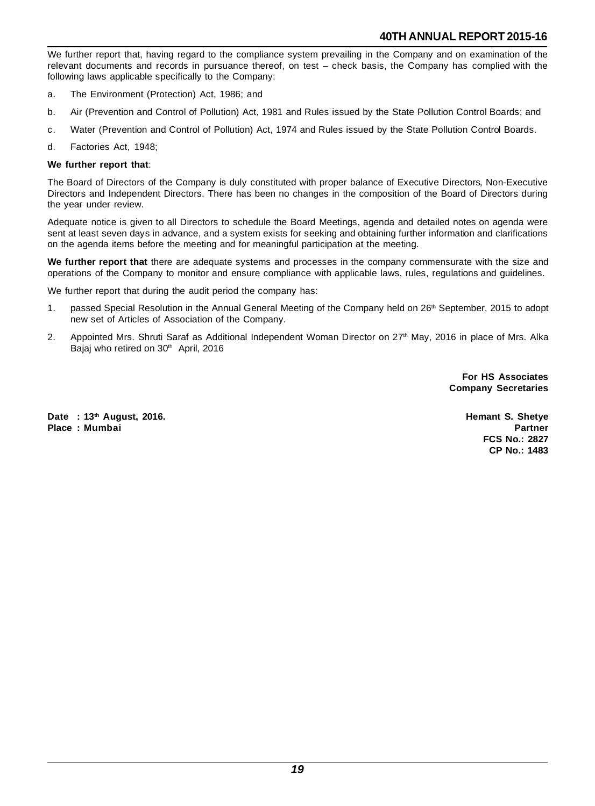We further report that, having regard to the compliance system prevailing in the Company and on examination of the relevant documents and records in pursuance thereof, on test – check basis, the Company has complied with the following laws applicable specifically to the Company:

- a. The Environment (Protection) Act, 1986; and
- b. Air (Prevention and Control of Pollution) Act, 1981 and Rules issued by the State Pollution Control Boards; and
- c. Water (Prevention and Control of Pollution) Act, 1974 and Rules issued by the State Pollution Control Boards.
- d. Factories Act, 1948;

## **We further report that**:

The Board of Directors of the Company is duly constituted with proper balance of Executive Directors, Non-Executive Directors and Independent Directors. There has been no changes in the composition of the Board of Directors during the year under review.

Adequate notice is given to all Directors to schedule the Board Meetings, agenda and detailed notes on agenda were sent at least seven days in advance, and a system exists for seeking and obtaining further information and clarifications on the agenda items before the meeting and for meaningful participation at the meeting.

**We further report that** there are adequate systems and processes in the company commensurate with the size and operations of the Company to monitor and ensure compliance with applicable laws, rules, regulations and guidelines.

We further report that during the audit period the company has:

- 1. passed Special Resolution in the Annual General Meeting of the Company held on 26 th September, 2015 to adopt new set of Articles of Association of the Company.
- 2. Appointed Mrs. Shruti Saraf as Additional Independent Woman Director on 27<sup>th</sup> May, 2016 in place of Mrs. Alka Bajaj who retired on 30<sup>th</sup> April, 2016

**For HS Associates Company Secretaries**

**Date : 13 Place : Mumbai Partner**

**th August, 2016. Hemant S. Shetye FCS No.: 2827 CP No.: 1483**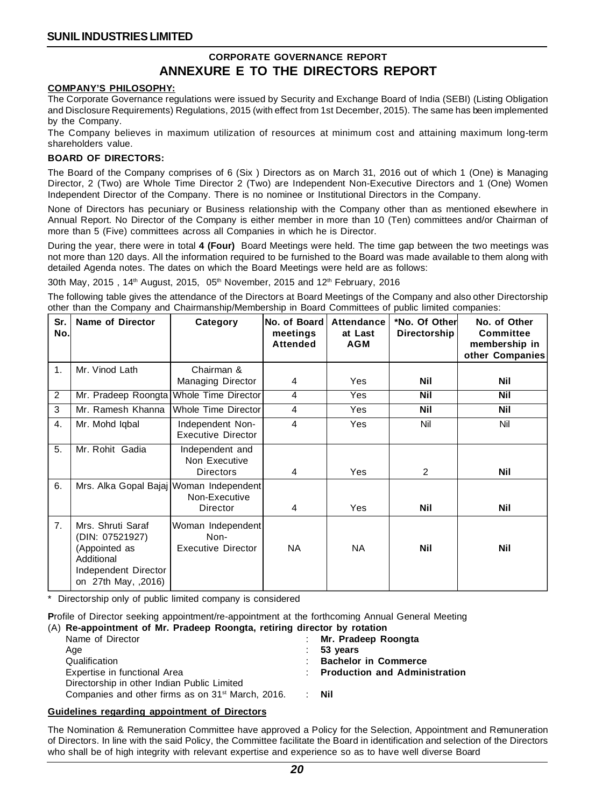## **CORPORATE GOVERNANCE REPORT ANNEXURE E TO THE DIRECTORS REPORT**

## **COMPANY'S PHILOSOPHY:**

The Corporate Governance regulations were issued by Security and Exchange Board of India (SEBI) (Listing Obligation and Disclosure Requirements) Regulations, 2015 (with effect from 1st December, 2015). The same has been implemented by the Company.

The Company believes in maximum utilization of resources at minimum cost and attaining maximum long-term shareholders value.

## **BOARD OF DIRECTORS:**

The Board of the Company comprises of 6 (Six ) Directors as on March 31, 2016 out of which 1 (One) is Managing Director, 2 (Two) are Whole Time Director 2 (Two) are Independent Non-Executive Directors and 1 (One) Women Independent Director of the Company. There is no nominee or Institutional Directors in the Company.

None of Directors has pecuniary or Business relationship with the Company other than as mentioned elsewhere in Annual Report. No Director of the Company is either member in more than 10 (Ten) committees and/or Chairman of more than 5 (Five) committees across all Companies in which he is Director.

During the year, there were in total **4 (Four)** Board Meetings were held. The time gap between the two meetings was not more than 120 days. All the information required to be furnished to the Board was made available to them along with detailed Agenda notes. The dates on which the Board Meetings were held are as follows:

30th May, 2015,14<sup>th</sup> August, 2015, 05<sup>th</sup> November, 2015 and 12<sup>th</sup> February, 2016

The following table gives the attendance of the Directors at Board Meetings of the Company and also other Directorship other than the Company and Chairmanship/Membership in Board Committees of public limited companies:

| Sr.<br>No. | <b>Name of Director</b>                                                                                           | Category                                             | No. of Board<br>meetings<br><b>Attended</b> | <b>Attendance</b><br>at Last<br><b>AGM</b> | *No. Of Other<br>Directorship | No. of Other<br>Committee<br>membership in<br>other Companies |
|------------|-------------------------------------------------------------------------------------------------------------------|------------------------------------------------------|---------------------------------------------|--------------------------------------------|-------------------------------|---------------------------------------------------------------|
| 1.         | Mr. Vinod Lath                                                                                                    | Chairman &<br><b>Managing Director</b>               | 4                                           | Yes                                        | Nil                           | Nil                                                           |
| 2          | Mr. Pradeep Roongta                                                                                               | Whole Time Director                                  | 4                                           | Yes                                        | Nil                           | Nil                                                           |
| 3          | Mr. Ramesh Khanna                                                                                                 | Whole Time Director                                  | 4                                           | Yes                                        | Nil                           | Nil                                                           |
| 4.         | Mr. Mohd Iqbal                                                                                                    | Independent Non-<br><b>Executive Director</b>        | 4                                           | Yes                                        | Nil                           | Nil                                                           |
| 5.         | Mr. Rohit Gadia                                                                                                   | Independent and<br>Non Executive<br><b>Directors</b> | 4                                           | Yes                                        | 2                             | Nil                                                           |
| 6.         | Mrs. Alka Gopal Bajaj Woman Independent                                                                           | Non-Executive<br>Director                            | 4                                           | Yes                                        | Nil                           | Nil                                                           |
| 7.         | Mrs. Shruti Saraf<br>(DIN: 07521927)<br>(Appointed as<br>Additional<br>Independent Director<br>on 27th May, 2016) | Woman Independent<br>Non-<br>Executive Director      | <b>NA</b>                                   | <b>NA</b>                                  | Nil                           | Nil                                                           |

Directorship only of public limited company is considered

**P**rofile of Director seeking appointment/re-appointment at the forthcoming Annual General Meeting

#### (A) **Re-appointment of Mr. Pradeep Roongta, retiring director by rotation**

| Name of Director                                              | : Mr. Pradeep Roongta                |
|---------------------------------------------------------------|--------------------------------------|
| Age                                                           | $\therefore$ 53 years                |
| Qualification                                                 | <b>Bachelor in Commerce</b>          |
| Expertise in functional Area                                  | <b>Production and Administration</b> |
| Directorship in other Indian Public Limited                   |                                      |
| Companies and other firms as on 31 <sup>st</sup> March, 2016. | Nil                                  |

#### **Guidelines regarding appointment of Directors**

The Nomination & Remuneration Committee have approved a Policy for the Selection, Appointment and Remuneration of Directors. In line with the said Policy, the Committee facilitate the Board in identification and selection of the Directors who shall be of high integrity with relevant expertise and experience so as to have well diverse Board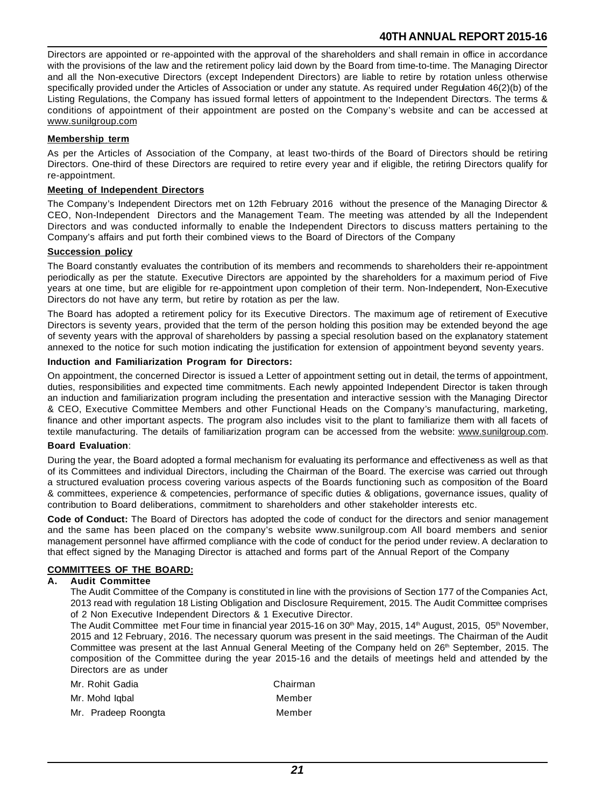## **40TH ANNUAL REPORT 2015-16**

Directors are appointed or re-appointed with the approval of the shareholders and shall remain in office in accordance with the provisions of the law and the retirement policy laid down by the Board from time-to-time. The Managing Director and all the Non-executive Directors (except Independent Directors) are liable to retire by rotation unless otherwise specifically provided under the Articles of Association or under any statute. As required under Regulation 46(2)(b) of the Listing Regulations, the Company has issued formal letters of appointment to the Independent Directors. The terms & conditions of appointment of their appointment are posted on the Company's website and can be accessed at www.sunilgroup.com

## **Membership term**

As per the Articles of Association of the Company, at least two-thirds of the Board of Directors should be retiring Directors. One-third of these Directors are required to retire every year and if eligible, the retiring Directors qualify for re-appointment.

## **Meeting of Independent Directors**

The Company's Independent Directors met on 12th February 2016 without the presence of the Managing Director & CEO, Non-Independent Directors and the Management Team. The meeting was attended by all the Independent Directors and was conducted informally to enable the Independent Directors to discuss matters pertaining to the Company's affairs and put forth their combined views to the Board of Directors of the Company

## **Succession policy**

The Board constantly evaluates the contribution of its members and recommends to shareholders their re-appointment periodically as per the statute. Executive Directors are appointed by the shareholders for a maximum period of Five years at one time, but are eligible for re-appointment upon completion of their term. Non-Independent, Non-Executive Directors do not have any term, but retire by rotation as per the law.

The Board has adopted a retirement policy for its Executive Directors. The maximum age of retirement of Executive Directors is seventy years, provided that the term of the person holding this position may be extended beyond the age of seventy years with the approval of shareholders by passing a special resolution based on the explanatory statement annexed to the notice for such motion indicating the justification for extension of appointment beyond seventy years.

## **Induction and Familiarization Program for Directors:**

On appointment, the concerned Director is issued a Letter of appointment setting out in detail, the terms of appointment, duties, responsibilities and expected time commitments. Each newly appointed Independent Director is taken through an induction and familiarization program including the presentation and interactive session with the Managing Director & CEO, Executive Committee Members and other Functional Heads on the Company's manufacturing, marketing, finance and other important aspects. The program also includes visit to the plant to familiarize them with all facets of textile manufacturing. The details of familiarization program can be accessed from the website: www.sunilgroup.com.

## **Board Evaluation**:

During the year, the Board adopted a formal mechanism for evaluating its performance and effectiveness as well as that of its Committees and individual Directors, including the Chairman of the Board. The exercise was carried out through a structured evaluation process covering various aspects of the Boards functioning such as composition of the Board & committees, experience & competencies, performance of specific duties & obligations, governance issues, quality of contribution to Board deliberations, commitment to shareholders and other stakeholder interests etc.

**Code of Conduct:** The Board of Directors has adopted the code of conduct for the directors and senior management and the same has been placed on the company's website www.sunilgroup.com All board members and senior management personnel have affirmed compliance with the code of conduct for the period under review. A declaration to that effect signed by the Managing Director is attached and forms part of the Annual Report of the Company

## **COMMITTEES OF THE BOARD:**

## **A. Audit Committee**

The Audit Committee of the Company is constituted in line with the provisions of Section 177 of the Companies Act, 2013 read with regulation 18 Listing Obligation and Disclosure Requirement, 2015. The Audit Committee comprises of 2 Non Executive Independent Directors & 1 Executive Director.

The Audit Committee met Four time in financial year 2015-16 on 30<sup>th</sup> May, 2015, 14<sup>th</sup> August, 2015, 05<sup>th</sup> November, 2015 and 12 February, 2016. The necessary quorum was present in the said meetings. The Chairman of the Audit Committee was present at the last Annual General Meeting of the Company held on 26<sup>th</sup> September, 2015. The composition of the Committee during the year 2015-16 and the details of meetings held and attended by the Directors are as under

| Mr. Rohit Gadia     | Chairman |
|---------------------|----------|
| Mr. Mohd Iqbal      | Member   |
| Mr. Pradeep Roongta | Member   |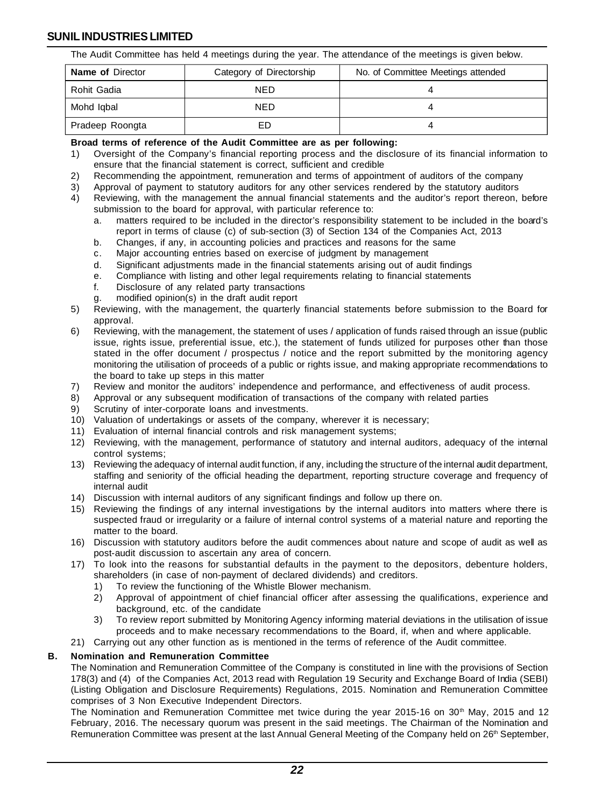The Audit Committee has held 4 meetings during the year. The attendance of the meetings is given below.

| <b>Name of Director</b> | Category of Directorship | No. of Committee Meetings attended |  |
|-------------------------|--------------------------|------------------------------------|--|
| Rohit Gadia             | NFD.                     |                                    |  |
| Mohd Igbal              | <b>NED</b>               |                                    |  |
| Pradeep Roongta         | FD                       |                                    |  |

**Broad terms of reference of the Audit Committee are as per following:**

- 1) Oversight of the Company's financial reporting process and the disclosure of its financial information to ensure that the financial statement is correct, sufficient and credible
- 2) Recommending the appointment, remuneration and terms of appointment of auditors of the company
- 3) Approval of payment to statutory auditors for any other services rendered by the statutory auditors
- 4) Reviewing, with the management the annual financial statements and the auditor's report thereon, before submission to the board for approval, with particular reference to:
	- a. matters required to be included in the director's responsibility statement to be included in the board's report in terms of clause (c) of sub-section (3) of Section 134 of the Companies Act, 2013
	- b. Changes, if any, in accounting policies and practices and reasons for the same
	- c. Major accounting entries based on exercise of judgment by management
	- d. Significant adjustments made in the financial statements arising out of audit findings
	- e. Compliance with listing and other legal requirements relating to financial statements
	- f. Disclosure of any related party transactions
	- g. modified opinion(s) in the draft audit report
- 5) Reviewing, with the management, the quarterly financial statements before submission to the Board for approval.
- 6) Reviewing, with the management, the statement of uses / application of funds raised through an issue (public issue, rights issue, preferential issue, etc.), the statement of funds utilized for purposes other than those stated in the offer document / prospectus / notice and the report submitted by the monitoring agency monitoring the utilisation of proceeds of a public or rights issue, and making appropriate recommendations to the board to take up steps in this matter
- 7) Review and monitor the auditors' independence and performance, and effectiveness of audit process.
- 8) Approval or any subsequent modification of transactions of the company with related parties
- 9) Scrutiny of inter-corporate loans and investments.
- 10) Valuation of undertakings or assets of the company, wherever it is necessary;
- 11) Evaluation of internal financial controls and risk management systems;
- 12) Reviewing, with the management, performance of statutory and internal auditors, adequacy of the internal control systems;
- 13) Reviewing the adequacy of internal audit function, if any, including the structure of the internal audit department, staffing and seniority of the official heading the department, reporting structure coverage and frequency of internal audit
- 14) Discussion with internal auditors of any significant findings and follow up there on.
- 15) Reviewing the findings of any internal investigations by the internal auditors into matters where there is suspected fraud or irregularity or a failure of internal control systems of a material nature and reporting the matter to the board.
- 16) Discussion with statutory auditors before the audit commences about nature and scope of audit as well as post-audit discussion to ascertain any area of concern.
- 17) To look into the reasons for substantial defaults in the payment to the depositors, debenture holders, shareholders (in case of non-payment of declared dividends) and creditors.
	- 1) To review the functioning of the Whistle Blower mechanism.
	- 2) Approval of appointment of chief financial officer after assessing the qualifications, experience and background, etc. of the candidate
	- 3) To review report submitted by Monitoring Agency informing material deviations in the utilisation of issue proceeds and to make necessary recommendations to the Board, if, when and where applicable.
- 21) Carrying out any other function as is mentioned in the terms of reference of the Audit committee.

## **B. Nomination and Remuneration Committee**

The Nomination and Remuneration Committee of the Company is constituted in line with the provisions of Section 178(3) and (4) of the Companies Act, 2013 read with Regulation 19 Security and Exchange Board of India (SEBI) (Listing Obligation and Disclosure Requirements) Regulations, 2015. Nomination and Remuneration Committee comprises of 3 Non Executive Independent Directors.

The Nomination and Remuneration Committee met twice during the year 2015-16 on 30<sup>th</sup> May, 2015 and 12 February, 2016. The necessary quorum was present in the said meetings. The Chairman of the Nomination and Remuneration Committee was present at the last Annual General Meeting of the Company held on 26<sup>th</sup> September,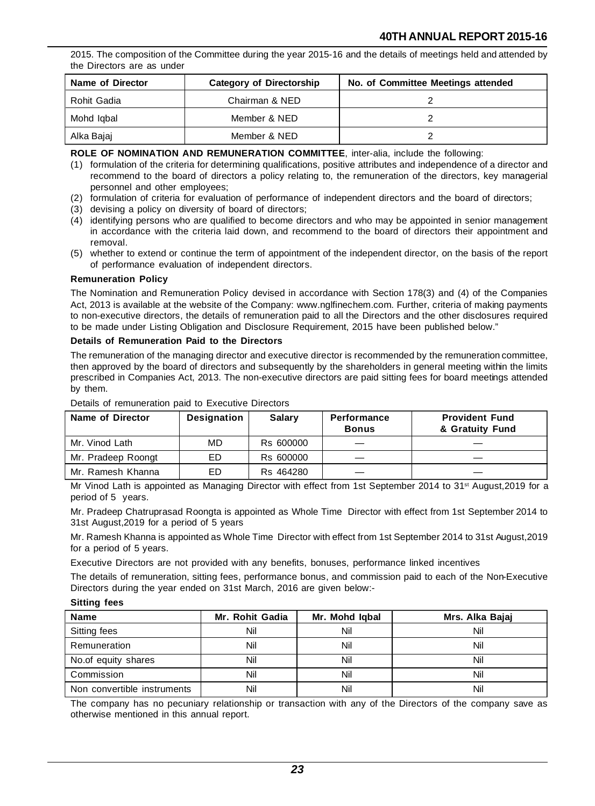2015. The composition of the Committee during the year 2015-16 and the details of meetings held and attended by the Directors are as under

| Name of Director | Category of Directorship | No. of Committee Meetings attended |  |
|------------------|--------------------------|------------------------------------|--|
| Rohit Gadia      | Chairman & NED           |                                    |  |
| Mohd Igbal       | Member & NED             |                                    |  |
| Alka Bajaj       | Member & NED             |                                    |  |

**ROLE OF NOMINATION AND REMUNERATION COMMITTEE**, inter-alia, include the following:

- (1) formulation of the criteria for determining qualifications, positive attributes and independence of a director and recommend to the board of directors a policy relating to, the remuneration of the directors, key managerial personnel and other employees;
- (2) formulation of criteria for evaluation of performance of independent directors and the board of directors;
- (3) devising a policy on diversity of board of directors;
- (4) identifying persons who are qualified to become directors and who may be appointed in senior management in accordance with the criteria laid down, and recommend to the board of directors their appointment and removal.
- (5) whether to extend or continue the term of appointment of the independent director, on the basis of the report of performance evaluation of independent directors.

### **Remuneration Policy**

The Nomination and Remuneration Policy devised in accordance with Section 178(3) and (4) of the Companies Act, 2013 is available at the website of the Company: www.nglfinechem.com. Further, criteria of making payments to non-executive directors, the details of remuneration paid to all the Directors and the other disclosures required to be made under Listing Obligation and Disclosure Requirement, 2015 have been published below."

### **Details of Remuneration Paid to the Directors**

The remuneration of the managing director and executive director is recommended by the remuneration committee, then approved by the board of directors and subsequently by the shareholders in general meeting within the limits prescribed in Companies Act, 2013. The non-executive directors are paid sitting fees for board meetings attended by them.

| Name of Director   | Designation | <b>Salary</b> | Performance<br><b>Bonus</b> | <b>Provident Fund</b><br>& Gratuity Fund |
|--------------------|-------------|---------------|-----------------------------|------------------------------------------|
| Mr. Vinod Lath     | MD          | Rs 600000     |                             |                                          |
| Mr. Pradeep Roongt | ED          | Rs 600000     |                             |                                          |
| Mr. Ramesh Khanna  | ED          | Rs 464280     |                             |                                          |

Details of remuneration paid to Executive Directors

Mr Vinod Lath is appointed as Managing Director with effect from 1st September 2014 to 31 st August,2019 for a period of 5 years.

Mr. Pradeep Chatruprasad Roongta is appointed as Whole Time Director with effect from 1st September 2014 to 31st August,2019 for a period of 5 years

Mr. Ramesh Khanna is appointed as Whole Time Director with effect from 1st September 2014 to 31st August,2019 for a period of 5 years.

Executive Directors are not provided with any benefits, bonuses, performance linked incentives

The details of remuneration, sitting fees, performance bonus, and commission paid to each of the Non-Executive Directors during the year ended on 31st March, 2016 are given below:-

#### **Sitting fees**

| Name                        | Mr. Rohit Gadia | Mr. Mohd Igbal | Mrs. Alka Bajaj |
|-----------------------------|-----------------|----------------|-----------------|
| Sitting fees                | Nil             | Nil            | Nil             |
| Remuneration                | Nil             | Nil            | Nil             |
| No.of equity shares         | Nil             | Nil            | Nil             |
| Commission                  | Nil             | Nil            | Nil             |
| Non convertible instruments | Nil             | Nil            | Nil             |

The company has no pecuniary relationship or transaction with any of the Directors of the company save as otherwise mentioned in this annual report.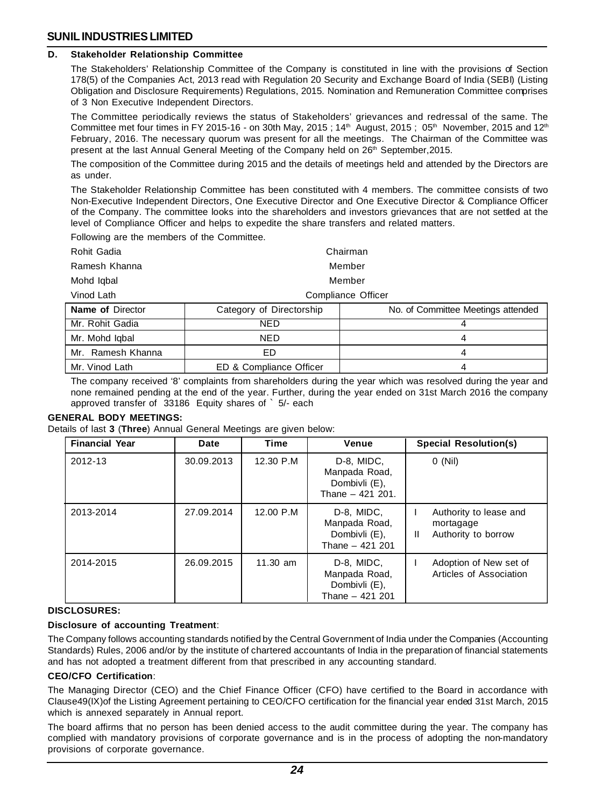## **D. Stakeholder Relationship Committee**

The Stakeholders' Relationship Committee of the Company is constituted in line with the provisions of Section 178(5) of the Companies Act, 2013 read with Regulation 20 Security and Exchange Board of India (SEBI) (Listing Obligation and Disclosure Requirements) Regulations, 2015. Nomination and Remuneration Committee comprises of 3 Non Executive Independent Directors.

The Committee periodically reviews the status of Stakeholders' grievances and redressal of the same. The Committee met four times in FY 2015-16 - on 30th May, 2015 ; 14<sup>th</sup> August, 2015 ; 05<sup>th</sup> November, 2015 and 12<sup>th</sup> February, 2016. The necessary quorum was present for all the meetings. The Chairman of the Committee was present at the last Annual General Meeting of the Company held on 26<sup>th</sup> September, 2015.

The composition of the Committee during 2015 and the details of meetings held and attended by the Directors are as under.

The Stakeholder Relationship Committee has been constituted with 4 members. The committee consists of two Non-Executive Independent Directors, One Executive Director and One Executive Director & Compliance Officer of the Company. The committee looks into the shareholders and investors grievances that are not settled at the level of Compliance Officer and helps to expedite the share transfers and related matters.

Following are the members of the Committee.

| Rohit Gadia   | Chairman |
|---------------|----------|
| Ramesh Khanna | Member   |
| Mohd Igbal    | Member   |

Vinod Lath Compliance Officer

| <b>Name of Director</b> | Category of Directorship | No. of Committee Meetings attended |
|-------------------------|--------------------------|------------------------------------|
| Mr. Rohit Gadia         | NFD.                     |                                    |
| Mr. Mohd labal          | NFD.                     |                                    |
| Mr. Ramesh Khanna       | FD                       |                                    |
| Mr. Vinod Lath          | ED & Compliance Officer  |                                    |

The company received '8' complaints from shareholders during the year which was resolved during the year and none remained pending at the end of the year. Further, during the year ended on 31st March 2016 the company approved transfer of 33186 Equity shares of ` 5/- each

#### **GENERAL BODY MEETINGS:**

Details of last **3** (**Three**) Annual General Meetings are given below:

| <b>Financial Year</b> | Date       | Time       | Venue                                                             | <b>Special Resolution(s)</b>                                     |
|-----------------------|------------|------------|-------------------------------------------------------------------|------------------------------------------------------------------|
| 2012-13               | 30.09.2013 | 12.30 P.M  | D-8. MIDC.<br>Manpada Road,<br>Dombivli (E),<br>Thane $-421$ 201. | $0 \n(Mil)$                                                      |
| 2013-2014             | 27.09.2014 | 12.00 P.M  | D-8, MIDC,<br>Manpada Road,<br>Dombivli (E),<br>Thane $-421$ 201  | Authority to lease and<br>mortagage<br>Authority to borrow<br>Ш. |
| 2014-2015             | 26.09.2015 | $11.30$ am | D-8. MIDC.<br>Manpada Road,<br>Dombivli (E),<br>Thane - 421 201   | Adoption of New set of<br>Articles of Association                |

### **DISCLOSURES:**

## **Disclosure of accounting Treatment**:

The Company follows accounting standards notified by the Central Government of India under the Companies (Accounting Standards) Rules, 2006 and/or by the institute of chartered accountants of India in the preparation of financial statements and has not adopted a treatment different from that prescribed in any accounting standard.

#### **CEO/CFO Certification**:

The Managing Director (CEO) and the Chief Finance Officer (CFO) have certified to the Board in accordance with Clause49(IX)of the Listing Agreement pertaining to CEO/CFO certification for the financial year ended 31st March, 2015 which is annexed separately in Annual report.

The board affirms that no person has been denied access to the audit committee during the year. The company has complied with mandatory provisions of corporate governance and is in the process of adopting the non-mandatory provisions of corporate governance.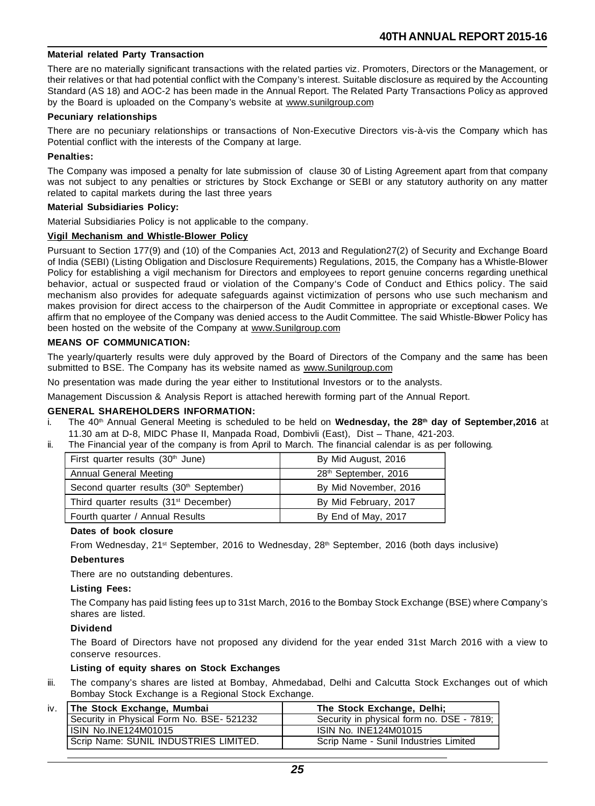## **Material related Party Transaction**

There are no materially significant transactions with the related parties viz. Promoters, Directors or the Management, or their relatives or that had potential conflict with the Company's interest. Suitable disclosure as required by the Accounting Standard (AS 18) and AOC-2 has been made in the Annual Report. The Related Party Transactions Policy as approved by the Board is uploaded on the Company's website at www.sunilgroup.com

## **Pecuniary relationships**

There are no pecuniary relationships or transactions of Non-Executive Directors vis-à-vis the Company which has Potential conflict with the interests of the Company at large.

### **Penalties:**

The Company was imposed a penalty for late submission of clause 30 of Listing Agreement apart from that company was not subject to any penalties or strictures by Stock Exchange or SEBI or any statutory authority on any matter related to capital markets during the last three years

### **Material Subsidiaries Policy:**

Material Subsidiaries Policy is not applicable to the company.

### **Vigil Mechanism and Whistle-Blower Policy**

Pursuant to Section 177(9) and (10) of the Companies Act, 2013 and Regulation27(2) of Security and Exchange Board of India (SEBI) (Listing Obligation and Disclosure Requirements) Regulations, 2015, the Company has a Whistle-Blower Policy for establishing a vigil mechanism for Directors and employees to report genuine concerns regarding unethical behavior, actual or suspected fraud or violation of the Company's Code of Conduct and Ethics policy. The said mechanism also provides for adequate safeguards against victimization of persons who use such mechanism and makes provision for direct access to the chairperson of the Audit Committee in appropriate or exceptional cases. We affirm that no employee of the Company was denied access to the Audit Committee. The said Whistle-Blower Policy has been hosted on the website of the Company at www.Sunilgroup.com

#### **MEANS OF COMMUNICATION:**

The yearly/quarterly results were duly approved by the Board of Directors of the Company and the same has been submitted to BSE. The Company has its website named as www.Sunilgroup.com

No presentation was made during the year either to Institutional Investors or to the analysts.

Management Discussion & Analysis Report is attached herewith forming part of the Annual Report.

#### **GENERAL SHAREHOLDERS INFORMATION:**

- i. The 40<sup>th</sup> Annual General Meeting is scheduled to be held on Wednesday, the 28<sup>th</sup> day of September,2016 at 11.30 am at D-8, MIDC Phase II, Manpada Road, Dombivli (East), Dist – Thane, 421-203.
- ii. The Financial year of the company is from April to March. The financial calendar is as per following.

| First quarter results $(30th$ June)                 | By Mid August, 2016              |
|-----------------------------------------------------|----------------------------------|
| Annual General Meeting                              | 28 <sup>th</sup> September, 2016 |
| Second quarter results (30 <sup>th</sup> September) | By Mid November, 2016            |
| Third quarter results (31 <sup>st</sup> December)   | By Mid February, 2017            |
| Fourth quarter / Annual Results                     | By End of May, 2017              |

#### **Dates of book closure**

From Wednesday, 21<sup>st</sup> September, 2016 to Wednesday, 28<sup>th</sup> September, 2016 (both days inclusive)

### **Debentures**

There are no outstanding debentures.

#### **Listing Fees:**

The Company has paid listing fees up to 31st March, 2016 to the Bombay Stock Exchange (BSE) where Company's shares are listed.

#### **Dividend**

The Board of Directors have not proposed any dividend for the year ended 31st March 2016 with a view to conserve resources.

#### **Listing of equity shares on Stock Exchanges**

iii. The company's shares are listed at Bombay, Ahmedabad, Delhi and Calcutta Stock Exchanges out of which Bombay Stock Exchange is a Regional Stock Exchange.

| iv. | The Stock Exchange, Mumbai                | The Stock Exchange, Delhi;                |  |  |
|-----|-------------------------------------------|-------------------------------------------|--|--|
|     | Security in Physical Form No. BSE- 521232 | Security in physical form no. DSE - 7819; |  |  |
|     | ISIN No.INE124M01015                      | ISIN No. INE124M01015                     |  |  |
|     | Scrip Name: SUNIL INDUSTRIES LIMITED.     | Scrip Name - Sunil Industries Limited     |  |  |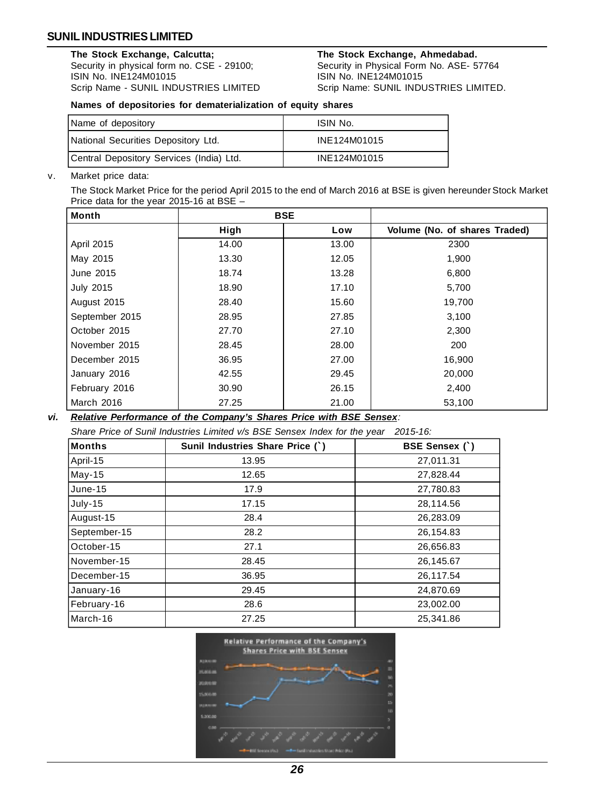Security in physical form no. CSE - 29100;<br>
ISIN No. INE124M01015<br>
ISIN No. INE124M01015 ISIN No. INE124M01015 ISIN No. INE124M01015

**The Stock Exchange, Calcutta; The Stock Exchange, Ahmedabad.** Scrip Name - SUNIL INDUSTRIES LIMITED Scrip Name: SUNIL INDUSTRIES LIMITED.

### **Names of depositories for dematerialization of equity shares**

| Name of depository                       | ISIN No.     |
|------------------------------------------|--------------|
| National Securities Depository Ltd.      | INE124M01015 |
| Central Depository Services (India) Ltd. | INE124M01015 |

### v. Market price data:

The Stock Market Price for the period April 2015 to the end of March 2016 at BSE is given hereunder Stock Market Price data for the year 2015-16 at BSE –

| Month            |       | <b>BSE</b> |                               |
|------------------|-------|------------|-------------------------------|
|                  | High  | Low        | Volume (No. of shares Traded) |
| April 2015       | 14.00 | 13.00      | 2300                          |
| May 2015         | 13.30 | 12.05      | 1,900                         |
| June 2015        | 18.74 | 13.28      | 6,800                         |
| <b>July 2015</b> | 18.90 | 17.10      | 5,700                         |
| August 2015      | 28.40 | 15.60      | 19,700                        |
| September 2015   | 28.95 | 27.85      | 3,100                         |
| October 2015     | 27.70 | 27.10      | 2,300                         |
| November 2015    | 28.45 | 28.00      | 200                           |
| December 2015    | 36.95 | 27.00      | 16,900                        |
| January 2016     | 42.55 | 29.45      | 20,000                        |
| February 2016    | 30.90 | 26.15      | 2,400                         |
| March 2016       | 27.25 | 21.00      | 53,100                        |

## **vi. Relative Performance of the Company's Shares Price with BSE Sensex**:

Share Price of Sunil Industries Limited v/s BSE Sensex Index for the year 2015-16:

| <b>Months</b> | Sunil Industries Share Price (`) | BSE Sensex (`) |
|---------------|----------------------------------|----------------|
| April-15      | 13.95                            | 27,011.31      |
| $May-15$      | 12.65                            | 27,828.44      |
| June-15       | 17.9                             | 27,780.83      |
| $July-15$     | 17.15                            | 28,114.56      |
| August-15     | 28.4                             | 26,283.09      |
| September-15  | 28.2                             | 26,154.83      |
| October-15    | 27.1                             | 26,656.83      |
| November-15   | 28.45                            | 26,145.67      |
| December-15   | 36.95                            | 26,117.54      |
| January-16    | 29.45                            | 24,870.69      |
| February-16   | 28.6                             | 23,002.00      |
| March-16      | 27.25                            | 25.341.86      |

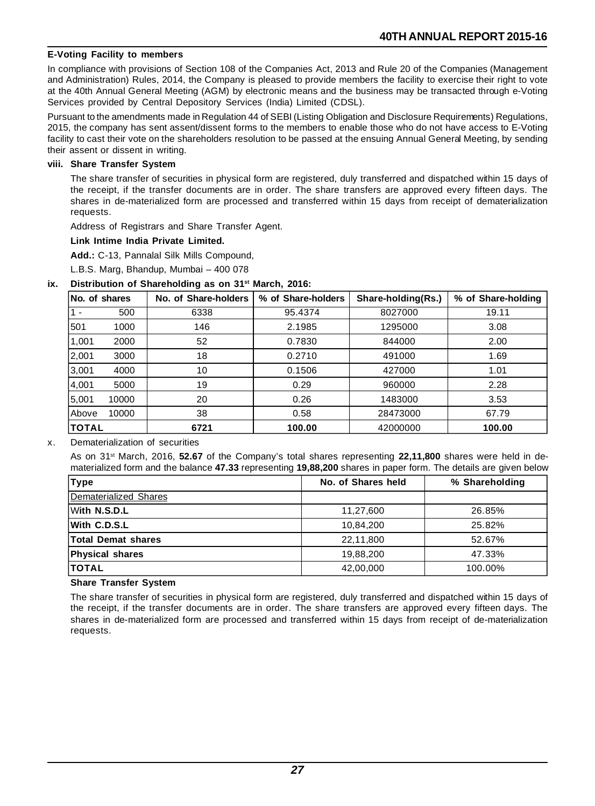## **E-Voting Facility to members**

In compliance with provisions of Section 108 of the Companies Act, 2013 and Rule 20 of the Companies (Management and Administration) Rules, 2014, the Company is pleased to provide members the facility to exercise their right to vote at the 40th Annual General Meeting (AGM) by electronic means and the business may be transacted through e-Voting Services provided by Central Depository Services (India) Limited (CDSL).

Pursuant to the amendments made in Regulation 44 of SEBI (Listing Obligation and Disclosure Requirements) Regulations, 2015, the company has sent assent/dissent forms to the members to enable those who do not have access to E-Voting facility to cast their vote on the shareholders resolution to be passed at the ensuing Annual General Meeting, by sending their assent or dissent in writing.

### **viii. Share Transfer System**

The share transfer of securities in physical form are registered, duly transferred and dispatched within 15 days of the receipt, if the transfer documents are in order. The share transfers are approved every fifteen days. The shares in de-materialized form are processed and transferred within 15 days from receipt of dematerialization requests.

Address of Registrars and Share Transfer Agent.

**Link Intime India Private Limited.**

**Add.:** C-13, Pannalal Silk Mills Compound,

L.B.S. Marg, Bhandup, Mumbai – 400 078

## **ix. Distribution of Shareholding as on 31 st March, 2016:**

| No. of shares |       | No. of Share-holders | % of Share-holders | Share-holding(Rs.) | % of Share-holding |
|---------------|-------|----------------------|--------------------|--------------------|--------------------|
| 1 -           | 500   | 6338                 | 95.4374            | 8027000            | 19.11              |
| 501           | 1000  | 146                  | 2.1985             | 1295000            | 3.08               |
| 1,001         | 2000  | 52                   | 0.7830             | 844000             | 2.00               |
| 2,001         | 3000  | 18                   | 0.2710             | 491000             | 1.69               |
| 3,001         | 4000  | 10                   | 0.1506             | 427000             | 1.01               |
| 4,001         | 5000  | 19                   | 0.29               | 960000             | 2.28               |
| 5,001         | 10000 | 20                   | 0.26               | 1483000            | 3.53               |
| Above         | 10000 | 38                   | 0.58               | 28473000           | 67.79              |
| <b>TOTAL</b>  |       | 6721                 | 100.00             | 42000000           | 100.00             |

x. Dematerialization of securities

As on 31<sup>st</sup> March, 2016, 52.67 of the Company's total shares representing 22,11,800 shares were held in dematerialized form and the balance **47.33** representing **19,88,200** shares in paper form. The details are given below

| Type                   | No. of Shares held | % Shareholding |  |
|------------------------|--------------------|----------------|--|
| Dematerialized Shares  |                    |                |  |
| With N.S.D.L           | 11,27,600          | 26.85%         |  |
| With C.D.S.L           | 10,84,200          | 25.82%         |  |
| Total Demat shares     | 22,11,800          | 52.67%         |  |
| <b>Physical shares</b> | 19,88,200          | 47.33%         |  |
| <b>TOTAL</b>           | 42,00,000          | 100.00%        |  |

## **Share Transfer System**

The share transfer of securities in physical form are registered, duly transferred and dispatched within 15 days of the receipt, if the transfer documents are in order. The share transfers are approved every fifteen days. The shares in de-materialized form are processed and transferred within 15 days from receipt of de-materialization requests.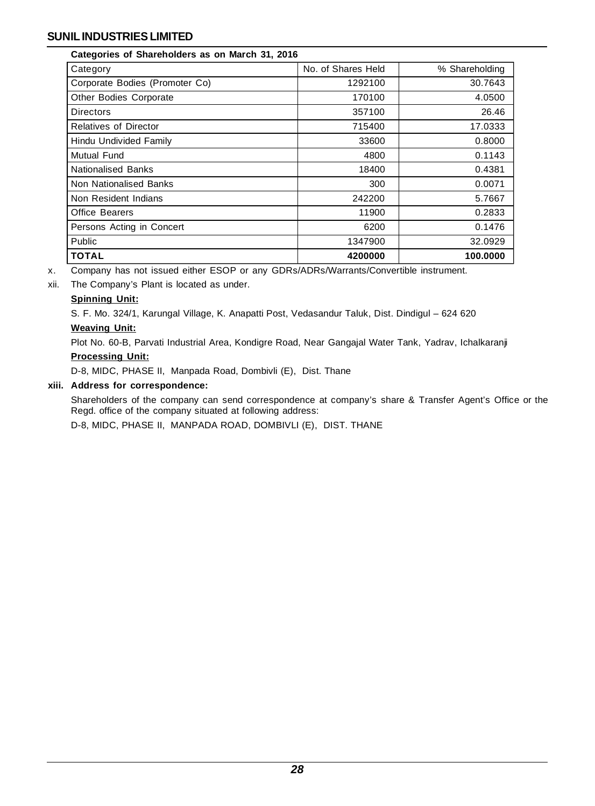| Categories of Shareholders as on March 31, 2016 |                    |                |
|-------------------------------------------------|--------------------|----------------|
| Category                                        | No. of Shares Held | % Shareholding |
| Corporate Bodies (Promoter Co)                  | 1292100            | 30.7643        |
| Other Bodies Corporate                          | 170100             | 4.0500         |
| <b>Directors</b>                                | 357100             | 26.46          |
| Relatives of Director                           | 715400             | 17.0333        |
| Hindu Undivided Family                          | 33600              | 0.8000         |
| Mutual Fund                                     | 4800               | 0.1143         |
| <b>Nationalised Banks</b>                       | 18400              | 0.4381         |
| Non Nationalised Banks                          | 300                | 0.0071         |
| Non Resident Indians                            | 242200             | 5.7667         |
| Office Bearers                                  | 11900              | 0.2833         |
| Persons Acting in Concert                       | 6200               | 0.1476         |
| Public                                          | 1347900            | 32.0929        |
| <b>TOTAL</b>                                    | 4200000            | 100.0000       |

x. Company has not issued either ESOP or any GDRs/ADRs/Warrants/Convertible instrument.

xii. The Company's Plant is located as under.

## **Spinning Unit:**

S. F. Mo. 324/1, Karungal Village, K. Anapatti Post, Vedasandur Taluk, Dist. Dindigul – 624 620

## **Weaving Unit:**

Plot No. 60-B, Parvati Industrial Area, Kondigre Road, Near Gangajal Water Tank, Yadrav, Ichalkaranji **Processing Unit:**

D-8, MIDC, PHASE II, Manpada Road, Dombivli (E), Dist. Thane

## **xiii. Address for correspondence:**

Shareholders of the company can send correspondence at company's share & Transfer Agent's Office or the Regd. office of the company situated at following address:

D-8, MIDC, PHASE II, MANPADA ROAD, DOMBIVLI (E), DIST. THANE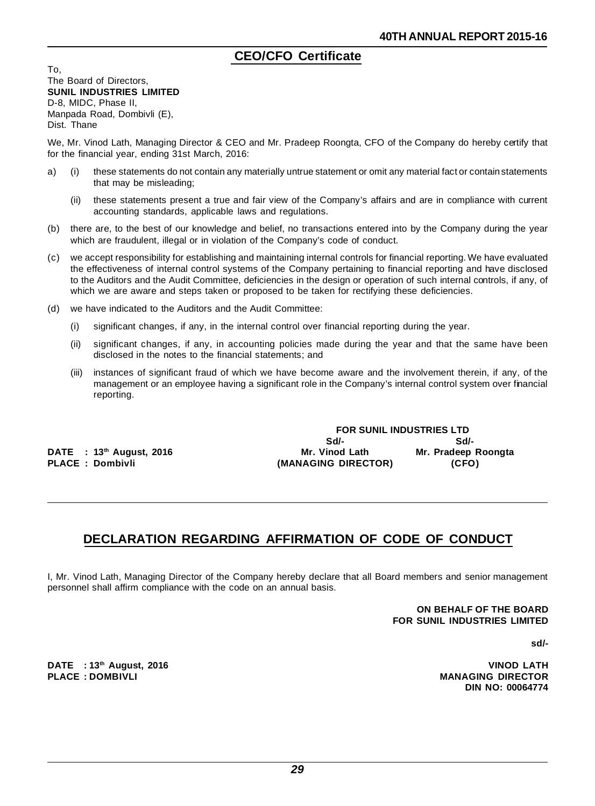# **CEO/CFO Certificate**

To, The Board of Directors, **SUNIL INDUSTRIES LIMITED** D-8, MIDC, Phase II, Manpada Road, Dombivli (E), Dist. Thane

We, Mr. Vinod Lath, Managing Director & CEO and Mr. Pradeep Roongta, CFO of the Company do hereby certify that for the financial year, ending 31st March, 2016:

- a) (i) these statements do not contain any materially untrue statement or omit any material fact or containstatements that may be misleading;
	- (ii) these statements present a true and fair view of the Company's affairs and are in compliance with current accounting standards, applicable laws and regulations.
- (b) there are, to the best of our knowledge and belief, no transactions entered into by the Company during the year which are fraudulent, illegal or in violation of the Company's code of conduct.
- (c) we accept responsibility for establishing and maintaining internal controls for financial reporting. We have evaluated the effectiveness of internal control systems of the Company pertaining to financial reporting and have disclosed to the Auditors and the Audit Committee, deficiencies in the design or operation of such internal controls, if any, of which we are aware and steps taken or proposed to be taken for rectifying these deficiencies.
- (d) we have indicated to the Auditors and the Audit Committee:
	- (i) significant changes, if any, in the internal control over financial reporting during the year.
	- (ii) significant changes, if any, in accounting policies made during the year and that the same have been disclosed in the notes to the financial statements; and
	- (iii) instances of significant fraud of which we have become aware and the involvement therein, if any, of the management or an employee having a significant role in the Company's internal control system over financial reporting.

**DATE : 13**

 **FOR SUNIL INDUSTRIES LTD Sd/- Sd/ th August, 2016 Mr. Vinod Lath Mr. Pradeep Roongta PLACE : Dombivli (MANAGING DIRECTOR) (CFO)**

# **DECLARATION REGARDING AFFIRMATION OF CODE OF CONDUCT**

I, Mr. Vinod Lath, Managing Director of the Company hereby declare that all Board members and senior management personnel shall affirm compliance with the code on an annual basis.

> **ON BEHALF OF THE BOARD FOR SUNIL INDUSTRIES LIMITED**

> > **sd/-**

**DATE : 13 th August, 2016 VINOD LATH PLACE : DOMBIVLI MANAGING DIRECTOR**

**DIN NO: 00064774**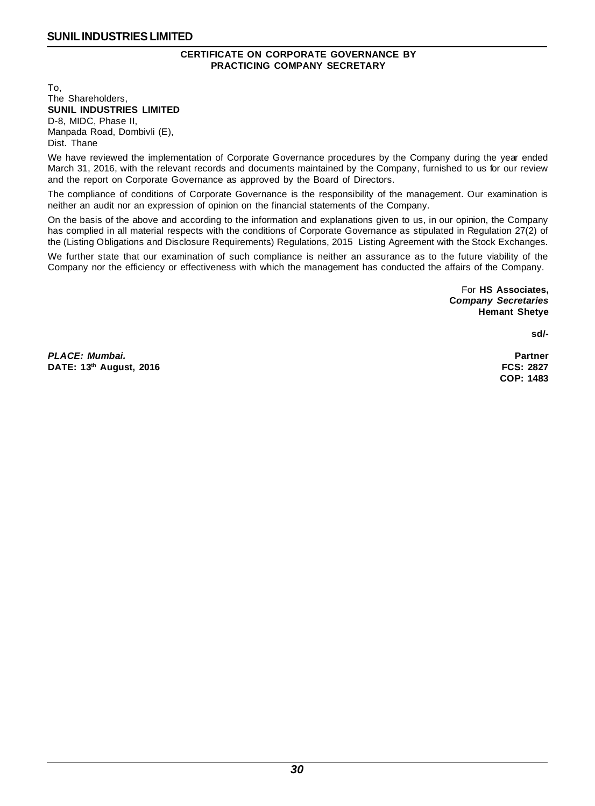## **CERTIFICATE ON CORPORATE GOVERNANCE BY PRACTICING COMPANY SECRETARY**

To, The Shareholders, **SUNIL INDUSTRIES LIMITED** D-8, MIDC, Phase II, Manpada Road, Dombivli (E), Dist. Thane

We have reviewed the implementation of Corporate Governance procedures by the Company during the year ended March 31, 2016, with the relevant records and documents maintained by the Company, furnished to us for our review and the report on Corporate Governance as approved by the Board of Directors.

The compliance of conditions of Corporate Governance is the responsibility of the management. Our examination is neither an audit nor an expression of opinion on the financial statements of the Company.

On the basis of the above and according to the information and explanations given to us, in our opinion, the Company has complied in all material respects with the conditions of Corporate Governance as stipulated in Regulation 27(2) of the (Listing Obligations and Disclosure Requirements) Regulations, 2015 Listing Agreement with the Stock Exchanges.

We further state that our examination of such compliance is neither an assurance as to the future viability of the Company nor the efficiency or effectiveness with which the management has conducted the affairs of the Company.

> For **HS Associates, Company Secretaries Hemant Shetye**

> > **sd/-**

**PLACE: Mumbai. Partner DATE: 13 th August, 2016 FCS: 2827**

**COP: 1483**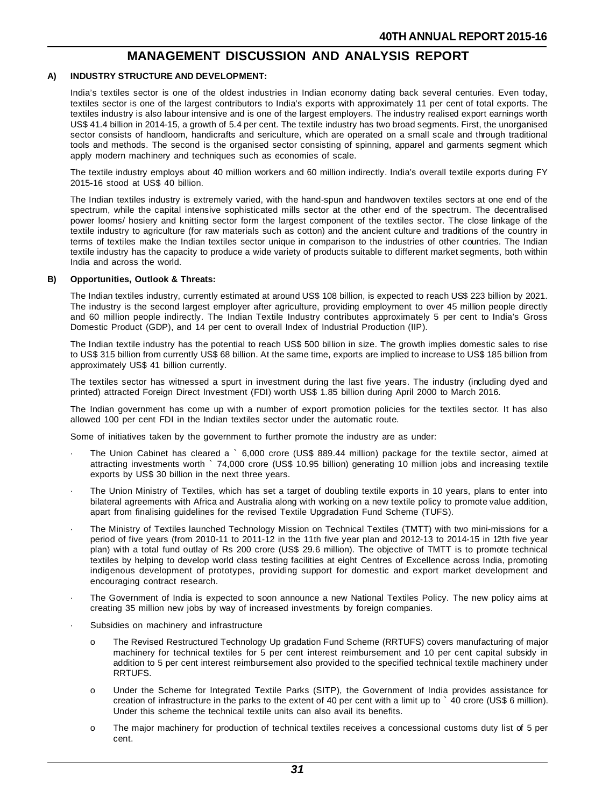## **MANAGEMENT DISCUSSION AND ANALYSIS REPORT**

#### **A) INDUSTRY STRUCTURE AND DEVELOPMENT:**

India's textiles sector is one of the oldest industries in Indian economy dating back several centuries. Even today, textiles sector is one of the largest contributors to India's exports with approximately 11 per cent of total exports. The textiles industry is also labour intensive and is one of the largest employers. The industry realised export earnings worth US\$ 41.4 billion in 2014-15, a growth of 5.4 per cent. The textile industry has two broad segments. First, the unorganised sector consists of handloom, handicrafts and sericulture, which are operated on a small scale and through traditional tools and methods. The second is the organised sector consisting of spinning, apparel and garments segment which apply modern machinery and techniques such as economies of scale.

The textile industry employs about 40 million workers and 60 million indirectly. India's overall textile exports during FY 2015-16 stood at US\$ 40 billion.

The Indian textiles industry is extremely varied, with the hand-spun and handwoven textiles sectors at one end of the spectrum, while the capital intensive sophisticated mills sector at the other end of the spectrum. The decentralised power looms/ hosiery and knitting sector form the largest component of the textiles sector. The close linkage of the textile industry to agriculture (for raw materials such as cotton) and the ancient culture and traditions of the country in terms of textiles make the Indian textiles sector unique in comparison to the industries of other countries. The Indian textile industry has the capacity to produce a wide variety of products suitable to different market segments, both within India and across the world.

#### **B) Opportunities, Outlook & Threats:**

The Indian textiles industry, currently estimated at around US\$ 108 billion, is expected to reach US\$ 223 billion by 2021. The industry is the second largest employer after agriculture, providing employment to over 45 million people directly and 60 million people indirectly. The Indian Textile Industry contributes approximately 5 per cent to India's Gross Domestic Product (GDP), and 14 per cent to overall Index of Industrial Production (IIP).

The Indian textile industry has the potential to reach US\$ 500 billion in size. The growth implies domestic sales to rise to US\$ 315 billion from currently US\$ 68 billion. At the same time, exports are implied to increase to US\$ 185 billion from approximately US\$ 41 billion currently.

The textiles sector has witnessed a spurt in investment during the last five years. The industry (including dyed and printed) attracted Foreign Direct Investment (FDI) worth US\$ 1.85 billion during April 2000 to March 2016.

The Indian government has come up with a number of export promotion policies for the textiles sector. It has also allowed 100 per cent FDI in the Indian textiles sector under the automatic route.

Some of initiatives taken by the government to further promote the industry are as under:

- The Union Cabinet has cleared a ` 6,000 crore (US\$ 889.44 million) package for the textile sector, aimed at attracting investments worth ` 74,000 crore (US\$ 10.95 billion) generating 10 million jobs and increasing textile exports by US\$ 30 billion in the next three years.
- · The Union Ministry of Textiles, which has set a target of doubling textile exports in 10 years, plans to enter into bilateral agreements with Africa and Australia along with working on a new textile policy to promote value addition, apart from finalising guidelines for the revised Textile Upgradation Fund Scheme (TUFS).
- The Ministry of Textiles launched Technology Mission on Technical Textiles (TMTT) with two mini-missions for a period of five years (from 2010-11 to 2011-12 in the 11th five year plan and 2012-13 to 2014-15 in 12th five year plan) with a total fund outlay of Rs 200 crore (US\$ 29.6 million). The objective of TMTT is to promote technical textiles by helping to develop world class testing facilities at eight Centres of Excellence across India, promoting indigenous development of prototypes, providing support for domestic and export market development and encouraging contract research.
- · The Government of India is expected to soon announce a new National Textiles Policy. The new policy aims at creating 35 million new jobs by way of increased investments by foreign companies.
- Subsidies on machinery and infrastructure
	- o The Revised Restructured Technology Up gradation Fund Scheme (RRTUFS) covers manufacturing of major machinery for technical textiles for 5 per cent interest reimbursement and 10 per cent capital subsidy in addition to 5 per cent interest reimbursement also provided to the specified technical textile machinery under RRTUFS.
	- o Under the Scheme for Integrated Textile Parks (SITP), the Government of India provides assistance for creation of infrastructure in the parks to the extent of 40 per cent with a limit up to ` 40 crore (US\$ 6 million). Under this scheme the technical textile units can also avail its benefits.
	- o The major machinery for production of technical textiles receives a concessional customs duty list of 5 per cent.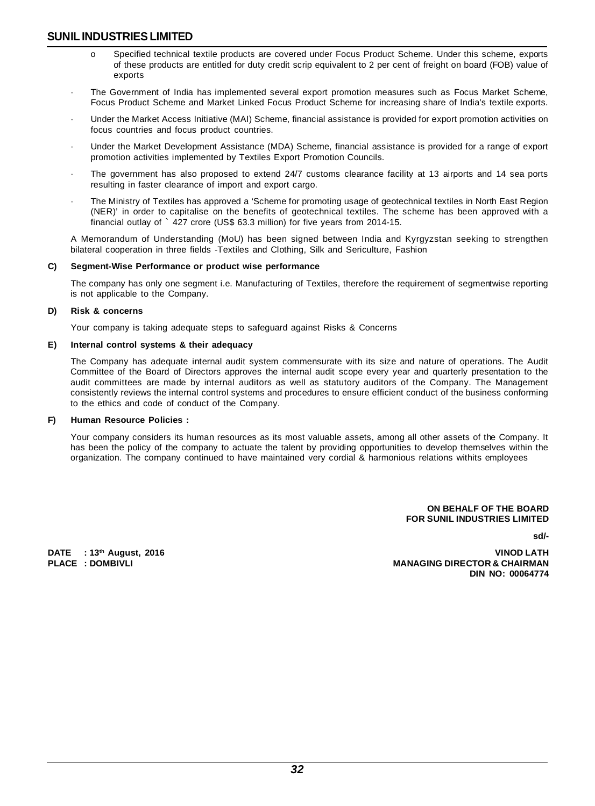- o Specified technical textile products are covered under Focus Product Scheme. Under this scheme, exports of these products are entitled for duty credit scrip equivalent to 2 per cent of freight on board (FOB) value of exports
- The Government of India has implemented several export promotion measures such as Focus Market Scheme, Focus Product Scheme and Market Linked Focus Product Scheme for increasing share of India's textile exports.
- · Under the Market Access Initiative (MAI) Scheme, financial assistance is provided for export promotion activities on focus countries and focus product countries.
- · Under the Market Development Assistance (MDA) Scheme, financial assistance is provided for a range of export promotion activities implemented by Textiles Export Promotion Councils.
- The government has also proposed to extend 24/7 customs clearance facility at 13 airports and 14 sea ports resulting in faster clearance of import and export cargo.
- · The Ministry of Textiles has approved a 'Scheme for promoting usage of geotechnical textiles in North East Region (NER)' in order to capitalise on the benefits of geotechnical textiles. The scheme has been approved with a financial outlay of ` 427 crore (US\$ 63.3 million) for five years from 2014-15.

A Memorandum of Understanding (MoU) has been signed between India and Kyrgyzstan seeking to strengthen bilateral cooperation in three fields -Textiles and Clothing, Silk and Sericulture, Fashion

#### **C) Segment-Wise Performance or product wise performance**

The company has only one segment i.e. Manufacturing of Textiles, therefore the requirement of segmentwise reporting is not applicable to the Company.

#### **D) Risk & concerns**

Your company is taking adequate steps to safeguard against Risks & Concerns

#### **E) Internal control systems & their adequacy**

The Company has adequate internal audit system commensurate with its size and nature of operations. The Audit Committee of the Board of Directors approves the internal audit scope every year and quarterly presentation to the audit committees are made by internal auditors as well as statutory auditors of the Company. The Management consistently reviews the internal control systems and procedures to ensure efficient conduct of the business conforming to the ethics and code of conduct of the Company.

#### **F) Human Resource Policies :**

Your company considers its human resources as its most valuable assets, among all other assets of the Company. It has been the policy of the company to actuate the talent by providing opportunities to develop themselves within the organization. The company continued to have maintained very cordial & harmonious relations withits employees

> **ON BEHALF OF THE BOARD FOR SUNIL INDUSTRIES LIMITED**

> > **sd/-**

**DATE : 13 th August, 2016 VINOD LATH PLACE : DOMBIVLI MANAGING DIRECTOR & CHAIRMAN DIN NO: 00064774**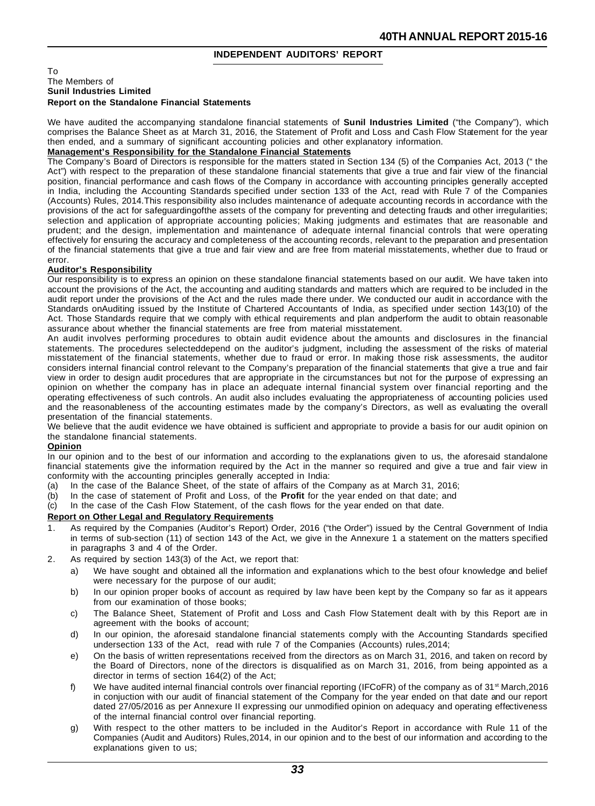## **INDEPENDENT AUDITORS' REPORT**

#### To The Members of **Sunil Industries Limited Report on the Standalone Financial Statements**

We have audited the accompanying standalone financial statements of **Sunil Industries Limited** ("the Company"), which comprises the Balance Sheet as at March 31, 2016, the Statement of Profit and Loss and Cash Flow Statement for the year then ended, and a summary of significant accounting policies and other explanatory information.

#### **Management's Responsibility for the Standalone Financial Statements**

The Company's Board of Directors is responsible for the matters stated in Section 134 (5) of the Companies Act, 2013 (" the Act") with respect to the preparation of these standalone financial statements that give a true and fair view of the financial position, financial performance and cash flows of the Company in accordance with accounting principles generally accepted in India, including the Accounting Standards specified under section 133 of the Act, read with Rule 7 of the Companies (Accounts) Rules, 2014.This responsibility also includes maintenance of adequate accounting records in accordance with the provisions of the act for safeguardingofthe assets of the company for preventing and detecting frauds and other irregularities; selection and application of appropriate accounting policies; Making judgments and estimates that are reasonable and prudent; and the design, implementation and maintenance of adequate internal financial controls that were operating effectively for ensuring the accuracy and completeness of the accounting records, relevant to the preparation and presentation of the financial statements that give a true and fair view and are free from material misstatements, whether due to fraud or error.

#### **Auditor's Responsibility**

Our responsibility is to express an opinion on these standalone financial statements based on our audit. We have taken into account the provisions of the Act, the accounting and auditing standards and matters which are required to be included in the audit report under the provisions of the Act and the rules made there under. We conducted our audit in accordance with the Standards onAuditing issued by the Institute of Chartered Accountants of India, as specified under section 143(10) of the Act. Those Standards require that we comply with ethical requirements and plan andperform the audit to obtain reasonable assurance about whether the financial statements are free from material misstatement.

An audit involves performing procedures to obtain audit evidence about the amounts and disclosures in the financial statements. The procedures selecteddepend on the auditor's judgment, including the assessment of the risks of material misstatement of the financial statements, whether due to fraud or error. In making those risk assessments, the auditor considers internal financial control relevant to the Company's preparation of the financial statements that give a true and fair view in order to design audit procedures that are appropriate in the circumstances but not for the purpose of expressing an opinion on whether the company has in place an adequate internal financial system over financial reporting and the operating effectiveness of such controls. An audit also includes evaluating the appropriateness of accounting policies used and the reasonableness of the accounting estimates made by the company's Directors, as well as evaluating the overall presentation of the financial statements.

We believe that the audit evidence we have obtained is sufficient and appropriate to provide a basis for our audit opinion on the standalone financial statements.

#### **Opinion**

In our opinion and to the best of our information and according to the explanations given to us, the aforesaid standalone financial statements give the information required by the Act in the manner so required and give a true and fair view in conformity with the accounting principles generally accepted in India:

- (a) In the case of the Balance Sheet, of the state of affairs of the Company as at March 31, 2016;
- (b) In the case of statement of Profit and Loss, of the **Profit** for the year ended on that date; and (c) In the case of the Cash Flow Statement, of the cash flows for the year ended on that date.
- In the case of the Cash Flow Statement, of the cash flows for the year ended on that date.

#### **Report on Other Legal and Regulatory Requirements**

- 1. As required by the Companies (Auditor's Report) Order, 2016 ("the Order") issued by the Central Government of India in terms of sub-section (11) of section 143 of the Act, we give in the Annexure 1 a statement on the matters specified in paragraphs 3 and 4 of the Order.
- 2. As required by section 143(3) of the Act, we report that:
	- a) We have sought and obtained all the information and explanations which to the best ofour knowledge and belief were necessary for the purpose of our audit;
	- b) In our opinion proper books of account as required by law have been kept by the Company so far as it appears from our examination of those books;
	- c) The Balance Sheet, Statement of Profit and Loss and Cash Flow Statement dealt with by this Report are in agreement with the books of account;
	- d) In our opinion, the aforesaid standalone financial statements comply with the Accounting Standards specified undersection 133 of the Act, read with rule 7 of the Companies (Accounts) rules,2014;
	- e) On the basis of written representations received from the directors as on March 31, 2016, and taken on record by the Board of Directors, none of the directors is disqualified as on March 31, 2016, from being appointed as a director in terms of section 164(2) of the Act;
	- f) We have audited internal financial controls over financial reporting (IFCoFR) of the company as of 31st March,2016 in conjuction with our audit of financial statement of the Company for the year ended on that date and our report dated 27/05/2016 as per Annexure II expressing our unmodified opinion on adequacy and operating effectiveness of the internal financial control over financial reporting.
	- g) With respect to the other matters to be included in the Auditor's Report in accordance with Rule 11 of the Companies (Audit and Auditors) Rules,2014, in our opinion and to the best of our information and according to the explanations given to us;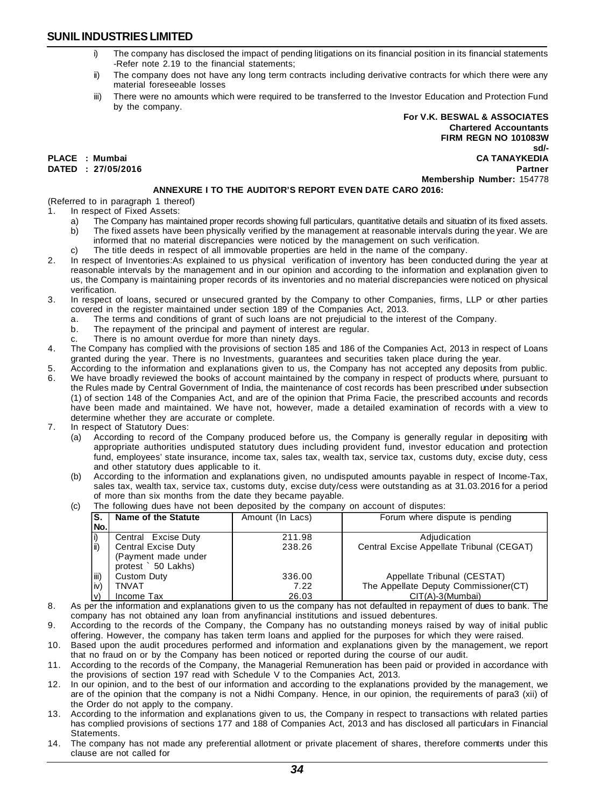- The company has disclosed the impact of pending litigations on its financial position in its financial statements -Refer note 2.19 to the financial statements;
- ii) The company does not have any long term contracts including derivative contracts for which there were any material foreseeable losses
- iii) There were no amounts which were required to be transferred to the Investor Education and Protection Fund by the company.

 $PLACE$  **:** Mumbai

**For V.K. BESWAL & ASSOCIATES Chartered Accountants FIRM REGN NO 101083W sd/- DATED : 27/05/2016 Partner**

#### **Membership Number:** 154778 **ANNEXURE I TO THE AUDITOR'S REPORT EVEN DATE CARO 2016:**

## (Referred to in paragraph 1 thereof)

1. In respect of Fixed Assets:

- a) The Company has maintained proper records showing full particulars, quantitative details and situation of its fixed assets.
- b) The fixed assets have been physically verified by the management at reasonable intervals during the year. We are informed that no material discrepancies were noticed by the management on such verification. c) The title deeds in respect of all immovable properties are held in the name of the company.
- 2. In respect of Inventories:As explained to us physical verification of inventory has been conducted during the year at reasonable intervals by the management and in our opinion and according to the information and explanation given to us, the Company is maintaining proper records of its inventories and no material discrepancies were noticed on physical verification.
- 3. In respect of loans, secured or unsecured granted by the Company to other Companies, firms, LLP or other parties covered in the register maintained under section 189 of the Companies Act, 2013.
	- a. The terms and conditions of grant of such loans are not prejudicial to the interest of the Company.
	- b. The repayment of the principal and payment of interest are regular.
	- c. There is no amount overdue for more than ninety days.
- 4. The Company has complied with the provisions of section 185 and 186 of the Companies Act, 2013 in respect of Loans granted during the year. There is no Investments, guarantees and securities taken place during the year.
- 5. According to the information and explanations given to us, the Company has not accepted any deposits from public.
- 6. We have broadly reviewed the books of account maintained by the company in respect of products where, pursuant to the Rules made by Central Government of India, the maintenance of cost records has been prescribed under subsection (1) of section 148 of the Companies Act, and are of the opinion that Prima Facie, the prescribed accounts and records have been made and maintained. We have not, however, made a detailed examination of records with a view to determine whether they are accurate or complete.
- 7. In respect of Statutory Dues:
	- (a) According to record of the Company produced before us, the Company is generally regular in depositing with appropriate authorities undisputed statutory dues including provident fund, investor education and protection fund, employees' state insurance, income tax, sales tax, wealth tax, service tax, customs duty, excise duty, cess and other statutory dues applicable to it.
	- (b) According to the information and explanations given, no undisputed amounts payable in respect of Income-Tax, sales tax, wealth tax, service tax, customs duty, excise duty/cess were outstanding as at 31.03.2016 for a period of more than six months from the date they became payable.
	- (c) The following dues have not been deposited by the company on account of disputes:

| IS.         | Name of the Statute                                               | Amount (In Lacs) | Forum where dispute is pending            |
|-------------|-------------------------------------------------------------------|------------------|-------------------------------------------|
| lNo.        |                                                                   |                  |                                           |
| II)         | Central Excise Duty                                               | 211.98           | Adiudication                              |
| $\vert$ ii) | Central Excise Duty<br>(Payment made under<br>protest > 50 Lakhs) | 238.26           | Central Excise Appellate Tribunal (CEGAT) |
| liii)       | Custom Duty                                                       | 336.00           | Appellate Tribunal (CESTAT)               |
| (iv         | TNVAT                                                             | 7.22             | The Appellate Deputy Commissioner(CT)     |
|             | Income Tax                                                        | 26.03            | CIT(A)-3(Mumbai)                          |

- 8. As per the information and explanations given to us the company has not defaulted in repayment of dues to bank. The company has not obtained any loan from anyfinancial institutions and issued debentures.
- 9. According to the records of the Company, the Company has no outstanding moneys raised by way of initial public offering. However, the company has taken term loans and applied for the purposes for which they were raised.
- 10. Based upon the audit procedures performed and information and explanations given by the management, we report that no fraud on or by the Company has been noticed or reported during the course of our audit.
- 11. According to the records of the Company, the Managerial Remuneration has been paid or provided in accordance with the provisions of section 197 read with Schedule V to the Companies Act, 2013.
- 12. In our opinion, and to the best of our information and according to the explanations provided by the management, we are of the opinion that the company is not a Nidhi Company. Hence, in our opinion, the requirements of para3 (xii) of the Order do not apply to the company.
- 13. According to the information and explanations given to us, the Company in respect to transactions with related parties has complied provisions of sections 177 and 188 of Companies Act, 2013 and has disclosed all particulars in Financial Statements.
- 14. The company has not made any preferential allotment or private placement of shares, therefore comments under this clause are not called for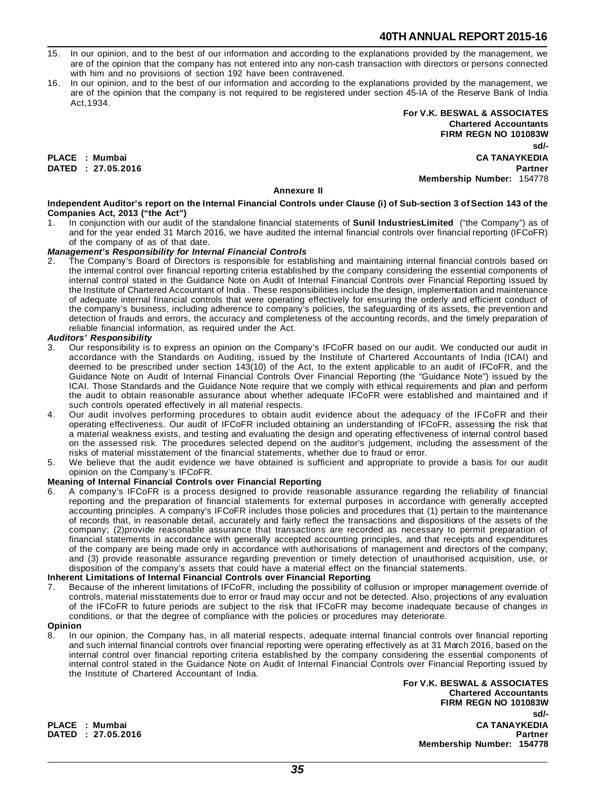- 15. In our opinion, and to the best of our information and according to the explanations provided by the management, we are of the opinion that the company has not entered into any non-cash transaction with directors or persons connected with him and no provisions of section 192 have been contravened.
- 16. In our opinion, and to the best of our information and according to the explanations provided by the management, we are of the opinion that the company is not required to be registered under section 45-IA of the Reserve Bank of India Act,1934.

**For V.K. BESWAL & ASSOCIATES Chartered Accountants FIRM REGN NO 101083W sd/- PLACE : Mumbai CA TANAYKEDIA DATED : 27.05.2016 Partner Membership Number:** 154778

#### **Annexure II**

Independent Auditor's report on the Internal Financial Controls under Clause (i) of Sub-section 3 of Section 143 of the **Companies Act, 2013 ("the Act")**

1. In conjunction with our audit of the standalone financial statements of **Sunil IndustriesLimited** ("the Company") as of and for the year ended 31 March 2016, we have audited the internal financial controls over financial reporting (IFCoFR) of the company of as of that date.

# **Management's Responsibility for Internal Financial Controls**

2. The Company's Board of Directors is responsible for establishing and maintaining internal financial controls based on the internal control over financial reporting criteria established by the company considering the essential components of internal control stated in the Guidance Note on Audit of Internal Financial Controls over Financial Reporting issued by the Institute of Chartered Accountant of India . These responsibilities include the design, implementation and maintenance of adequate internal financial controls that were operating effectively for ensuring the orderly and efficient conduct of the company's business, including adherence to company's policies, the safeguarding of its assets, the prevention and detection of frauds and errors, the accuracy and completeness of the accounting records, and the timely preparation of reliable financial information, as required under the Act.

#### **Auditors' Responsibility**

- 3. Our responsibility is to express an opinion on the Company's IFCoFR based on our audit. We conducted our audit in accordance with the Standards on Auditing, issued by the Institute of Chartered Accountants of India (ICAI) and deemed to be prescribed under section 143(10) of the Act, to the extent applicable to an audit of IFCoFR, and the Guidance Note on Audit of Internal Financial Controls Over Financial Reporting (the "Guidance Note") issued by the ICAI. Those Standards and the Guidance Note require that we comply with ethical requirements and plan and perform the audit to obtain reasonable assurance about whether adequate IFCoFR were established and maintained and if such controls operated effectively in all material respects.
- 4. Our audit involves performing procedures to obtain audit evidence about the adequacy of the IFCoFR and their operating effectiveness. Our audit of IFCoFR included obtaining an understanding of IFCoFR, assessing the risk that a material weakness exists, and testing and evaluating the design and operating effectiveness of internal control based on the assessed risk. The procedures selected depend on the auditor's judgement, including the assessment of the risks of material misstatement of the financial statements, whether due to fraud or error.
- 5. We believe that the audit evidence we have obtained is sufficient and appropriate to provide a basis for our audit opinion on the Company's IFCoFR.

#### **Meaning of Internal Financial Controls over Financial Reporting**

6. A company's IFCoFR is a process designed to provide reasonable assurance regarding the reliability of financial reporting and the preparation of financial statements for external purposes in accordance with generally accepted accounting principles. A company's IFCoFR includes those policies and procedures that (1) pertain to the maintenance of records that, in reasonable detail, accurately and fairly reflect the transactions and dispositions of the assets of the company; (2)provide reasonable assurance that transactions are recorded as necessary to permit preparation of financial statements in accordance with generally accepted accounting principles, and that receipts and expenditures of the company are being made only in accordance with authorisations of management and directors of the company; and (3) provide reasonable assurance regarding prevention or timely detection of unauthorised acquisition, use, or disposition of the company's assets that could have a material effect on the financial statements.

#### **Inherent Limitations of Internal Financial Controls over Financial Reporting**

7. Because of the inherent limitations of IFCoFR, including the possibility of collusion or improper management override of controls, material misstatements due to error or fraud may occur and not be detected. Also, projections of any evaluation of the IFCoFR to future periods are subject to the risk that IFCoFR may become inadequate because of changes in conditions, or that the degree of compliance with the policies or procedures may deteriorate.

**Opinion**

8. In our opinion, the Company has, in all material respects, adequate internal financial controls over financial reporting and such internal financial controls over financial reporting were operating effectively as at 31 March 2016, based on the internal control over financial reporting criteria established by the company considering the essential components of internal control stated in the Guidance Note on Audit of Internal Financial Controls over Financial Reporting issued by the Institute of Chartered Accountant of India.

**For V.K. BESWAL & ASSOCIATES Chartered Accountants FIRM REGN NO 101083W sd/-**<br>CA TANAYKEDIA **PLACE : Mumbai CA TANAYKEDIA Membership Number: 154778**

**DATED :** 27.05.2016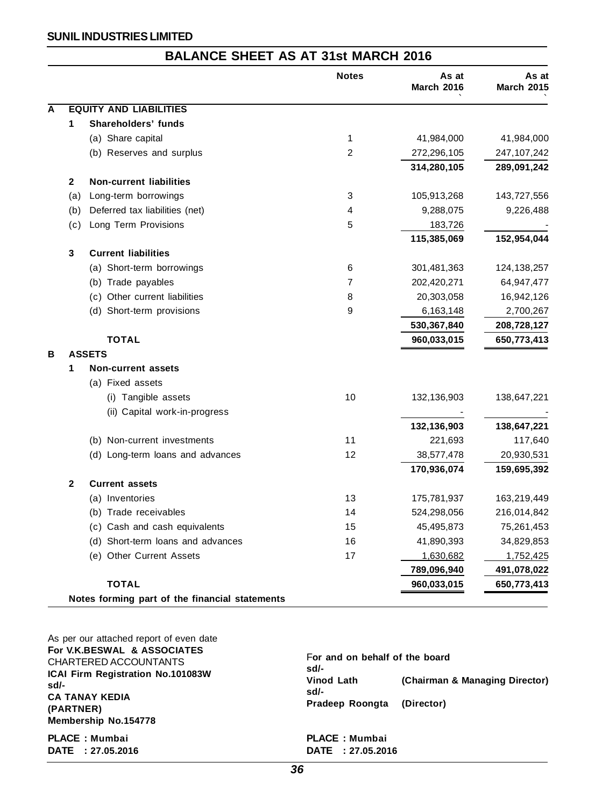## **BALANCE SHEET AS AT 31st MARCH 2016**

|   |              |                                                | <b>Notes</b>   | As at<br><b>March 2016</b> | As at<br><b>March 2015</b> |
|---|--------------|------------------------------------------------|----------------|----------------------------|----------------------------|
| A |              | <b>EQUITY AND LIABILITIES</b>                  |                |                            |                            |
|   | 1            | Shareholders' funds                            |                |                            |                            |
|   |              | (a) Share capital                              | 1              | 41,984,000                 | 41,984,000                 |
|   |              | (b) Reserves and surplus                       | $\overline{2}$ | 272,296,105                | 247, 107, 242              |
|   |              |                                                |                | 314,280,105                | 289,091,242                |
|   | $\mathbf{2}$ | <b>Non-current liabilities</b>                 |                |                            |                            |
|   | (a)          | Long-term borrowings                           | 3              | 105,913,268                | 143,727,556                |
|   | (b)          | Deferred tax liabilities (net)                 | 4              | 9,288,075                  | 9,226,488                  |
|   | (c)          | Long Term Provisions                           | 5              | 183,726                    |                            |
|   |              |                                                |                | 115,385,069                | 152,954,044                |
|   | 3            | <b>Current liabilities</b>                     |                |                            |                            |
|   |              | (a) Short-term borrowings                      | 6              | 301,481,363                | 124, 138, 257              |
|   |              | (b) Trade payables                             | $\overline{7}$ | 202,420,271                | 64,947,477                 |
|   |              | (c) Other current liabilities                  | 8              | 20,303,058                 | 16,942,126                 |
|   |              | (d) Short-term provisions                      | 9              | 6,163,148                  | 2,700,267                  |
|   |              |                                                |                | 530,367,840                | 208,728,127                |
|   |              | <b>TOTAL</b>                                   |                | 960,033,015                | 650,773,413                |
| в |              | <b>ASSETS</b>                                  |                |                            |                            |
|   | 1            | Non-current assets                             |                |                            |                            |
|   |              | (a) Fixed assets                               |                |                            |                            |
|   |              | (i) Tangible assets                            | 10             | 132,136,903                | 138,647,221                |
|   |              | (ii) Capital work-in-progress                  |                |                            |                            |
|   |              |                                                |                | 132,136,903                | 138,647,221                |
|   |              | (b) Non-current investments                    | 11             | 221,693                    | 117,640                    |
|   |              | (d) Long-term loans and advances               | 12             | 38,577,478                 | 20,930,531                 |
|   |              |                                                |                | 170,936,074                | 159,695,392                |
|   | $\mathbf{2}$ | <b>Current assets</b>                          |                |                            |                            |
|   |              | (a) Inventories                                | 13             | 175,781,937                | 163,219,449                |
|   |              | (b) Trade receivables                          | 14             | 524,298,056                | 216,014,842                |
|   |              | (c) Cash and cash equivalents                  | 15             | 45,495,873                 | 75,261,453                 |
|   |              | (d) Short-term loans and advances              | 16             | 41,890,393                 | 34,829,853                 |
|   |              | (e) Other Current Assets                       | 17             | 1,630,682                  | 1,752,425                  |
|   |              |                                                |                | 789,096,940                | 491,078,022                |
|   |              | <b>TOTAL</b>                                   |                | 960,033,015                | 650,773,413                |
|   |              | Notes forming part of the financial statements |                |                            |                            |

As per our attached report of even date **For V.K.BESWAL & ASSOCIATES** CHARTERED ACCOUNTANTS **ICAI Firm Registration No.101083W sd/- CA TANAY KEDIA (PARTNER) Membership No.154778**

**PLACE : Mumbai DATE : 27.05.2016** F**or and on behalf of the board sd/- Vinod Lath (Chairman & Managing Director) sd/- Pradeep Roongta (Director)**

**PLACE : Mumbai DATE : 27.05.2016**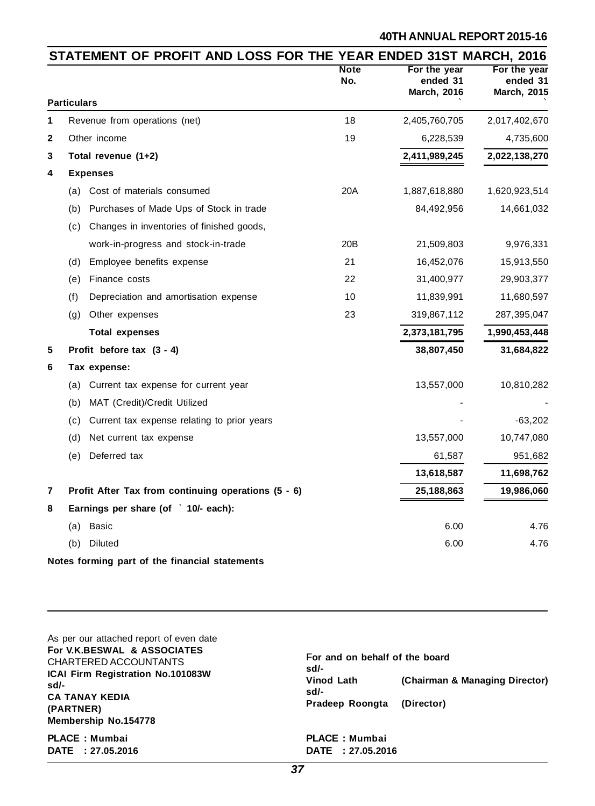## **40TH ANNUAL REPORT 2015-16**

|   | STATEMENT OF PROFIT AND LOSS FOR THE YEAR ENDED 31ST MARCH, 2016 |                    |                                         |                                                |
|---|------------------------------------------------------------------|--------------------|-----------------------------------------|------------------------------------------------|
|   |                                                                  | <b>Note</b><br>No. | For the year<br>ended 31<br>March, 2016 | For the year<br>ended 31<br><b>March, 2015</b> |
|   | <b>Particulars</b>                                               |                    |                                         |                                                |
| 1 | Revenue from operations (net)                                    | 18                 | 2,405,760,705                           | 2,017,402,670                                  |
| 2 | Other income                                                     | 19                 | 6,228,539                               | 4,735,600                                      |
| 3 | Total revenue (1+2)                                              |                    | 2,411,989,245                           | 2,022,138,270                                  |
| 4 | <b>Expenses</b>                                                  |                    |                                         |                                                |
|   | Cost of materials consumed<br>(a)                                | 20A                | 1,887,618,880                           | 1,620,923,514                                  |
|   | Purchases of Made Ups of Stock in trade<br>(b)                   |                    | 84,492,956                              | 14,661,032                                     |
|   | Changes in inventories of finished goods,<br>(c)                 |                    |                                         |                                                |
|   | work-in-progress and stock-in-trade                              | 20B                | 21,509,803                              | 9,976,331                                      |
|   | (d) Employee benefits expense                                    | 21                 | 16,452,076                              | 15,913,550                                     |
|   | Finance costs<br>(e)                                             | 22                 | 31,400,977                              | 29,903,377                                     |
|   | (f)<br>Depreciation and amortisation expense                     | 10                 | 11,839,991                              | 11,680,597                                     |
|   | Other expenses<br>(g)                                            | 23                 | 319,867,112                             | 287,395,047                                    |
|   | <b>Total expenses</b>                                            |                    | 2,373,181,795                           | 1,990,453,448                                  |
| 5 | Profit before tax $(3 - 4)$                                      |                    | 38,807,450                              | 31,684,822                                     |
| 6 | Tax expense:                                                     |                    |                                         |                                                |
|   | Current tax expense for current year<br>(a)                      |                    | 13,557,000                              | 10,810,282                                     |
|   | MAT (Credit)/Credit Utilized<br>(b)                              |                    |                                         |                                                |
|   | Current tax expense relating to prior years<br>(c)               |                    |                                         | $-63,202$                                      |
|   | (d)<br>Net current tax expense                                   |                    | 13,557,000                              | 10,747,080                                     |
|   | Deferred tax<br>(e)                                              |                    | 61,587                                  | 951,682                                        |
|   |                                                                  |                    | 13,618,587                              | 11,698,762                                     |
| 7 | Profit After Tax from continuing operations (5 - 6)              |                    | 25,188,863                              | 19,986,060                                     |
| 8 | Earnings per share (of 10/- each):                               |                    |                                         |                                                |
|   | (a) Basic                                                        |                    | 6.00                                    | 4.76                                           |
|   | Diluted<br>(b)                                                   |                    | 6.00                                    | 4.76                                           |
|   | Notes forming part of the financial statements                   |                    |                                         |                                                |

| As per our attached report of even date<br>For V.K.BESWAL & ASSOCIATES<br>CHARTERED ACCOUNTANTS<br>ICAI Firm Registration No.101083W<br>sd/-<br><b>CA TANAY KEDIA</b><br>(PARTNER)<br>Membership No.154778 | For and on behalf of the board<br>sd/-<br>Vinod Lath<br>sd/-<br>Pradeep Roongta | (Chairman & Managing Director)<br>(Director) |
|------------------------------------------------------------------------------------------------------------------------------------------------------------------------------------------------------------|---------------------------------------------------------------------------------|----------------------------------------------|
| PLACE: Mumbai<br>DATE : 27.05.2016                                                                                                                                                                         | PLACE: Mumbai<br>DATE : 27.05.2016                                              |                                              |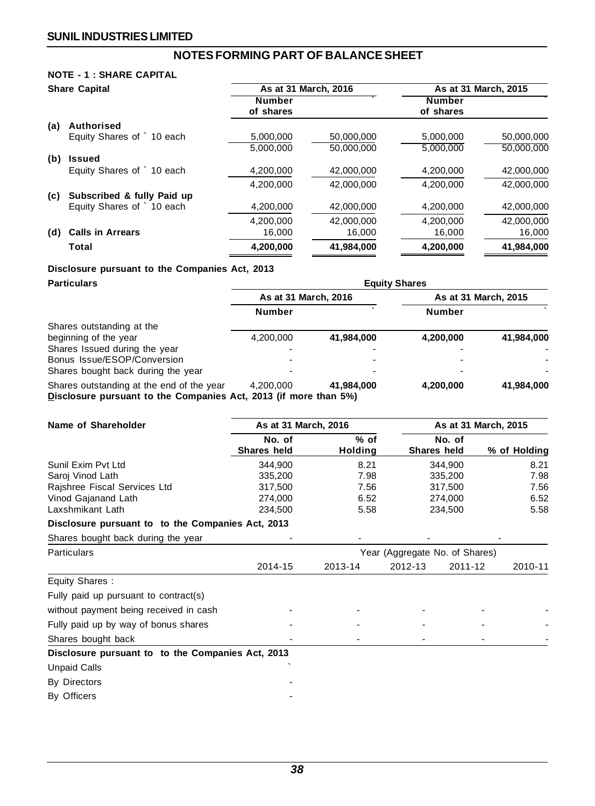# **NOTESFORMING PART OF BALANCESHEET**

## **NOTE - 1 : SHARE CAPITAL**

| <b>Share Capital</b> |                            | As at 31 March, 2016       |            | As at 31 March, 2015       |            |
|----------------------|----------------------------|----------------------------|------------|----------------------------|------------|
|                      |                            | <b>Number</b><br>of shares |            | <b>Number</b><br>of shares |            |
| (a)                  | Authorised                 |                            |            |                            |            |
|                      | Equity Shares of 10 each   | 5.000.000                  | 50.000.000 | 5,000,000                  | 50,000,000 |
|                      |                            | 5.000.000                  | 50,000,000 | 5,000,000                  | 50,000,000 |
| (b)                  | <b>Issued</b>              |                            |            |                            |            |
|                      | Equity Shares of 10 each   | 4,200,000                  | 42,000,000 | 4,200,000                  | 42,000,000 |
|                      |                            | 4.200.000                  | 42.000.000 | 4.200.000                  | 42,000,000 |
| (c)                  | Subscribed & fully Paid up |                            |            |                            |            |
|                      | Equity Shares of 10 each   | 4,200,000                  | 42,000,000 | 4,200,000                  | 42,000,000 |
|                      |                            | 4.200.000                  | 42,000,000 | 4,200,000                  | 42,000,000 |
| (d)                  | <b>Calls in Arrears</b>    | 16,000                     | 16,000     | 16,000                     | 16,000     |
|                      | Total                      | 4,200,000                  | 41,984,000 | 4,200,000                  | 41,984,000 |

## **Disclosure pursuant to the Companies Act, 2013**

| <b>Particulars</b>                                                                    |                                           | <b>Equity Shares</b> |           |                      |  |
|---------------------------------------------------------------------------------------|-------------------------------------------|----------------------|-----------|----------------------|--|
|                                                                                       |                                           | As at 31 March, 2016 |           | As at 31 March, 2015 |  |
|                                                                                       | <b>Number</b>                             |                      | Number    |                      |  |
| Shares outstanding at the                                                             |                                           |                      |           |                      |  |
| beginning of the year                                                                 | 4.200.000                                 | 41.984.000           | 4,200,000 | 41,984,000           |  |
| Shares Issued during the year                                                         |                                           |                      |           |                      |  |
| Bonus Issue/ESOP/Conversion                                                           |                                           |                      |           |                      |  |
| Shares bought back during the year                                                    |                                           |                      |           |                      |  |
| Shares outstanding at the end of the year<br>Disclosure pursuant to the Companies Act | 4.200.000<br>$2012$ (if more than $5\%$ ) | 41.984.000           | 4,200,000 | 41,984,000           |  |

**Disclosure pursuant to the Companies Act, 2013 (if more than 5%)**

| Name of Shareholder                               | As at 31 March, 2016  |                   | As at 31 March, 2015 |                                |              |  |
|---------------------------------------------------|-----------------------|-------------------|----------------------|--------------------------------|--------------|--|
|                                                   | No. of<br>Shares held | $%$ of<br>Holding |                      | No. of<br>Shares held          | % of Holding |  |
| Sunil Exim Pvt Ltd                                | 344,900               | 8.21              |                      | 344,900                        | 8.21         |  |
| Saroj Vinod Lath                                  | 335,200               | 7.98              |                      | 335,200                        | 7.98         |  |
| Rajshree Fiscal Services Ltd                      | 317,500               | 7.56              |                      | 317,500                        | 7.56         |  |
| Vinod Gajanand Lath                               | 274,000               | 6.52              |                      | 274,000                        | 6.52         |  |
| Laxshmikant Lath                                  | 234,500               | 5.58              |                      | 234,500                        | 5.58         |  |
| Disclosure pursuant to to the Companies Act, 2013 |                       |                   |                      |                                |              |  |
| Shares bought back during the year                |                       |                   |                      |                                |              |  |
| <b>Particulars</b>                                |                       |                   |                      | Year (Aggregate No. of Shares) |              |  |
|                                                   | 2014-15               | 2013-14           | 2012-13              | 2011-12                        | 2010-11      |  |
| Equity Shares:                                    |                       |                   |                      |                                |              |  |
| Fully paid up pursuant to contract(s)             |                       |                   |                      |                                |              |  |
| without payment being received in cash            |                       |                   |                      |                                |              |  |
| Fully paid up by way of bonus shares              |                       |                   |                      |                                |              |  |
| Shares bought back                                |                       |                   |                      |                                |              |  |
| Disclosure pursuant to to the Companies Act, 2013 |                       |                   |                      |                                |              |  |
| <b>Unpaid Calls</b>                               |                       |                   |                      |                                |              |  |
| By Directors                                      |                       |                   |                      |                                |              |  |
| By Officers                                       |                       |                   |                      |                                |              |  |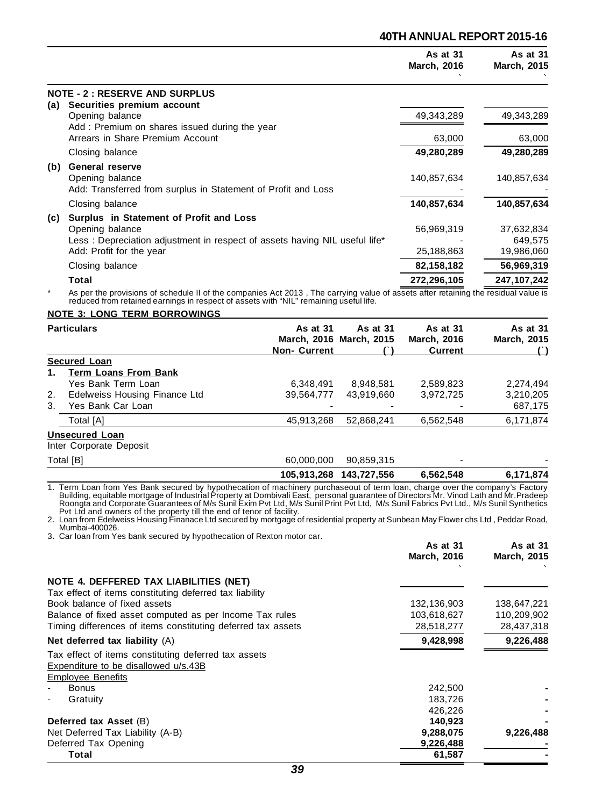## **40TH ANNUAL REPORT 2015-16**

|                                                                            | As at 31<br>March, 2016 | As at 31<br>March, 2015 |
|----------------------------------------------------------------------------|-------------------------|-------------------------|
| <b>NOTE - 2: RESERVE AND SURPLUS</b>                                       |                         |                         |
| Securities premium account<br>(a)                                          |                         |                         |
| Opening balance                                                            | 49,343,289              | 49,343,289              |
| Add: Premium on shares issued during the year                              |                         |                         |
| Arrears in Share Premium Account                                           | 63,000                  | 63,000                  |
| Closing balance                                                            | 49,280,289              | 49,280,289              |
| General reserve<br>(b)                                                     |                         |                         |
| Opening balance                                                            | 140,857,634             | 140,857,634             |
| Add: Transferred from surplus in Statement of Profit and Loss              |                         |                         |
| Closing balance                                                            | 140,857,634             | 140,857,634             |
| Surplus in Statement of Profit and Loss<br>(c)                             |                         |                         |
| Opening balance                                                            | 56,969,319              | 37,632,834              |
| Less: Depreciation adjustment in respect of assets having NIL useful life* |                         | 649,575                 |
| Add: Profit for the year                                                   | 25,188,863              | 19,986,060              |
| Closing balance                                                            | 82,158,182              | 56,969,319              |
| Total                                                                      | 272,296,105             | 247, 107, 242           |

\* As per the provisions of schedule II of the companies Act 2013 , The carrying value of assets after retaining the residual value is reduced from retained earnings in respect of assets with "NIL" remaining useful life.

#### **NOTE 3: LONG TERM BORROWINGS**

|    | <b>Particulars</b>                               | As at 31<br><b>Non- Current</b> | As at 31<br>March, 2016 March, 2015 | As at 31<br><b>March, 2016</b><br><b>Current</b> | As at 31<br>March, 2015 |
|----|--------------------------------------------------|---------------------------------|-------------------------------------|--------------------------------------------------|-------------------------|
|    | <b>Secured Loan</b>                              |                                 |                                     |                                                  |                         |
| 1. | <b>Term Loans From Bank</b>                      |                                 |                                     |                                                  |                         |
|    | Yes Bank Term Loan                               | 6.348.491                       | 8.948.581                           | 2,589,823                                        | 2.274.494               |
| 2. | Edelweiss Housing Finance Ltd                    | 39.564.777                      | 43.919.660                          | 3,972,725                                        | 3,210,205               |
| 3. | Yes Bank Car Loan                                |                                 |                                     |                                                  | 687,175                 |
|    | Total [A]                                        | 45.913.268                      | 52.868.241                          | 6,562,548                                        | 6,171,874               |
|    | <b>Unsecured Loan</b><br>Inter Corporate Deposit |                                 |                                     |                                                  |                         |
|    | Total [B]                                        | 60,000,000                      | 90,859,315                          |                                                  |                         |
|    |                                                  | 105.913.268                     | 143.727.556                         | 6.562.548                                        | 6,171,874               |

1. Term Loan from Yes Bank secured by hypothecation of machinery purchaseout of term loan, charge over the company's Factory<br>Building, equitable mortgage of Industrial Property at Dombivali East, personal guarantee of Dire

Mumbai-400026. 3. Car loan from Yes bank secured by hypothecation of Rexton motor car.

|                                                              | As at $31$<br>March, 2016 | As at 31<br><b>March, 2015</b> |
|--------------------------------------------------------------|---------------------------|--------------------------------|
| NOTE 4. DEFFERED TAX LIABILITIES (NET)                       |                           |                                |
| Tax effect of items constituting deferred tax liability      |                           |                                |
| Book balance of fixed assets                                 | 132,136,903               | 138,647,221                    |
| Balance of fixed asset computed as per Income Tax rules      | 103,618,627               | 110,209,902                    |
| Timing differences of items constituting deferred tax assets | 28,518,277                | 28,437,318                     |
| Net deferred tax liability $(A)$                             | 9,428,998                 | 9,226,488                      |
| Tax effect of items constituting deferred tax assets         |                           |                                |
| Expenditure to be disallowed u/s.43B                         |                           |                                |
| <b>Employee Benefits</b>                                     |                           |                                |
| <b>Bonus</b>                                                 | 242,500                   |                                |
| Gratuity                                                     | 183.726                   |                                |
|                                                              | 426,226                   |                                |
| Deferred tax Asset (B)                                       | 140,923                   |                                |
| Net Deferred Tax Liability (A-B)                             | 9,288,075                 | 9,226,488                      |
| Deferred Tax Opening                                         | 9,226,488                 |                                |
| Total                                                        | 61,587                    |                                |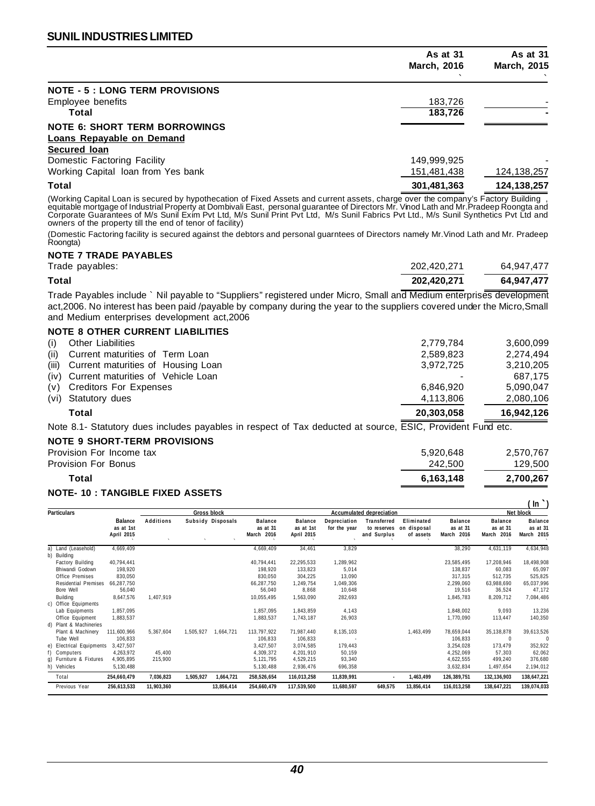|                                                                   | As at 31           | As at 31           |  |
|-------------------------------------------------------------------|--------------------|--------------------|--|
|                                                                   | <b>March, 2016</b> | <b>March, 2015</b> |  |
| <b>NOTE - 5 : LONG TERM PROVISIONS</b>                            |                    |                    |  |
| Employee benefits                                                 | 183,726            |                    |  |
| Total                                                             | 183.726            |                    |  |
| <b>NOTE 6: SHORT TERM BORROWINGS</b><br>Loans Repayable on Demand |                    |                    |  |
| Secured Ioan                                                      |                    |                    |  |
| Domestic Factoring Facility                                       | 149,999,925        |                    |  |
| Working Capital loan from Yes bank                                | 151,481,438        | 124, 138, 257      |  |
| <b>Total</b>                                                      | 301,481,363        | 124.138.257        |  |

(Working Capital Loan is secured by hypothecation of Fixed Assets and current assets, charge over the company's Factory Building<br>equitable mortgage of Industrial Property at Dombivali East, personal guarantee of Directors owners of the property till the end of tenor of facility)

(Domestic Factoring facility is secured against the debtors and personal guarntees of Directors namely Mr.Vinod Lath and Mr. Pradeep Roongta)

## **NOTE 7 TRADE PAYABLES**

| Trade payables: | 202.420.271 | 64.947.477 |
|-----------------|-------------|------------|
| Total           | 202.420.271 | 64.947.477 |
|                 |             |            |

Trade Payables include ` Nil payable to "Suppliers" registered under Micro, Small and Medium enterprises development act,2006. No interest has been paid /payable by company during the year to the suppliers covered under the Micro,Small and Medium enterprises development act,2006

#### **NOTE 8 OTHER CURRENT LIABILITIES**

|      | $\mathbf{u}$ , as a set of the set of the set of $\mathbf{v}$ , $\mathbf{v}$ , $\mathbf{v}$ , $\mathbf{v}$ , $\mathbf{v}$ , $\mathbf{v}$ , $\mathbf{v}$ , $\mathbf{v}$ , $\mathbf{v}$ , $\mathbf{v}$ , $\mathbf{v}$ , $\mathbf{v}$ , $\mathbf{v}$ , $\mathbf{v}$ , $\mathbf{v}$ , $\mathbf{v}$ , | $\overline{z}$ |            |
|------|--------------------------------------------------------------------------------------------------------------------------------------------------------------------------------------------------------------------------------------------------------------------------------------------------|----------------|------------|
|      | Total                                                                                                                                                                                                                                                                                            | 20.303.058     | 16.942.126 |
|      | (vi) Statutory dues                                                                                                                                                                                                                                                                              | 4,113,806      | 2,080,106  |
|      | (v) Creditors For Expenses                                                                                                                                                                                                                                                                       | 6.846.920      | 5.090.047  |
|      | (iv) Current maturities of Vehicle Loan                                                                                                                                                                                                                                                          |                | 687.175    |
|      | (iii) Current maturities of Housing Loan                                                                                                                                                                                                                                                         | 3,972,725      | 3,210,205  |
| (ii) | Current maturities of Term Loan                                                                                                                                                                                                                                                                  | 2.589.823      | 2.274.494  |
| (i)  | <b>Other Liabilities</b>                                                                                                                                                                                                                                                                         | 2,779,784      | 3.600.099  |
|      |                                                                                                                                                                                                                                                                                                  |                |            |

Note 8.1- Statutory dues includes payables in respect of Tax deducted at source, ESIC, Provident Fund etc.

| Total                               | 6.163.148 | 2.700.267 |
|-------------------------------------|-----------|-----------|
| Provision For Bonus                 | 242.500   | 129.500   |
| Provision For Income tax            | 5.920.648 | 2.570.767 |
| <b>NOTE 9 SHORT-TERM PROVISIONS</b> |           |           |

**( In** `**)**

## **NOTE- 10 : TANGIBLE FIXED ASSETS**

|                             |             |            |             |                   |             |             |              |                          |             |             |             | <b>III</b>  |
|-----------------------------|-------------|------------|-------------|-------------------|-------------|-------------|--------------|--------------------------|-------------|-------------|-------------|-------------|
| Particulars                 |             |            | Gross block |                   |             |             |              | Accumulated depreciation |             |             |             | Net block   |
|                             | Balance     | Additions  |             | Subsidy Disposals | Balance     | Balance     | Depreciation | Transferred              | Eliminated  | Balance     | Balance     | Balance     |
|                             | as at 1st   |            |             |                   | as at 31    | as at 1st   | for the year | to reserves              | on disposal | as at 31    | as at 31    | as at 31    |
|                             | April 2015  |            |             |                   | March 2016  | April 2015  |              | and Surplus              | of assets   | March 2016  | March 2016  | March 2015  |
| a) Land (Leasehold)         | 4,669,409   |            |             |                   | 4,669,409   | 34,461      | 3,829        |                          |             | 38,290      | 4,631,119   | 4,634,948   |
| b) Building                 |             |            |             |                   |             |             |              |                          |             |             |             |             |
| Factory Building            | 40,794,441  |            |             |                   | 40,794,441  | 22,295,533  | 1,289,962    |                          |             | 23,585,495  | 17,208,946  | 18,498,908  |
| Bhiwandi Godown             | 198.920     |            |             |                   | 198.920     | 133,823     | 5,014        |                          |             | 138,837     | 60,083      | 65,097      |
| Office Premises             | 830.050     |            |             |                   | 830.050     | 304,225     | 13,090       |                          |             | 317,315     | 512,735     | 525,825     |
| <b>Residential Premises</b> | 66.287.750  |            |             |                   | 66,287,750  | 1,249,754   | 1,049,306    |                          |             | 2.299.060   | 63,988,690  | 65,037,996  |
| Bore Well                   | 56,040      |            |             |                   | 56,040      | 8,868       | 10,648       |                          |             | 19,516      | 36,524      | 47,172      |
| Building                    | 8,647,576   | 1,407,919  |             |                   | 10.055.495  | 1,563,090   | 282,693      |                          |             | 1,845,783   | 8,209,712   | 7,084,486   |
| c) Office Equipments        |             |            |             |                   |             |             |              |                          |             |             |             |             |
| Lab Equipments              | 1,857,095   |            |             |                   | 1,857,095   | 1,843,859   | 4,143        |                          |             | 1,848,002   | 9,093       | 13,236      |
| Office Equipment            | 1.883.537   |            |             |                   | 1.883.537   | 1.743.187   | 26,903       |                          |             | 1,770,090   | 113.447     | 140,350     |
| d) Plant & Machineries      |             |            |             |                   |             |             |              |                          |             |             |             |             |
| Plant & Machinery           | 111,600,966 | 5,367,604  | 1.505.927   | 1.664.721         | 113.797.922 | 71,987,440  | 8,135,103    |                          | 1,463,499   | 78.659.044  | 35,138,878  | 39,613,526  |
| Tube Well                   | 106.833     |            |             |                   | 106.833     | 106,833     |              |                          |             | 106,833     | $\Omega$    | $\theta$    |
| e) Electrical Equipments    | 3,427,507   |            |             |                   | 3,427,507   | 3,074,585   | 179.443      |                          |             | 3.254.028   | 173.479     | 352,922     |
| f) Computers                | 4,263,972   | 45,400     |             |                   | 4.309.372   | 4,201,910   | 50,159       |                          |             | 4,252,069   | 57,303      | 62,062      |
| q) Furniture & Fixtures     | 4.905.895   | 215,900    |             |                   | 5,121,795   | 4,529,215   | 93,340       |                          |             | 4,622,555   | 499,240     | 376,680     |
| h) Vehicles                 | 5,130,488   |            |             |                   | 5,130,488   | 2,936,476   | 696,358      |                          |             | 3,632,834   | 1,497,654   | 2,194,012   |
| Total                       | 254,660,479 | 7,036,823  | 1,505,927   | 1,664,721         | 258,526,654 | 116,013,258 | 11,839,991   |                          | 1,463,499   | 126,389,751 | 132.136.903 | 138,647,221 |
| Previous Year               | 256,613,533 | 11,903,360 |             | 13,856,414        | 254,660,479 | 117,539,500 | 11,680,597   | 649,575                  | 13,856,414  | 116,013,258 | 138.647.221 | 139,074,033 |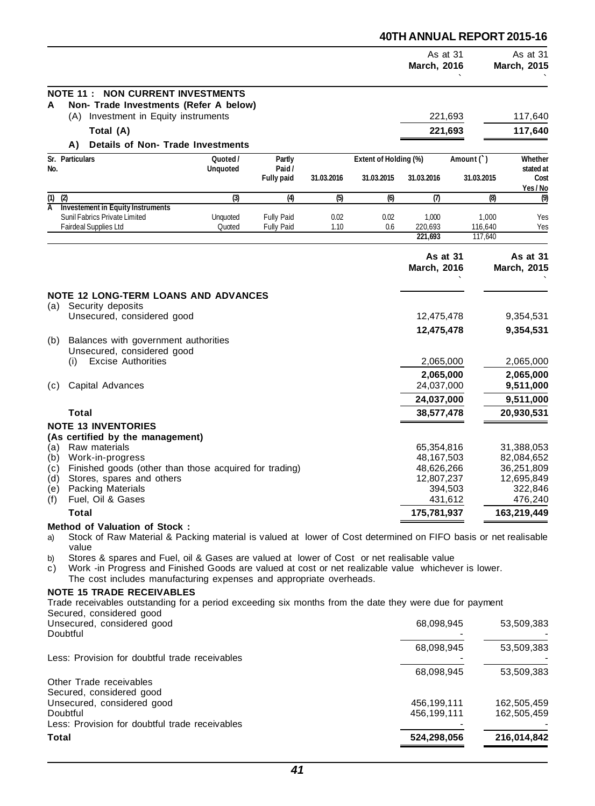## **40TH ANNUAL REPORT 2015-16**

|                |                                                                                                                                                                            |                    |                                        |              |                       | As at 31<br>March, 2016 |                  | As at 31<br><b>March, 2015</b> |
|----------------|----------------------------------------------------------------------------------------------------------------------------------------------------------------------------|--------------------|----------------------------------------|--------------|-----------------------|-------------------------|------------------|--------------------------------|
|                | <b>NOTE 11: NON CURRENT INVESTMENTS</b>                                                                                                                                    |                    |                                        |              |                       |                         |                  |                                |
| A              | Non- Trade Investments (Refer A below)                                                                                                                                     |                    |                                        |              |                       |                         |                  |                                |
|                | (A) Investment in Equity instruments                                                                                                                                       |                    |                                        |              |                       | 221,693                 |                  | 117,640                        |
|                | Total (A)<br>Details of Non-Trade Investments<br>A)                                                                                                                        |                    |                                        |              |                       | 221,693                 |                  | 117,640                        |
|                | Sr. Particulars                                                                                                                                                            | Quoted /           | Partly                                 |              | Extent of Holding (%) |                         | Amount (*)       | Whether                        |
| No.            |                                                                                                                                                                            | Unquoted           | Paid/                                  |              |                       |                         |                  | stated at                      |
|                |                                                                                                                                                                            |                    | Fully paid                             | 31.03.2016   | 31.03.2015            | 31.03.2016              | 31.03.2015       | Cost                           |
| (1)            | (2)                                                                                                                                                                        | (3)                | (4)                                    | (5)          | (6)                   | (7)                     | (8)              | Yes / No<br>(9)                |
| $\overline{A}$ | Investement in Equity Instruments                                                                                                                                          |                    |                                        |              |                       |                         |                  |                                |
|                | Sunil Fabrics Private Limited<br><b>Fairdeal Supplies Ltd</b>                                                                                                              | Unquoted<br>Quoted | <b>Fully Paid</b><br><b>Fully Paid</b> | 0.02<br>1.10 | 0.02<br>0.6           | 1,000<br>220,693        | 1,000<br>116,640 | Yes                            |
|                |                                                                                                                                                                            |                    |                                        |              |                       | 221,693                 | 117,640          | Yes                            |
|                |                                                                                                                                                                            |                    |                                        |              |                       | As at 31                |                  | As at 31                       |
|                |                                                                                                                                                                            |                    |                                        |              |                       | <b>March, 2016</b>      |                  | <b>March, 2015</b>             |
|                |                                                                                                                                                                            |                    |                                        |              |                       |                         |                  |                                |
|                | <b>NOTE 12 LONG-TERM LOANS AND ADVANCES</b><br>(a) Security deposits                                                                                                       |                    |                                        |              |                       |                         |                  |                                |
|                | Unsecured, considered good                                                                                                                                                 |                    |                                        |              |                       | 12,475,478              |                  | 9,354,531                      |
|                |                                                                                                                                                                            |                    |                                        |              |                       | 12,475,478              |                  | 9,354,531                      |
|                | (b) Balances with government authorities                                                                                                                                   |                    |                                        |              |                       |                         |                  |                                |
|                | Unsecured, considered good<br><b>Excise Authorities</b>                                                                                                                    |                    |                                        |              |                       |                         |                  |                                |
|                | (i)                                                                                                                                                                        |                    |                                        |              |                       | 2,065,000               |                  | 2,065,000                      |
| (c)            | Capital Advances                                                                                                                                                           |                    |                                        |              |                       | 2,065,000<br>24,037,000 |                  | 2,065,000<br>9,511,000         |
|                |                                                                                                                                                                            |                    |                                        |              |                       | 24,037,000              |                  | 9,511,000                      |
|                | Total                                                                                                                                                                      |                    |                                        |              |                       | 38,577,478              |                  | 20,930,531                     |
|                | <b>NOTE 13 INVENTORIES</b>                                                                                                                                                 |                    |                                        |              |                       |                         |                  |                                |
|                | (As certified by the management)                                                                                                                                           |                    |                                        |              |                       |                         |                  |                                |
|                | (a) Raw materials                                                                                                                                                          |                    |                                        |              |                       | 65,354,816              |                  | 31,388,053                     |
|                | (b) Work-in-progress                                                                                                                                                       |                    |                                        |              |                       | 48,167,503              |                  | 82,084,652                     |
|                | (c) Finished goods (other than those acquired for trading)                                                                                                                 |                    |                                        |              |                       | 48,626,266              |                  | 36,251,809                     |
|                | (d) Stores, spares and others                                                                                                                                              |                    |                                        |              |                       | 12,807,237              |                  | 12,695,849                     |
|                | (e) Packing Materials                                                                                                                                                      |                    |                                        |              |                       | 394,503                 |                  | 322,846                        |
| (f)            | Fuel, Oil & Gases                                                                                                                                                          |                    |                                        |              |                       | 431,612                 |                  | 476,240                        |
|                | Total                                                                                                                                                                      |                    |                                        |              |                       | 175,781,937             |                  | 163,219,449                    |
| a)             | Method of Valuation of Stock:<br>Stock of Raw Material & Packing material is valued at lower of Cost determined on FIFO basis or net realisable<br>value                   |                    |                                        |              |                       |                         |                  |                                |
| b)             | Stores & spares and Fuel, oil & Gases are valued at lower of Cost or net realisable value                                                                                  |                    |                                        |              |                       |                         |                  |                                |
| C)             | Work -in Progress and Finished Goods are valued at cost or net realizable value whichever is lower.<br>The cost includes manufacturing expenses and appropriate overheads. |                    |                                        |              |                       |                         |                  |                                |
|                | <b>NOTE 15 TRADE RECEIVABLES</b>                                                                                                                                           |                    |                                        |              |                       |                         |                  |                                |
|                | Trade receivables outstanding for a period exceeding six months from the date they were due for payment<br>Secured, considered good                                        |                    |                                        |              |                       |                         |                  |                                |

| <b>Total</b>                                   | 524,298,056 | 216,014,842 |
|------------------------------------------------|-------------|-------------|
| Less: Provision for doubtful trade receivables |             |             |
| Doubtful                                       | 456,199,111 | 162,505,459 |
| Unsecured, considered good                     | 456,199,111 | 162,505,459 |
| Secured, considered good                       |             |             |
| Other Trade receivables                        |             |             |
|                                                | 68,098,945  | 53,509,383  |
| Less: Provision for doubtful trade receivables | 68,098,945  | 53,509,383  |
| Doubtful                                       |             |             |
| Unsecured, considered good                     | 68,098,945  | 53,509,383  |
| Jeculeu, considered good                       |             |             |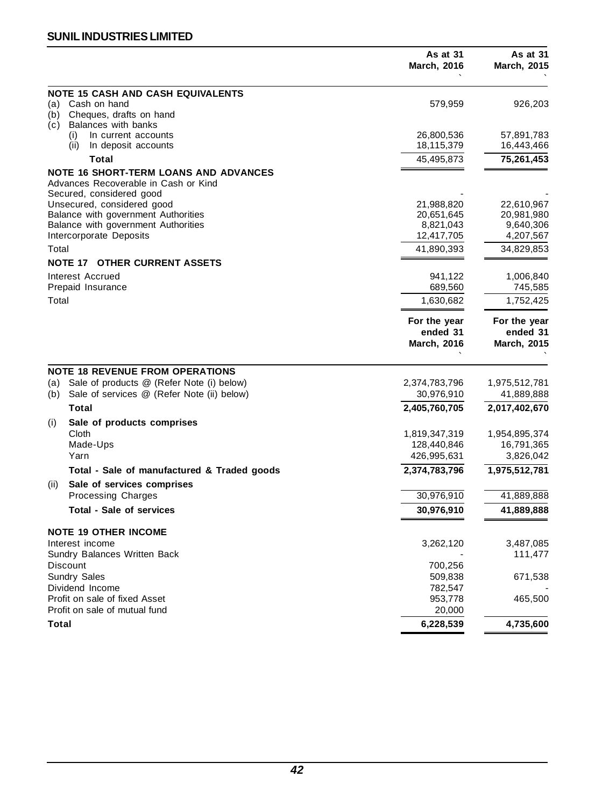|            |                                                                                     | As at 31<br><b>March, 2016</b> | As at 31<br><b>March, 2015</b> |
|------------|-------------------------------------------------------------------------------------|--------------------------------|--------------------------------|
|            | <b>NOTE 15 CASH AND CASH EQUIVALENTS</b>                                            |                                |                                |
| (a)        | Cash on hand                                                                        | 579,959                        | 926,203                        |
| (b)        | Cheques, drafts on hand                                                             |                                |                                |
| (c)        | Balances with banks                                                                 |                                |                                |
|            | In current accounts<br>(i)<br>(ii)<br>In deposit accounts                           | 26,800,536<br>18,115,379       | 57,891,783<br>16,443,466       |
|            | Total                                                                               | 45,495,873                     | 75,261,453                     |
|            | NOTE 16 SHORT-TERM LOANS AND ADVANCES                                               |                                |                                |
|            | Advances Recoverable in Cash or Kind                                                |                                |                                |
|            | Secured, considered good                                                            |                                |                                |
|            | Unsecured, considered good                                                          | 21,988,820                     | 22,610,967                     |
|            | Balance with government Authorities                                                 | 20,651,645                     | 20,981,980                     |
|            | Balance with government Authorities<br>Intercorporate Deposits                      | 8,821,043<br>12,417,705        | 9,640,306<br>4,207,567         |
| Total      |                                                                                     | 41,890,393                     | 34,829,853                     |
|            | <b>NOTE 17 OTHER CURRENT ASSETS</b>                                                 |                                |                                |
|            | Interest Accrued                                                                    | 941,122                        | 1,006,840                      |
|            | Prepaid Insurance                                                                   | 689,560                        | 745,585                        |
| Total      |                                                                                     | 1,630,682                      | 1,752,425                      |
|            |                                                                                     | For the year                   | For the year                   |
|            |                                                                                     | ended 31                       | ended 31                       |
|            |                                                                                     | <b>March, 2016</b>             | <b>March, 2015</b>             |
|            |                                                                                     |                                |                                |
|            | <b>NOTE 18 REVENUE FROM OPERATIONS</b><br>Sale of products @ (Refer Note (i) below) |                                |                                |
| (a)<br>(b) | Sale of services @ (Refer Note (ii) below)                                          | 2,374,783,796<br>30,976,910    | 1,975,512,781<br>41,889,888    |
|            | <b>Total</b>                                                                        | 2,405,760,705                  | 2,017,402,670                  |
| (i)        | Sale of products comprises                                                          |                                |                                |
|            | Cloth                                                                               | 1,819,347,319                  | 1,954,895,374                  |
|            | Made-Ups                                                                            | 128,440,846                    | 16,791,365                     |
|            | Yarn                                                                                | 426,995,631                    | 3,826,042                      |
|            | Total - Sale of manufactured & Traded goods                                         | 2,374,783,796                  | 1,975,512,781                  |
| (ii)       | Sale of services comprises                                                          |                                |                                |
|            | <b>Processing Charges</b>                                                           | 30,976,910                     | 41,889,888                     |
|            | <b>Total - Sale of services</b>                                                     | 30,976,910                     | 41,889,888                     |
|            | <b>NOTE 19 OTHER INCOME</b>                                                         |                                |                                |
|            | Interest income                                                                     | 3,262,120                      | 3,487,085                      |
|            | <b>Sundry Balances Written Back</b>                                                 |                                | 111,477                        |
|            | <b>Discount</b>                                                                     | 700,256                        |                                |
|            | <b>Sundry Sales</b>                                                                 | 509,838                        | 671,538                        |
|            | Dividend Income                                                                     | 782,547                        |                                |
|            | Profit on sale of fixed Asset                                                       | 953,778                        | 465,500                        |
|            | Profit on sale of mutual fund                                                       | 20,000                         |                                |
| Total      |                                                                                     | 6,228,539                      | 4,735,600                      |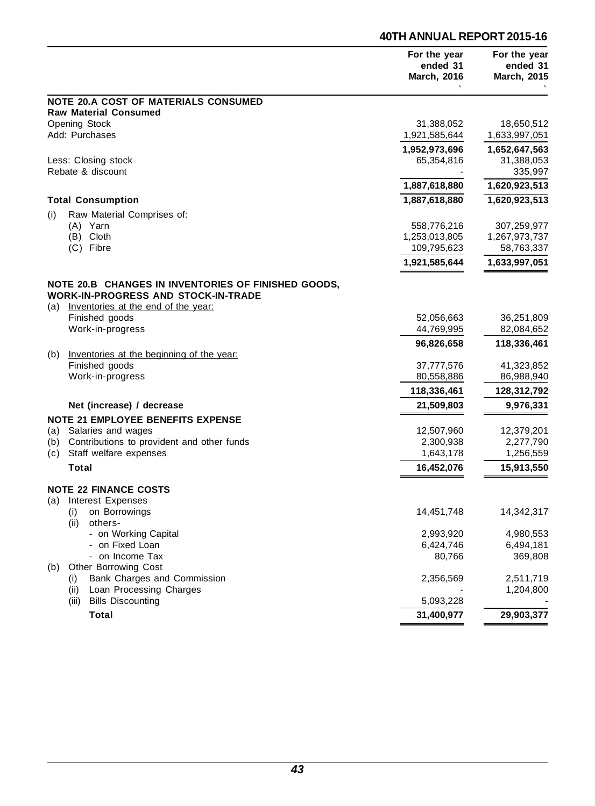## **40TH ANNUAL REPORT 2015-16**

|     |                                                                             | For the year<br>ended 31<br>March, 2016 | For the year<br>ended 31<br><b>March, 2015</b> |
|-----|-----------------------------------------------------------------------------|-----------------------------------------|------------------------------------------------|
|     | <b>NOTE 20.A COST OF MATERIALS CONSUMED</b><br><b>Raw Material Consumed</b> |                                         |                                                |
|     | <b>Opening Stock</b>                                                        | 31,388,052                              | 18,650,512                                     |
|     | Add: Purchases                                                              | 1,921,585,644                           | 1,633,997,051                                  |
|     |                                                                             |                                         |                                                |
|     |                                                                             | 1,952,973,696                           | 1,652,647,563                                  |
|     | Less: Closing stock<br>Rebate & discount                                    | 65,354,816                              | 31,388,053<br>335,997                          |
|     |                                                                             |                                         |                                                |
|     |                                                                             | 1,887,618,880                           | 1,620,923,513                                  |
|     | <b>Total Consumption</b>                                                    | 1,887,618,880                           | 1,620,923,513                                  |
| (i) | Raw Material Comprises of:                                                  |                                         |                                                |
|     | (A) Yarn                                                                    | 558,776,216                             | 307,259,977                                    |
|     | (B) Cloth                                                                   | 1,253,013,805                           | 1,267,973,737                                  |
|     | (C) Fibre                                                                   | 109,795,623                             | 58,763,337                                     |
|     |                                                                             | 1,921,585,644                           | 1,633,997,051                                  |
|     | NOTE 20.B CHANGES IN INVENTORIES OF FINISHED GOODS,                         |                                         |                                                |
|     | <b>WORK-IN-PROGRESS AND STOCK-IN-TRADE</b>                                  |                                         |                                                |
|     | (a) Inventories at the end of the year:                                     |                                         |                                                |
|     | Finished goods                                                              | 52,056,663                              | 36,251,809                                     |
|     | Work-in-progress                                                            | 44,769,995                              | 82,084,652                                     |
|     |                                                                             | 96,826,658                              | 118,336,461                                    |
|     | (b) Inventories at the beginning of the year:                               |                                         |                                                |
|     | Finished goods                                                              | 37,777,576                              | 41,323,852                                     |
|     | Work-in-progress                                                            | 80,558,886                              | 86,988,940                                     |
|     |                                                                             | 118,336,461                             | 128,312,792                                    |
|     | Net (increase) / decrease                                                   | 21,509,803                              | 9,976,331                                      |
|     | <b>NOTE 21 EMPLOYEE BENEFITS EXPENSE</b>                                    |                                         |                                                |
|     | (a) Salaries and wages                                                      | 12,507,960                              | 12,379,201                                     |
|     | (b) Contributions to provident and other funds                              | 2,300,938                               | 2,277,790                                      |
|     | (c) Staff welfare expenses                                                  | 1,643,178                               | 1,256,559                                      |
|     | Total                                                                       | 16,452,076                              | 15,913,550                                     |
|     |                                                                             |                                         |                                                |
|     | <b>NOTE 22 FINANCE COSTS</b>                                                |                                         |                                                |
| (a) | Interest Expenses                                                           | 14,451,748                              | 14,342,317                                     |
|     | (i)<br>on Borrowings<br>(ii)<br>others-                                     |                                         |                                                |
|     | - on Working Capital                                                        | 2,993,920                               | 4,980,553                                      |
|     | - on Fixed Loan                                                             | 6,424,746                               | 6,494,181                                      |
|     | - on Income Tax                                                             | 80,766                                  | 369,808                                        |
| (b) | <b>Other Borrowing Cost</b>                                                 |                                         |                                                |
|     | Bank Charges and Commission<br>(i)                                          | 2,356,569                               | 2,511,719                                      |
|     | (ii)<br>Loan Processing Charges                                             |                                         | 1,204,800                                      |
|     | <b>Bills Discounting</b><br>(iii)                                           | 5,093,228                               |                                                |
|     | Total                                                                       | 31,400,977                              | 29,903,377                                     |
|     |                                                                             |                                         |                                                |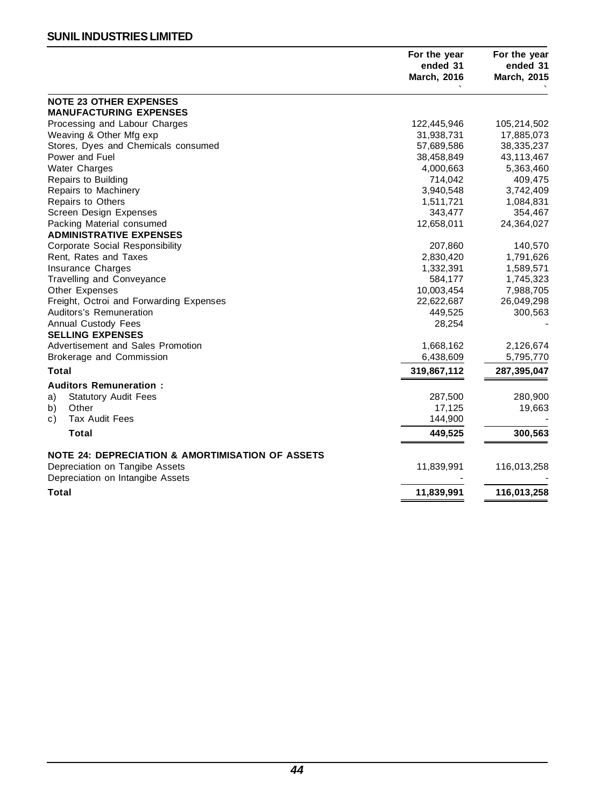|                      |                                                             | For the year<br>ended 31<br>March, 2016 | For the year<br>ended 31<br>March, 2015 |
|----------------------|-------------------------------------------------------------|-----------------------------------------|-----------------------------------------|
|                      | <b>NOTE 23 OTHER EXPENSES</b>                               |                                         |                                         |
|                      | <b>MANUFACTURING EXPENSES</b>                               |                                         |                                         |
|                      | Processing and Labour Charges                               | 122,445,946                             | 105,214,502                             |
|                      | Weaving & Other Mfg exp                                     | 31,938,731                              | 17,885,073                              |
|                      | Stores, Dyes and Chemicals consumed                         | 57,689,586                              | 38,335,237                              |
|                      | Power and Fuel                                              | 38,458,849                              | 43,113,467                              |
| <b>Water Charges</b> |                                                             | 4,000,663                               | 5,363,460                               |
|                      | Repairs to Building                                         | 714,042                                 | 409,475                                 |
|                      | Repairs to Machinery                                        | 3,940,548                               | 3,742,409                               |
|                      | Repairs to Others                                           | 1,511,721                               | 1,084,831                               |
|                      | Screen Design Expenses                                      | 343,477                                 | 354,467                                 |
|                      | Packing Material consumed<br><b>ADMINISTRATIVE EXPENSES</b> | 12,658,011                              | 24,364,027                              |
|                      | <b>Corporate Social Responsibility</b>                      | 207,860                                 | 140,570                                 |
|                      | Rent, Rates and Taxes                                       | 2,830,420                               | 1,791,626                               |
|                      | Insurance Charges                                           | 1,332,391                               | 1,589,571                               |
|                      | <b>Travelling and Conveyance</b>                            | 584,177                                 | 1,745,323                               |
|                      | Other Expenses                                              | 10,003,454                              | 7,988,705                               |
|                      | Freight, Octroi and Forwarding Expenses                     | 22,622,687                              | 26,049,298                              |
|                      | Auditors's Remuneration                                     | 449,525                                 | 300,563                                 |
|                      | <b>Annual Custody Fees</b>                                  | 28,254                                  |                                         |
|                      | <b>SELLING EXPENSES</b>                                     |                                         |                                         |
|                      | Advertisement and Sales Promotion                           | 1,668,162                               | 2,126,674                               |
|                      | Brokerage and Commission                                    | 6,438,609                               | 5,795,770                               |
| <b>Total</b>         |                                                             | 319,867,112                             | 287,395,047                             |
|                      | <b>Auditors Remuneration:</b>                               |                                         |                                         |
| a)                   | <b>Statutory Audit Fees</b>                                 | 287,500                                 | 280,900                                 |
| b)                   | Other                                                       | 17,125                                  | 19,663                                  |
| c)                   | <b>Tax Audit Fees</b>                                       | 144,900                                 |                                         |
|                      | Total                                                       | 449,525                                 | 300,563                                 |
|                      | NOTE 24: DEPRECIATION & AMORTIMISATION OF ASSETS            |                                         |                                         |
|                      | Depreciation on Tangibe Assets                              | 11,839,991                              | 116,013,258                             |
|                      | Depreciation on Intangibe Assets                            |                                         |                                         |
| Total                |                                                             | 11,839,991                              | 116,013,258                             |
|                      |                                                             |                                         |                                         |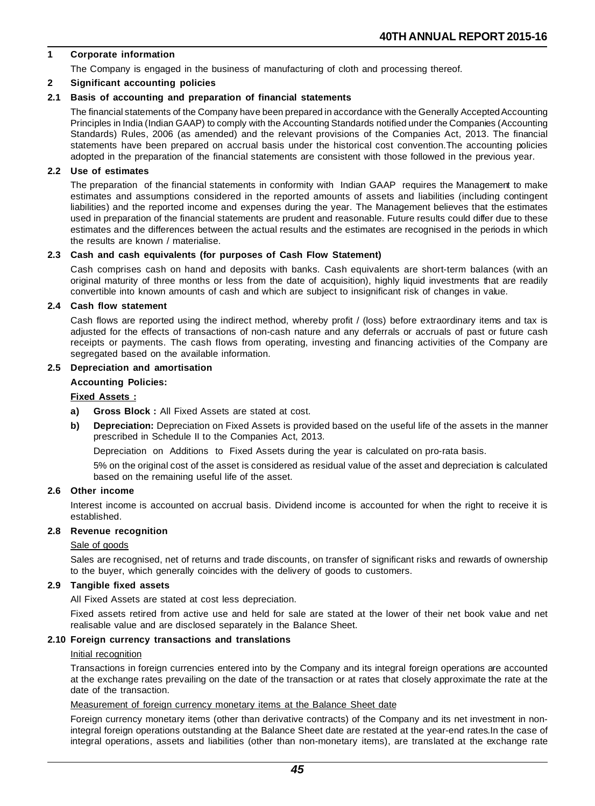## **1 Corporate information**

The Company is engaged in the business of manufacturing of cloth and processing thereof.

### **2 Significant accounting policies**

### **2.1 Basis of accounting and preparation of financial statements**

The financial statements of the Company have been prepared in accordance with the Generally Accepted Accounting Principles in India (Indian GAAP) to comply with the Accounting Standards notified under the Companies (Accounting Standards) Rules, 2006 (as amended) and the relevant provisions of the Companies Act, 2013. The financial statements have been prepared on accrual basis under the historical cost convention.The accounting policies adopted in the preparation of the financial statements are consistent with those followed in the previous year.

### **2.2 Use of estimates**

The preparation of the financial statements in conformity with Indian GAAP requires the Management to make estimates and assumptions considered in the reported amounts of assets and liabilities (including contingent liabilities) and the reported income and expenses during the year. The Management believes that the estimates used in preparation of the financial statements are prudent and reasonable. Future results could differ due to these estimates and the differences between the actual results and the estimates are recognised in the periods in which the results are known / materialise.

### **2.3 Cash and cash equivalents (for purposes of Cash Flow Statement)**

Cash comprises cash on hand and deposits with banks. Cash equivalents are short-term balances (with an original maturity of three months or less from the date of acquisition), highly liquid investments that are readily convertible into known amounts of cash and which are subject to insignificant risk of changes in value.

#### **2.4 Cash flow statement**

Cash flows are reported using the indirect method, whereby profit / (loss) before extraordinary items and tax is adjusted for the effects of transactions of non-cash nature and any deferrals or accruals of past or future cash receipts or payments. The cash flows from operating, investing and financing activities of the Company are segregated based on the available information.

## **2.5 Depreciation and amortisation**

**Accounting Policies:**

### **Fixed Assets :**

- **a) Gross Block :** All Fixed Assets are stated at cost.
- **b) Depreciation:** Depreciation on Fixed Assets is provided based on the useful life of the assets in the manner prescribed in Schedule II to the Companies Act, 2013.

Depreciation on Additions to Fixed Assets during the year is calculated on pro-rata basis.

5% on the original cost of the asset is considered as residual value of the asset and depreciation is calculated based on the remaining useful life of the asset.

## **2.6 Other income**

Interest income is accounted on accrual basis. Dividend income is accounted for when the right to receive it is established.

#### **2.8 Revenue recognition**

### Sale of goods

Sales are recognised, net of returns and trade discounts, on transfer of significant risks and rewards of ownership to the buyer, which generally coincides with the delivery of goods to customers.

## **2.9 Tangible fixed assets**

All Fixed Assets are stated at cost less depreciation.

Fixed assets retired from active use and held for sale are stated at the lower of their net book value and net realisable value and are disclosed separately in the Balance Sheet.

#### **2.10 Foreign currency transactions and translations**

## Initial recognition

Transactions in foreign currencies entered into by the Company and its integral foreign operations are accounted at the exchange rates prevailing on the date of the transaction or at rates that closely approximate the rate at the date of the transaction.

#### Measurement of foreign currency monetary items at the Balance Sheet date

Foreign currency monetary items (other than derivative contracts) of the Company and its net investment in nonintegral foreign operations outstanding at the Balance Sheet date are restated at the year-end rates.In the case of integral operations, assets and liabilities (other than non-monetary items), are translated at the exchange rate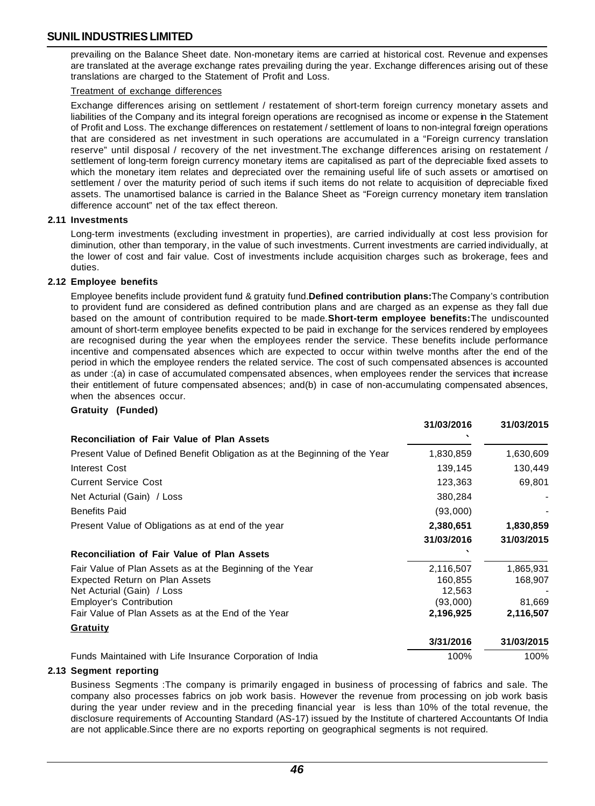prevailing on the Balance Sheet date. Non-monetary items are carried at historical cost. Revenue and expenses are translated at the average exchange rates prevailing during the year. Exchange differences arising out of these translations are charged to the Statement of Profit and Loss.

## Treatment of exchange differences

Exchange differences arising on settlement / restatement of short-term foreign currency monetary assets and liabilities of the Company and its integral foreign operations are recognised as income or expense in the Statement of Profit and Loss. The exchange differences on restatement / settlement of loans to non-integral foreign operations that are considered as net investment in such operations are accumulated in a "Foreign currency translation reserve" until disposal / recovery of the net investment.The exchange differences arising on restatement / settlement of long-term foreign currency monetary items are capitalised as part of the depreciable fixed assets to which the monetary item relates and depreciated over the remaining useful life of such assets or amortised on settlement / over the maturity period of such items if such items do not relate to acquisition of depreciable fixed assets. The unamortised balance is carried in the Balance Sheet as "Foreign currency monetary item translation difference account" net of the tax effect thereon.

## **2.11 Investments**

Long-term investments (excluding investment in properties), are carried individually at cost less provision for diminution, other than temporary, in the value of such investments. Current investments are carried individually, at the lower of cost and fair value. Cost of investments include acquisition charges such as brokerage, fees and duties.

## **2.12 Employee benefits**

Employee benefits include provident fund & gratuity fund.**Defined contribution plans:**The Company's contribution to provident fund are considered as defined contribution plans and are charged as an expense as they fall due based on the amount of contribution required to be made.**Short-term employee benefits:**The undiscounted amount of short-term employee benefits expected to be paid in exchange for the services rendered by employees are recognised during the year when the employees render the service. These benefits include performance incentive and compensated absences which are expected to occur within twelve months after the end of the period in which the employee renders the related service. The cost of such compensated absences is accounted as under :(a) in case of accumulated compensated absences, when employees render the services that increase their entitlement of future compensated absences; and(b) in case of non-accumulating compensated absences, when the absences occur.

**Gratuity (Funded)**

|                                                                             | 31/03/2016 | 31/03/2015 |
|-----------------------------------------------------------------------------|------------|------------|
| Reconciliation of Fair Value of Plan Assets                                 |            |            |
| Present Value of Defined Benefit Obligation as at the Beginning of the Year | 1,830,859  | 1,630,609  |
| Interest Cost                                                               | 139,145    | 130,449    |
| <b>Current Service Cost</b>                                                 | 123,363    | 69,801     |
| Net Acturial (Gain) / Loss                                                  | 380,284    |            |
| <b>Benefits Paid</b>                                                        | (93,000)   |            |
| Present Value of Obligations as at end of the year                          | 2,380,651  | 1,830,859  |
|                                                                             | 31/03/2016 | 31/03/2015 |
| Reconciliation of Fair Value of Plan Assets                                 |            |            |
| Fair Value of Plan Assets as at the Beginning of the Year                   | 2,116,507  | 1,865,931  |
| Expected Return on Plan Assets                                              | 160,855    | 168,907    |
| Net Acturial (Gain) / Loss                                                  | 12,563     |            |
| <b>Employer's Contribution</b>                                              | (93,000)   | 81,669     |
| Fair Value of Plan Assets as at the End of the Year                         | 2,196,925  | 2,116,507  |
| <b>Gratuity</b>                                                             |            |            |
|                                                                             | 3/31/2016  | 31/03/2015 |
| Funds Maintained with Life Insurance Corporation of India                   | 100%       | 100%       |

## **2.13 Segment reporting**

Business Segments :The company is primarily engaged in business of processing of fabrics and sale. The company also processes fabrics on job work basis. However the revenue from processing on job work basis during the year under review and in the preceding financial year is less than 10% of the total revenue, the disclosure requirements of Accounting Standard (AS-17) issued by the Institute of chartered Accountants Of India are not applicable.Since there are no exports reporting on geographical segments is not required.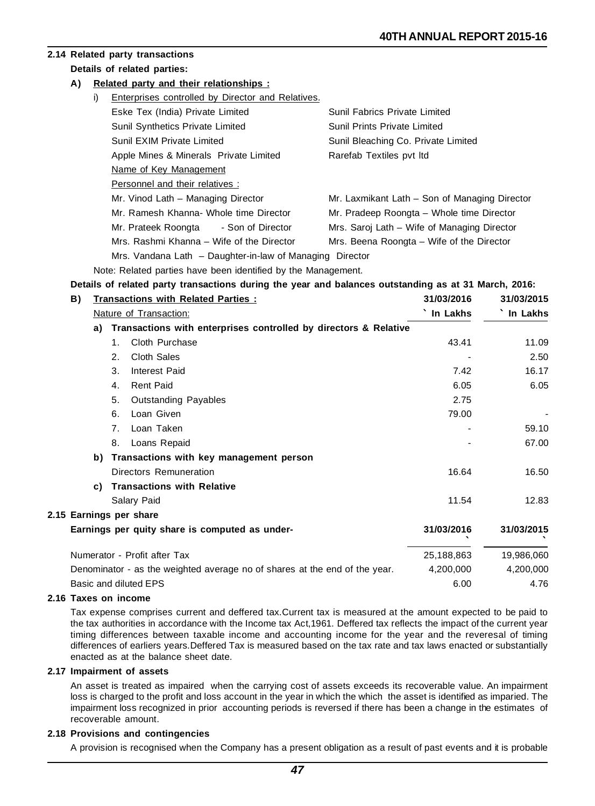## **2.14 Related party transactions**

## **Details of related parties:**

## **A) Related party and their relationships :**

| i) | <b>Enterprises controlled by Director and Relatives.</b>      |                                               |
|----|---------------------------------------------------------------|-----------------------------------------------|
|    | Eske Tex (India) Private Limited                              | Sunil Fabrics Private Limited                 |
|    | <b>Sunil Synthetics Private Limited</b>                       | Sunil Prints Private Limited                  |
|    | Sunil EXIM Private Limited                                    | Sunil Bleaching Co. Private Limited           |
|    | Apple Mines & Minerals Private Limited                        | Rarefab Textiles pvt Itd                      |
|    | Name of Key Management                                        |                                               |
|    | Personnel and their relatives :                               |                                               |
|    | Mr. Vinod Lath - Managing Director                            | Mr. Laxmikant Lath – Son of Managing Director |
|    | Mr. Ramesh Khanna- Whole time Director                        | Mr. Pradeep Roongta – Whole time Director     |
|    | Mr. Prateek Roongta - Son of Director                         | Mrs. Saroj Lath – Wife of Managing Director   |
|    | Mrs. Rashmi Khanna - Wife of the Director                     | Mrs. Beena Roongta – Wife of the Director     |
|    | Mrs. Vandana Lath - Daughter-in-law of Managing Director      |                                               |
|    | Note: Related parties have been identified by the Management. |                                               |
|    |                                                               |                                               |

### **Details of related party transactions during the year and balances outstanding as at 31 March, 2016:**

|  | B)<br>Transactions with Related Parties :      |    | 31/03/2016                                                                 | 31/03/2015 |            |
|--|------------------------------------------------|----|----------------------------------------------------------------------------|------------|------------|
|  |                                                |    | Nature of Transaction:                                                     | In Lakhs   | ` In Lakhs |
|  |                                                | a) | Transactions with enterprises controlled by directors & Relative           |            |            |
|  |                                                |    | Cloth Purchase<br>1 <sub>1</sub>                                           | 43.41      | 11.09      |
|  |                                                |    | Cloth Sales<br>2.                                                          |            | 2.50       |
|  |                                                |    | 3.<br>Interest Paid                                                        | 7.42       | 16.17      |
|  |                                                |    | <b>Rent Paid</b><br>4.                                                     | 6.05       | 6.05       |
|  |                                                |    | 5.<br><b>Outstanding Payables</b>                                          | 2.75       |            |
|  |                                                |    | Loan Given<br>6.                                                           | 79.00      |            |
|  |                                                |    | Loan Taken<br>7.                                                           |            | 59.10      |
|  |                                                |    | Loans Repaid<br>8.                                                         |            | 67.00      |
|  | b) Transactions with key management person     |    |                                                                            |            |            |
|  |                                                |    | Directors Remuneration                                                     | 16.64      | 16.50      |
|  |                                                | C) | <b>Transactions with Relative</b>                                          |            |            |
|  | Salary Paid                                    |    | 11.54                                                                      | 12.83      |            |
|  |                                                |    | 2.15 Earnings per share                                                    |            |            |
|  | Earnings per quity share is computed as under- |    | 31/03/2016                                                                 | 31/03/2015 |            |
|  |                                                |    | Numerator - Profit after Tax                                               | 25,188,863 | 19,986,060 |
|  |                                                |    | Denominator - as the weighted average no of shares at the end of the year. | 4,200,000  | 4,200,000  |
|  |                                                |    | Basic and diluted EPS                                                      | 6.00       | 4.76       |
|  |                                                |    |                                                                            |            |            |

## **2.16 Taxes on income**

Tax expense comprises current and deffered tax.Current tax is measured at the amount expected to be paid to the tax authorities in accordance with the Income tax Act,1961. Deffered tax reflects the impact of the current year timing differences between taxable income and accounting income for the year and the reveresal of timing differences of earliers years.Deffered Tax is measured based on the tax rate and tax laws enacted or substantially enacted as at the balance sheet date.

## **2.17 Impairment of assets**

An asset is treated as impaired when the carrying cost of assets exceeds its recoverable value. An impairment loss is charged to the profit and loss account in the year in which the which the asset is identified as imparied. The impairment loss recognized in prior accounting periods is reversed if there has been a change in the estimates of recoverable amount.

### **2.18 Provisions and contingencies**

A provision is recognised when the Company has a present obligation as a result of past events and it is probable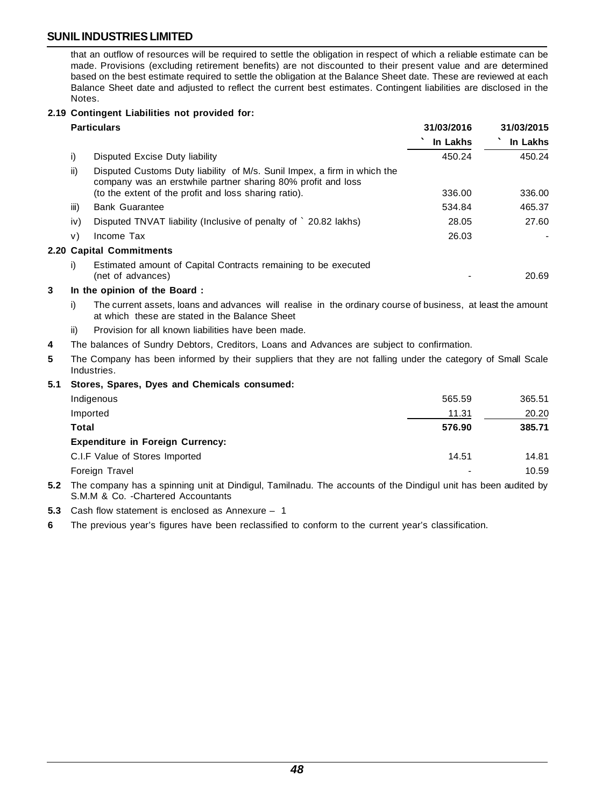that an outflow of resources will be required to settle the obligation in respect of which a reliable estimate can be made. Provisions (excluding retirement benefits) are not discounted to their present value and are determined based on the best estimate required to settle the obligation at the Balance Sheet date. These are reviewed at each Balance Sheet date and adjusted to reflect the current best estimates. Contingent liabilities are disclosed in the Notes.

## **2.19 Contingent Liabilities not provided for:**

| <b>Particulars</b>                                                                                                                              |                                                                                     | 31/03/2016 | 31/03/2015 |  |
|-------------------------------------------------------------------------------------------------------------------------------------------------|-------------------------------------------------------------------------------------|------------|------------|--|
|                                                                                                                                                 |                                                                                     | In Lakhs   | In Lakhs   |  |
| Disputed Excise Duty liability<br>i)                                                                                                            |                                                                                     | 450.24     | 450.24     |  |
| ii)<br>Disputed Customs Duty liability of M/s. Sunil Impex, a firm in which the<br>company was an erstwhile partner sharing 80% profit and loss |                                                                                     |            |            |  |
|                                                                                                                                                 | (to the extent of the profit and loss sharing ratio).                               | 336.00     | 336.00     |  |
| iii)                                                                                                                                            | <b>Bank Guarantee</b>                                                               | 534.84     | 465.37     |  |
| iv)                                                                                                                                             | Disputed TNVAT liability (Inclusive of penalty of 20.82 lakhs)                      | 28.05      | 27.60      |  |
| v)                                                                                                                                              | Income Tax                                                                          | 26.03      |            |  |
| 2.20 Capital Commitments                                                                                                                        |                                                                                     |            |            |  |
| i)                                                                                                                                              | Estimated amount of Capital Contracts remaining to be executed<br>(net of advances) |            | 20.69      |  |

## **3 In the opinion of the Board :**

- i) The current assets, loans and advances will realise in the ordinary course of business, at least the amount at which these are stated in the Balance Sheet
- ii) Provision for all known liabilities have been made.
- **4** The balances of Sundry Debtors, Creditors, Loans and Advances are subject to confirmation.
- **5** The Company has been informed by their suppliers that they are not falling under the category of Small Scale Industries.

## **5.1 Stores, Spares, Dyes and Chemicals consumed:**

| Indigenous                              | 565.59                   | 365.51 |
|-----------------------------------------|--------------------------|--------|
| Imported                                | 11.31                    | 20.20  |
| Total                                   | 576.90                   | 385.71 |
| <b>Expenditure in Foreign Currency:</b> |                          |        |
| C.I.F Value of Stores Imported          | 14.51                    | 14.81  |
| Foreign Travel                          | $\overline{\phantom{a}}$ | 10.59  |

- **5.2** The company has a spinning unit at Dindigul, Tamilnadu. The accounts of the Dindigul unit has been audited by S.M.M & Co. -Chartered Accountants
- **5.3** Cash flow statement is enclosed as Annexure 1
- **6** The previous year's figures have been reclassified to conform to the current year's classification.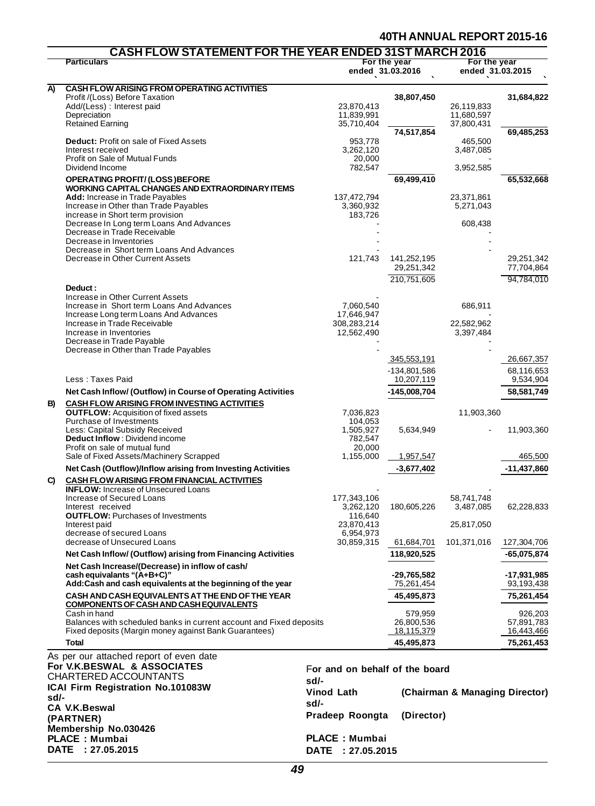## **40TH ANNUAL REPORT 2015-16**

|      | CASH FLOW STATEMENT FOR THE YEAR ENDED 31ST MARCH 2016                                  |                                        |                            |                                  |                         |
|------|-----------------------------------------------------------------------------------------|----------------------------------------|----------------------------|----------------------------------|-------------------------|
|      | <b>Particulars</b>                                                                      | ended 31.03.2016                       | For the vear               | For the year<br>ended 31.03.2015 |                         |
| A)   | <b>CASH FLOW ARISING FROM OPERATING ACTIVITIES</b><br>Profit /(Loss) Before Taxation    |                                        |                            |                                  |                         |
|      | Add/(Less) : Interest paid                                                              | 23,870,413                             | 38,807,450                 | 26,119,833                       | 31,684,822              |
|      | Depreciation<br><b>Retained Earning</b>                                                 | 11,839,991<br>35,710,404               |                            | 11,680,597                       |                         |
|      |                                                                                         |                                        | 74,517,854                 | 37,800,431                       | 69,485,253              |
|      | <b>Deduct:</b> Profit on sale of Fixed Assets<br>Interest received                      | 953,778                                |                            | 465,500                          |                         |
|      | Profit on Sale of Mutual Funds                                                          | 3,262,120<br>20,000                    |                            | 3,487,085                        |                         |
|      | Dividend Income                                                                         | 782,547                                |                            | 3,952,585                        |                         |
|      | <b>OPERATING PROFIT/(LOSS)BEFORE</b><br>WORKING CAPITAL CHANGES AND EXTRAORDINARY ITEMS |                                        | 69,499,410                 |                                  | 65,532,668              |
|      | Add: Increase in Trade Payables                                                         | 137,472,794                            |                            | 23,371,861                       |                         |
|      | Increase in Other than Trade Payables                                                   | 3,360,932                              |                            | 5,271,043                        |                         |
|      | increase in Short term provision<br>Decrease In Long term Loans And Advances            | 183,726                                |                            | 608,438                          |                         |
|      | Decrease in Trade Receivable                                                            |                                        |                            |                                  |                         |
|      | Decrease in Inventories<br>Decrease in Short term Loans And Advances                    |                                        |                            |                                  |                         |
|      | Decrease in Other Current Assets                                                        | 121,743                                | 141,252,195                |                                  | 29,251,342              |
|      |                                                                                         |                                        | 29,251,342                 |                                  | 77,704,864              |
|      | Deduct:                                                                                 |                                        | 210,751,605                |                                  | 94,784,010              |
|      | Increase in Other Current Assets                                                        |                                        |                            |                                  |                         |
|      | Increase in Short term Loans And Advances<br>Increase Long term Loans And Advances      | 7,060,540<br>17,646,947                |                            | 686,911                          |                         |
|      | Increase in Trade Receivable                                                            | 308,283,214                            |                            | 22,582,962                       |                         |
|      | Increase in Inventories<br>Decrease in Trade Payable                                    | 12,562,490                             |                            | 3,397,484                        |                         |
|      | Decrease in Other than Trade Payables                                                   |                                        |                            |                                  |                         |
|      |                                                                                         |                                        | 345,553,191                |                                  | 26,667,357              |
|      | Less: Taxes Paid                                                                        |                                        | -134,801,586<br>10,207,119 |                                  | 68,116,653<br>9,534,904 |
|      | Net Cash Inflow/ (Outflow) in Course of Operating Activities                            |                                        | -145,008,704               |                                  | 58,581,749              |
| B)   | <b>CASH FLOW ARISING FROM INVESTING ACTIVITIES</b>                                      |                                        |                            |                                  |                         |
|      | <b>OUTFLOW: Acquisition of fixed assets</b>                                             | 7,036,823                              |                            | 11,903,360                       |                         |
|      | Purchase of Investments<br>Less: Capital Subsidy Received                               | 104,053<br>1,505,927                   | 5,634,949                  |                                  | 11,903,360              |
|      | Deduct Inflow: Dividend income                                                          | 782,547                                |                            |                                  |                         |
|      | Profit on sale of mutual fund<br>Sale of Fixed Assets/Machinery Scrapped                | 20,000<br>1,155,000                    | 1,957,547                  |                                  | 465,500                 |
|      | Net Cash (Outflow)/Inflow arising from Investing Activities                             |                                        | -3,677,402                 |                                  | -11,437,860             |
| C)   | <b>CASH FLOW ARISING FROM FINANCIAL ACTIVITIES</b>                                      |                                        |                            |                                  |                         |
|      | <b>INFLOW:</b> Increase of Unsecured Loans<br>Increase of Secured Loans                 | 177,343,106                            |                            | 58,741,748                       |                         |
|      | Interest received                                                                       | 3,262,120                              | 180,605,226                | 3,487,085                        | 62,228,833              |
|      | <b>OUTFLOW: Purchases of Investments</b><br>Interest paid                               | 116,640<br>23,870,413                  |                            | 25,817,050                       |                         |
|      | decrease of secured Loans                                                               | 6,954,973                              |                            |                                  |                         |
|      | decrease of Unsecured Loans                                                             | 30,859,315                             | 61,684,701                 | 101,371,016                      | 127,304,706             |
|      | Net Cash Inflow/ (Outflow) arising from Financing Activities                            |                                        | 118,920,525                |                                  | -65,075,874             |
|      | Net Cash Increase/(Decrease) in inflow of cash/<br>cash equivalants "(A+B+C)"           |                                        | $-29,765,582$              |                                  | -17,931,985             |
|      | Add:Cash and cash equivalents at the beginning of the year                              |                                        | 75,261,454                 |                                  | 93,193,438              |
|      | CASH AND CASH EQUIVALENTS AT THE END OF THE YEAR                                        |                                        | 45,495,873                 |                                  | 75,261,454              |
|      | COMPONENTS OF CASH AND CASH EQUIVALENTS<br>Cash in hand                                 |                                        | 579,959                    |                                  | 926,203                 |
|      | Balances with scheduled banks in current account and Fixed deposits                     |                                        | 26,800,536                 |                                  | 57,891,783              |
|      | Fixed deposits (Margin money against Bank Guarantees)                                   |                                        | <u>18,115,379</u>          |                                  | 16,443,466              |
|      | <b>Total</b>                                                                            |                                        | 45,495,873                 |                                  | 75,261,453              |
|      | As per our attached report of even date<br>For V.K.BESWAL & ASSOCIATES                  |                                        |                            |                                  |                         |
|      | CHARTERED ACCOUNTANTS                                                                   | For and on behalf of the board<br>sd/- |                            |                                  |                         |
|      | ICAI Firm Registration No.101083W                                                       | Vinod Lath                             |                            | (Chairman & Managing Director)   |                         |
| sd/- | <b>CA V.K.Beswal</b>                                                                    | sd/-                                   |                            |                                  |                         |
|      | (PARTNER)                                                                               | Pradeep Roongta                        | (Director)                 |                                  |                         |
|      | Membership No.030426                                                                    |                                        |                            |                                  |                         |
|      | PLACE: Mumbai                                                                           | PLACE: Mumbai                          |                            |                                  |                         |
|      | DATE : 27.05.2015                                                                       | DATE : 27.05.2015                      |                            |                                  |                         |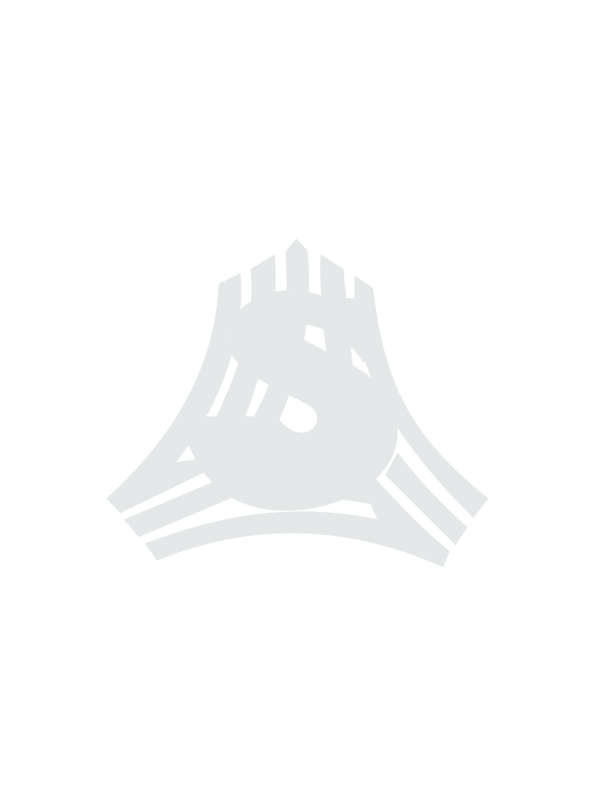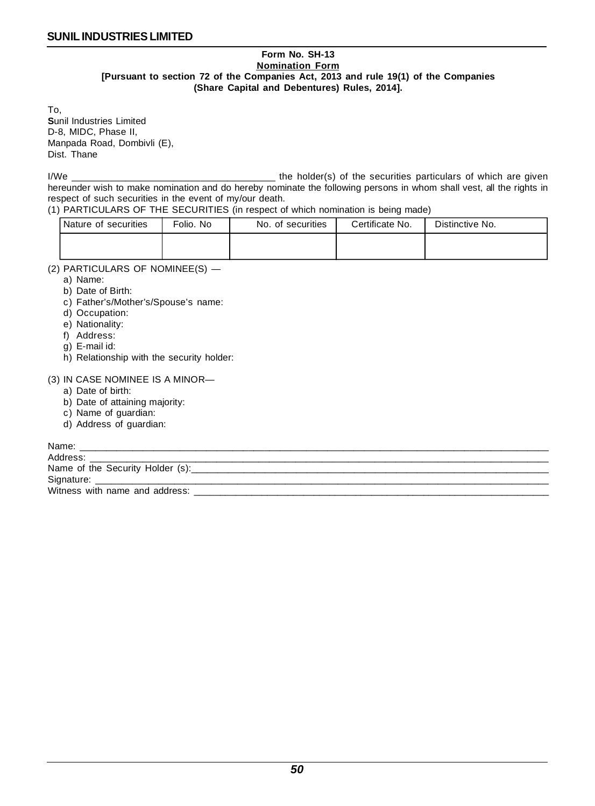#### **Form No. SH-13 Nomination Form [Pursuant to section 72 of the Companies Act, 2013 and rule 19(1) of the Companies (Share Capital and Debentures) Rules, 2014].**

To, **S**unil Industries Limited D-8, MIDC, Phase II, Manpada Road, Dombivli (E), Dist. Thane

I/We \_\_\_\_\_\_\_\_\_\_\_\_\_\_\_\_\_\_\_\_\_\_\_\_\_\_\_\_\_\_\_\_\_\_\_\_\_\_ the holder(s) of the securities particulars of which are given hereunder wish to make nomination and do hereby nominate the following persons in whom shall vest, all the rights in respect of such securities in the event of my/our death.

(1) PARTICULARS OF THE SECURITIES (in respect of which nomination is being made)

| <b>Nature of securities</b> | Folio, No | No. of securities | Certificate No. | Distinctive No. |
|-----------------------------|-----------|-------------------|-----------------|-----------------|
|                             |           |                   |                 |                 |

## (2) PARTICULARS OF NOMINEE(S) —

- a) Name:
- b) Date of Birth:
- c) Father's/Mother's/Spouse's name:
- d) Occupation:
- e) Nationality:
- f) Address:
- g) E-mail id:
- h) Relationship with the security holder:

## (3) IN CASE NOMINEE IS A MINOR—

- a) Date of birth:
- b) Date of attaining majority:
- c) Name of guardian:
- d) Address of guardian:

| Name:                            |  |
|----------------------------------|--|
| Address:                         |  |
| Name of the Security Holder (s): |  |
| Signature:                       |  |
| Witness with name and address:   |  |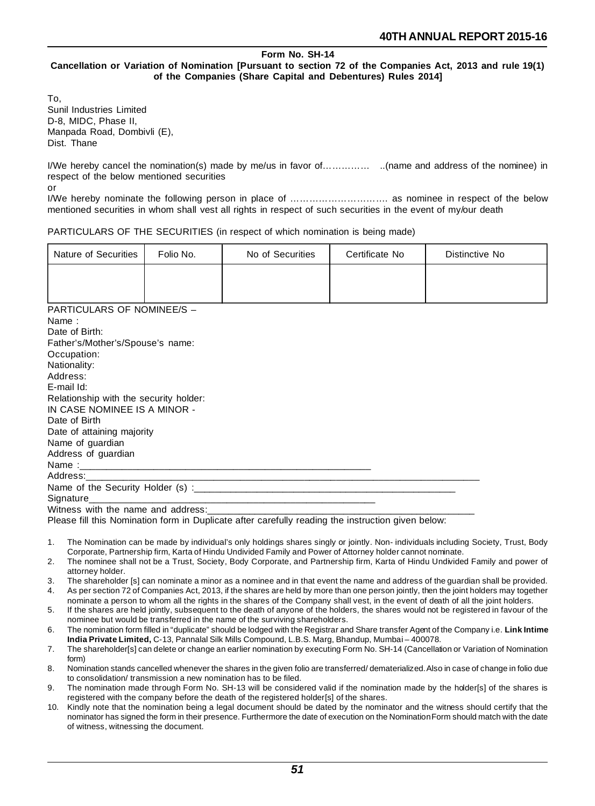### **Form No. SH-14**

### **Cancellation or Variation of Nomination [Pursuant to section 72 of the Companies Act, 2013 and rule 19(1) of the Companies (Share Capital and Debentures) Rules 2014]**

To, Sunil Industries Limited D-8, MIDC, Phase II, Manpada Road, Dombivli (E), Dist. Thane

I/We hereby cancel the nomination(s) made by me/us in favor of…………… ..(name and address of the nominee) in respect of the below mentioned securities

or

I/We hereby nominate the following person in place of …………………………. as nominee in respect of the below mentioned securities in whom shall vest all rights in respect of such securities in the event of my/our death

PARTICULARS OF THE SECURITIES (in respect of which nomination is being made)

| Nature of Securities | Folio No. | No of Securities | Certificate No | Distinctive No |
|----------------------|-----------|------------------|----------------|----------------|
|                      |           |                  |                |                |
|                      |           |                  |                |                |

PARTICULARS OF NOMINEE/S – Name : Date of Birth: Father's/Mother's/Spouse's name: Occupation: Nationality: Address: E-mail Id: Relationship with the security holder: IN CASE NOMINEE IS A MINOR - Date of Birth Date of attaining majority Name of guardian Address of guardian Name :\_\_\_\_\_\_\_\_\_\_\_\_\_\_\_\_\_\_\_\_\_\_\_\_\_\_\_\_\_\_\_\_\_\_\_\_\_\_\_\_\_\_\_\_\_\_\_\_\_\_\_\_\_\_\_ Address:\_\_\_\_\_\_\_\_\_\_\_\_\_\_\_\_\_\_\_\_\_\_\_\_\_\_\_\_\_\_\_\_\_\_\_\_\_\_\_\_\_\_\_\_\_\_\_\_\_\_\_\_\_\_\_\_\_\_\_\_\_\_\_\_\_\_\_\_\_\_\_\_\_\_ Name of the Security Holder (s) :\_ Signature\_ Witness with the name and address:

Please fill this Nomination form in Duplicate after carefully reading the instruction given below:

- 1. The Nomination can be made by individual's only holdings shares singly or jointly. Non- individuals including Society, Trust, Body Corporate, Partnership firm, Karta of Hindu Undivided Family and Power of Attorney holder cannot nominate.
- 2. The nominee shall not be a Trust, Society, Body Corporate, and Partnership firm, Karta of Hindu Undivided Family and power of attorney holder.
- 3. The shareholder [s] can nominate a minor as a nominee and in that event the name and address of the guardian shall be provided.
- 4. As per section 72 of Companies Act, 2013, if the shares are held by more than one person jointly, then the joint holders may together nominate a person to whom all the rights in the shares of the Company shall vest, in the event of death of all the joint holders.
- 5. If the shares are held jointly, subsequent to the death of anyone of the holders, the shares would not be registered in favour of the nominee but would be transferred in the name of the surviving shareholders.
- 6. The nomination form filled in "duplicate" should be lodged with the Registrar and Share transfer Agent of the Company i.e. **Link Intime India Private Limited,** C-13, Pannalal Silk Mills Compound, L.B.S. Marg, Bhandup, Mumbai – 400078.
- 7. The shareholder[s] can delete or change an earlier nomination by executing Form No. SH-14 (Cancellation or Variation of Nomination form)
- 8. Nomination stands cancelled whenever the shares in the given folio are transferred/ dematerialized. Also in case of change in folio due to consolidation/ transmission a new nomination has to be filed.
- 9. The nomination made through Form No. SH-13 will be considered valid if the nomination made by the holder[s] of the shares is registered with the company before the death of the registered holder[s] of the shares.
- 10. Kindly note that the nomination being a legal document should be dated by the nominator and the witness should certify that the nominator has signed the form in their presence. Furthermore the date of execution on the NominationForm should match with the date of witness, witnessing the document.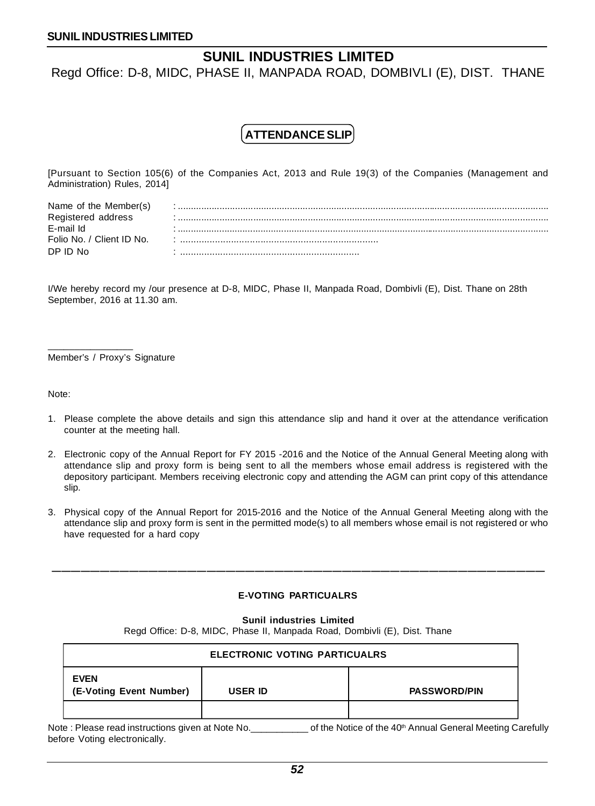## **SUNIL INDUSTRIES LIMITED**

Regd Office: D-8, MIDC, PHASE II, MANPADA ROAD, DOMBIVLI (E), DIST. THANE

## **ATTENDANCESLIP**

[Pursuant to Section 105(6) of the Companies Act, 2013 and Rule 19(3) of the Companies (Management and Administration) Rules, 2014]

| Name of the Member(s)     |     |
|---------------------------|-----|
| Registered address        |     |
| E-mail Id                 |     |
| Folio No. / Client ID No. | . . |
| DP ID No                  |     |

I/We hereby record my /our presence at D-8, MIDC, Phase II, Manpada Road, Dombivli (E), Dist. Thane on 28th September, 2016 at 11.30 am.

Member's / Proxy's Signature

 $\frac{1}{2}$  ,  $\frac{1}{2}$  ,  $\frac{1}{2}$  ,  $\frac{1}{2}$  ,  $\frac{1}{2}$  ,  $\frac{1}{2}$  ,  $\frac{1}{2}$  ,  $\frac{1}{2}$  ,  $\frac{1}{2}$  ,  $\frac{1}{2}$  ,  $\frac{1}{2}$  ,  $\frac{1}{2}$  ,  $\frac{1}{2}$  ,  $\frac{1}{2}$  ,  $\frac{1}{2}$  ,  $\frac{1}{2}$  ,  $\frac{1}{2}$  ,  $\frac{1}{2}$  ,  $\frac{1$ 

Note:

- 1. Please complete the above details and sign this attendance slip and hand it over at the attendance verification counter at the meeting hall.
- 2. Electronic copy of the Annual Report for FY 2015 -2016 and the Notice of the Annual General Meeting along with attendance slip and proxy form is being sent to all the members whose email address is registered with the depository participant. Members receiving electronic copy and attending the AGM can print copy of this attendance slip.
- 3. Physical copy of the Annual Report for 2015-2016 and the Notice of the Annual General Meeting along with the attendance slip and proxy form is sent in the permitted mode(s) to all members whose email is not registered or who have requested for a hard copy

## **E-VOTING PARTICUALRS**

**———————————————————————————————————————————————————**

**Sunil industries Limited**

Regd Office: D-8, MIDC, Phase II, Manpada Road, Dombivli (E), Dist. Thane

| <b>ELECTRONIC VOTING PARTICUALRS</b>   |                |                     |  |
|----------------------------------------|----------------|---------------------|--|
| <b>EVEN</b><br>(E-Voting Event Number) | <b>USER ID</b> | <b>PASSWORD/PIN</b> |  |
|                                        |                |                     |  |

Note : Please read instructions given at Note No. \_\_\_\_\_\_\_\_\_\_\_\_ of the Notice of the 40<sup>th</sup> Annual General Meeting Carefully before Voting electronically.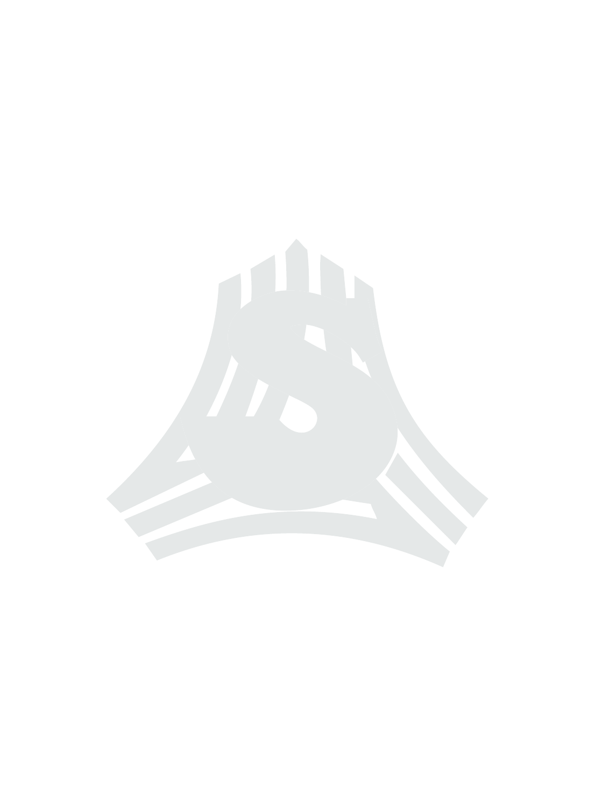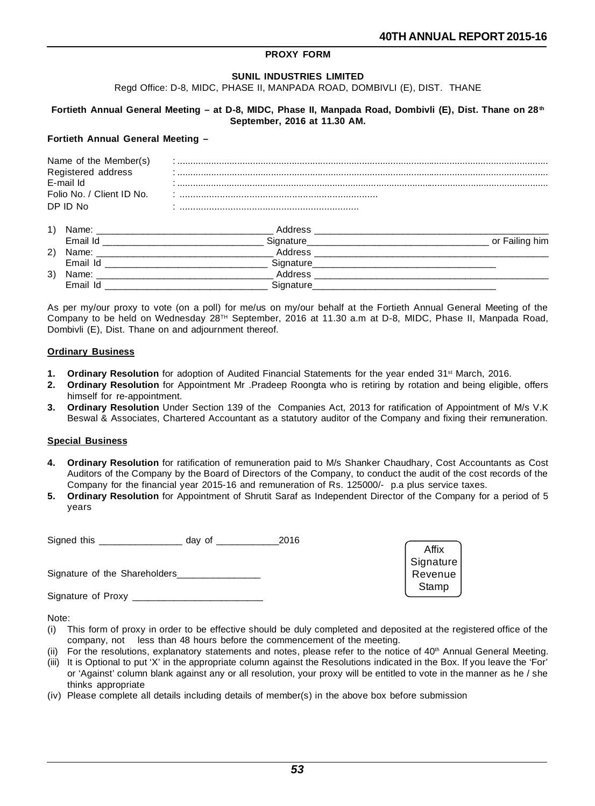Affix **Signature** Revenue Stamp

## **PROXY FORM**

### **SUNIL INDUSTRIES LIMITED**

Regd Office: D-8, MIDC, PHASE II, MANPADA ROAD, DOMBIVLI (E), DIST. THANE

#### **Fortieth Annual General Meeting – at D-8, MIDC, Phase II, Manpada Road, Dombivli (E), Dist. Thane on 28 th September, 2016 at 11.30 AM.**

#### **Fortieth Annual General Meeting –**

| Name of the Member(s)     | . .     |
|---------------------------|---------|
| Registered address        |         |
| E-mail Id                 |         |
| Folio No. / Client ID No. | $\cdot$ |
| DP ID No                  |         |

| 1) | Name:    | Address    |                |
|----|----------|------------|----------------|
|    | Email Id | Signature  | or Failing him |
| 2) | Name:    | Address    |                |
|    | Email Id | Signature  |                |
| 3) | Name:    | Address    |                |
|    | Email Id | Signature_ |                |

As per my/our proxy to vote (on a poll) for me/us on my/our behalf at the Fortieth Annual General Meeting of the Company to be held on Wednesday 28<sup>TH</sup> September, 2016 at 11.30 a.m at D-8, MIDC, Phase II, Manpada Road, Dombivli (E), Dist. Thane on and adjournment thereof.

#### **Ordinary Business**

- 1. **Ordinary Resolution** for adoption of Audited Financial Statements for the year ended 31<sup>st</sup> March, 2016.
- **2. Ordinary Resolution** for Appointment Mr .Pradeep Roongta who is retiring by rotation and being eligible, offers himself for re-appointment.
- **3. Ordinary Resolution** Under Section 139 of the Companies Act, 2013 for ratification of Appointment of M/s V.K Beswal & Associates, Chartered Accountant as a statutory auditor of the Company and fixing their remuneration.

#### **Special Business**

- **4. Ordinary Resolution** for ratification of remuneration paid to M/s Shanker Chaudhary, Cost Accountants as Cost Auditors of the Company by the Board of Directors of the Company, to conduct the audit of the cost records of the Company for the financial year 2015-16 and remuneration of Rs. 125000/- p.a plus service taxes.
- **5. Ordinary Resolution** for Appointment of Shrutit Saraf as Independent Director of the Company for a period of 5 years

Signed this \_\_\_\_\_\_\_\_\_\_\_\_\_\_\_\_ day of \_\_\_\_\_\_\_\_\_\_\_\_2016

Signature of the Shareholders\_\_\_\_\_\_\_\_\_\_\_\_\_\_\_\_

Signature of Proxy \_

Note:

- (i) This form of proxy in order to be effective should be duly completed and deposited at the registered office of the company, not less than 48 hours before the commencement of the meeting.
- (ii) For the resolutions, explanatory statements and notes, please refer to the notice of 40<sup>th</sup> Annual General Meeting.
- (iii) It is Optional to put 'X' in the appropriate column against the Resolutions indicated in the Box. If you leave the 'For' or 'Against' column blank against any or all resolution, your proxy will be entitled to vote in the manner as he / she thinks appropriate
- (iv) Please complete all details including details of member(s) in the above box before submission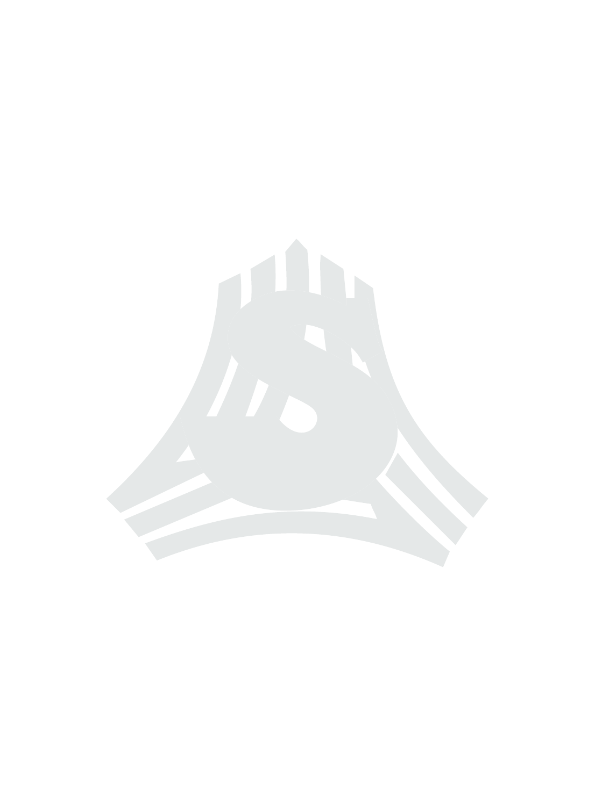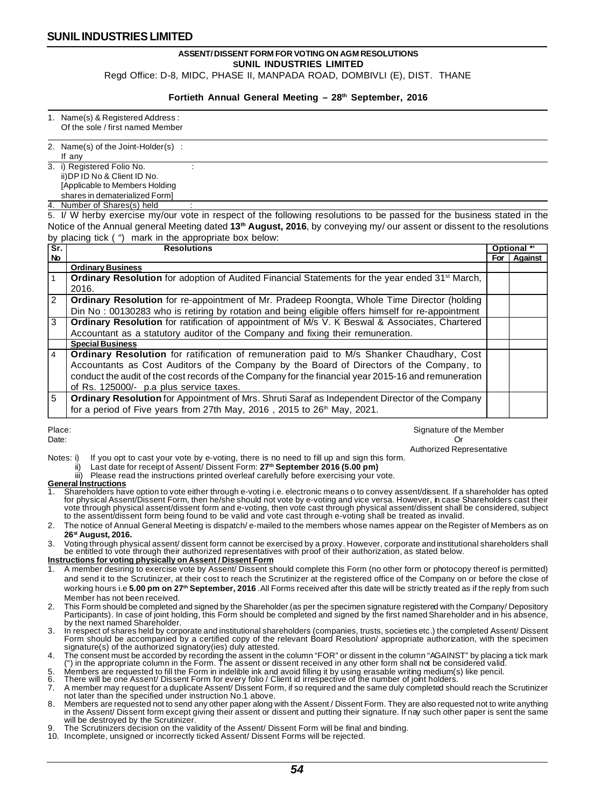## **ASSENT/DISSENT FORM FOR VOTING ON AGM RESOLUTIONS SUNIL INDUSTRIES LIMITED**

Regd Office: D-8, MIDC, PHASE II, MANPADA ROAD, DOMBIVLI (E), DIST. THANE

#### **Fortieth Annual General Meeting – 28 th September, 2016**

#### 1. Name(s) & Registered Address : Of the sole / first named Member

2. Name(s) of the Joint-Holder(s) : If any

i) Registered Folio No. ii)DP ID No & Client ID No. [Applicable to Members Holding shares in dematerialized Form]

Number of Shares(s) held

I/ W herby exercise my/our vote in respect of the following resolutions to be passed for the business stated in the Notice of the Annual general Meeting dated 13<sup>th</sup> August, 2016, by conveying my/ our assent or dissent to the resolutions by placing tick ( ") mark in the appropriate box below:

| Sr.      | <b>Resolutions</b>                                                                                          |       | Optional ** |  |
|----------|-------------------------------------------------------------------------------------------------------------|-------|-------------|--|
| No       |                                                                                                             | For 1 | Against     |  |
|          | <b>Ordinary Business</b>                                                                                    |       |             |  |
|          | Ordinary Resolution for adoption of Audited Financial Statements for the year ended 31 <sup>st</sup> March, |       |             |  |
|          | 2016.                                                                                                       |       |             |  |
| <u>2</u> | <b>Ordinary Resolution</b> for re-appointment of Mr. Pradeep Roongta, Whole Time Director (holding          |       |             |  |
|          | Din No: 00130283 who is retiring by rotation and being eligible offers himself for re-appointment           |       |             |  |
| l 3      | <b>Ordinary Resolution</b> for ratification of appointment of M/s V. K Beswal & Associates, Chartered       |       |             |  |
|          | Accountant as a statutory auditor of the Company and fixing their remuneration.                             |       |             |  |
|          | <b>Special Business</b>                                                                                     |       |             |  |
| <b>4</b> | <b>Ordinary Resolution</b> for ratification of remuneration paid to M/s Shanker Chaudhary, Cost             |       |             |  |
|          | Accountants as Cost Auditors of the Company by the Board of Directors of the Company, to                    |       |             |  |
|          | conduct the audit of the cost records of the Company for the financial year 2015-16 and remuneration        |       |             |  |
|          | of Rs. 125000/- p.a plus service taxes.                                                                     |       |             |  |
| 5        | <b>Ordinary Resolution</b> for Appointment of Mrs. Shruti Saraf as Independent Director of the Company      |       |             |  |
|          | for a period of Five years from 27th May, 2016, 2015 to 26 <sup>th</sup> May, 2021.                         |       |             |  |

Place: Signature of the Member Date: Or Authorized Representative

Notes: i) If you opt to cast your vote by e-voting, there is no need to fill up and sign this form.

- ii) Last date for receipt of Assent/ Dissent Form: **27th September 2016 (5.00 pm)**
- Please read the instructions printed overleaf carefully before exercising your vote.

## **General Instructions**

- 1. Shareholders have option to vote either through e-voting i.e. electronic means o to convey assent/dissent. If a shareholder has opted for physical Assent/Dissent Form, then he/she should not vote by e-voting and vice versa. However, in case Shareholders cast their vote through physical assent/dissent form and e-voting, then vote cast through physical assent/dissent shall be considered, subject to the assent/dissent form being found to be valid and vote cast through e-voting shall be treated as invalid.
- 2. The notice of Annual General Meeting is dispatch/ e-mailed to the members whose names appear on theRegister of Members as on **26st August, 2016.**
- 3. Voting through physical assent/dissent form cannot be exercised by a proxy. However, corporate and institutional shareholders shall<br>be entitled to vote through their authorized representatives with proof of their author

#### **Instructions for voting physically on Assent / Dissent Form**

- 1. A member desiring to exercise vote by Assent/ Dissent should complete this Form (no other form or photocopy thereof is permitted) and send it to the Scrutinizer, at their cost to reach the Scrutinizer at the registered office of the Company on or before the close of working hours i.e 5.00 pm on 27<sup>th</sup> September, 2016 .All Forms received after this date will be strictly treated as if the reply from such Member has not been received.
- 2. This Form should be completed and signed by the Shareholder (as per the specimen signature registered with the Company/ Depository Participants). In case of joint holding, this Form should be completed and signed by the first named Shareholder and in his absence, by the next named Shareholder.
- 3. In respect of shares held by corporate and institutional shareholders (companies, trusts, societies etc.) the completed Assent/ Dissent Form should be accompanied by a certified copy of the relevant Board Resolution/ appropriate authorization, with the specimen signature(s) of the authorized signatory(ies) duly attested.
- 4. The consent must be accorded by recording the assent in the column "FOR" or dissent in the column "AGAINST" by placing a tick mark<br>(") in the appropriate column in the Form. The assent or dissent received in any other f
- 5. Members are requested to fill the Form in indelible ink and avoid filling it by using erasable writing medium(s) like pencil.
- 6. There will be one Assent/ Dissent Form for every folio / Client id irrespective of the number of joint holders.<br>7. A member may request for a duplicate Assent/ Dissent Form, if so required and the same duly completed sh
- 7. A member may request for a duplicate Assent/ Dissent Form, if so required and the same duly completed should reach the Scrutinizer not later than the specified under instruction No.1 above.
- 8. Members are requested not to send any other paper along with the Assent / Dissent Form. They are also requested not to write anything<br>in the Assent/ Dissent form except giving their assent or dissent and putting their s will be destroyed by the Scrutinizer.
- The Scrutinizers decision on the validity of the Assent/ Dissent Form will be final and binding.
- 10. Incomplete, unsigned or incorrectly ticked Assent/ Dissent Forms will be rejected.